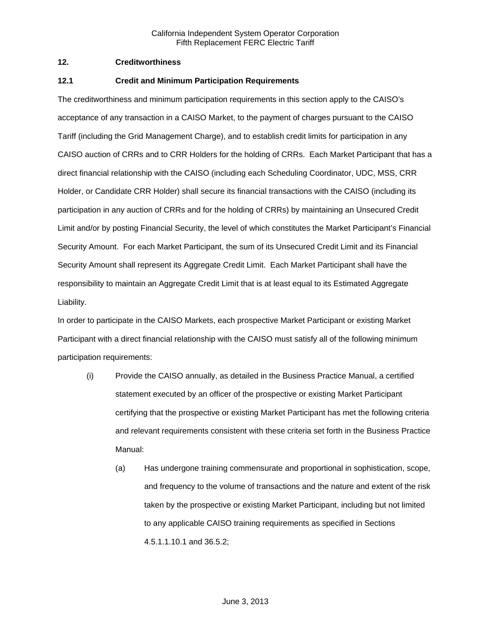# **12. Creditworthiness**

### **12.1 Credit and Minimum Participation Requirements**

The creditworthiness and minimum participation requirements in this section apply to the CAISO's acceptance of any transaction in a CAISO Market, to the payment of charges pursuant to the CAISO Tariff (including the Grid Management Charge), and to establish credit limits for participation in any CAISO auction of CRRs and to CRR Holders for the holding of CRRs. Each Market Participant that has a direct financial relationship with the CAISO (including each Scheduling Coordinator, UDC, MSS, CRR Holder, or Candidate CRR Holder) shall secure its financial transactions with the CAISO (including its participation in any auction of CRRs and for the holding of CRRs) by maintaining an Unsecured Credit Limit and/or by posting Financial Security, the level of which constitutes the Market Participant's Financial Security Amount. For each Market Participant, the sum of its Unsecured Credit Limit and its Financial Security Amount shall represent its Aggregate Credit Limit. Each Market Participant shall have the responsibility to maintain an Aggregate Credit Limit that is at least equal to its Estimated Aggregate Liability.

In order to participate in the CAISO Markets, each prospective Market Participant or existing Market Participant with a direct financial relationship with the CAISO must satisfy all of the following minimum participation requirements:

- (i) Provide the CAISO annually, as detailed in the Business Practice Manual, a certified statement executed by an officer of the prospective or existing Market Participant certifying that the prospective or existing Market Participant has met the following criteria and relevant requirements consistent with these criteria set forth in the Business Practice Manual:
	- (a) Has undergone training commensurate and proportional in sophistication, scope, and frequency to the volume of transactions and the nature and extent of the risk taken by the prospective or existing Market Participant, including but not limited to any applicable CAISO training requirements as specified in Sections 4.5.1.1.10.1 and 36.5.2;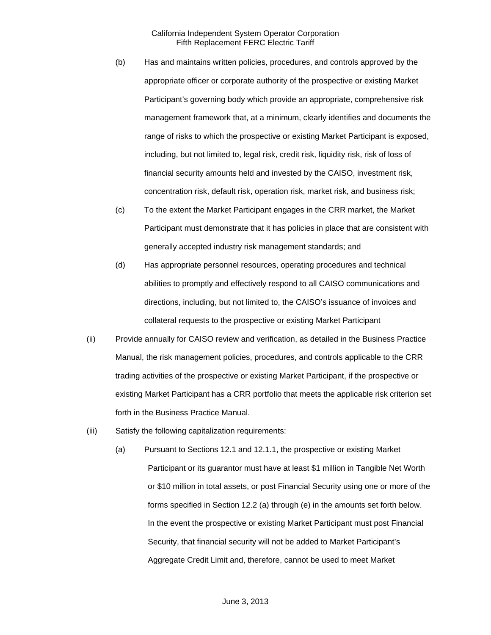- (b) Has and maintains written policies, procedures, and controls approved by the appropriate officer or corporate authority of the prospective or existing Market Participant's governing body which provide an appropriate, comprehensive risk management framework that, at a minimum, clearly identifies and documents the range of risks to which the prospective or existing Market Participant is exposed, including, but not limited to, legal risk, credit risk, liquidity risk, risk of loss of financial security amounts held and invested by the CAISO, investment risk, concentration risk, default risk, operation risk, market risk, and business risk;
- (c) To the extent the Market Participant engages in the CRR market, the Market Participant must demonstrate that it has policies in place that are consistent with generally accepted industry risk management standards; and
- (d) Has appropriate personnel resources, operating procedures and technical abilities to promptly and effectively respond to all CAISO communications and directions, including, but not limited to, the CAISO's issuance of invoices and collateral requests to the prospective or existing Market Participant
- (ii) Provide annually for CAISO review and verification, as detailed in the Business Practice Manual, the risk management policies, procedures, and controls applicable to the CRR trading activities of the prospective or existing Market Participant, if the prospective or existing Market Participant has a CRR portfolio that meets the applicable risk criterion set forth in the Business Practice Manual.
- (iii) Satisfy the following capitalization requirements:
	- (a) Pursuant to Sections 12.1 and 12.1.1, the prospective or existing Market Participant or its guarantor must have at least \$1 million in Tangible Net Worth or \$10 million in total assets, or post Financial Security using one or more of the forms specified in Section 12.2 (a) through (e) in the amounts set forth below. In the event the prospective or existing Market Participant must post Financial Security, that financial security will not be added to Market Participant's Aggregate Credit Limit and, therefore, cannot be used to meet Market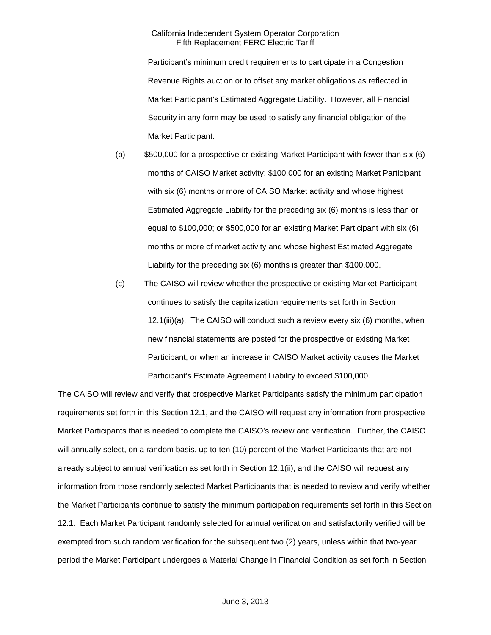Participant's minimum credit requirements to participate in a Congestion Revenue Rights auction or to offset any market obligations as reflected in Market Participant's Estimated Aggregate Liability. However, all Financial Security in any form may be used to satisfy any financial obligation of the Market Participant.

- (b) \$500,000 for a prospective or existing Market Participant with fewer than six (6) months of CAISO Market activity; \$100,000 for an existing Market Participant with six (6) months or more of CAISO Market activity and whose highest Estimated Aggregate Liability for the preceding six (6) months is less than or equal to \$100,000; or \$500,000 for an existing Market Participant with six (6) months or more of market activity and whose highest Estimated Aggregate Liability for the preceding six (6) months is greater than \$100,000.
- (c) The CAISO will review whether the prospective or existing Market Participant continues to satisfy the capitalization requirements set forth in Section 12.1(iii)(a). The CAISO will conduct such a review every six (6) months, when new financial statements are posted for the prospective or existing Market Participant, or when an increase in CAISO Market activity causes the Market Participant's Estimate Agreement Liability to exceed \$100,000.

The CAISO will review and verify that prospective Market Participants satisfy the minimum participation requirements set forth in this Section 12.1, and the CAISO will request any information from prospective Market Participants that is needed to complete the CAISO's review and verification. Further, the CAISO will annually select, on a random basis, up to ten (10) percent of the Market Participants that are not already subject to annual verification as set forth in Section 12.1(ii), and the CAISO will request any information from those randomly selected Market Participants that is needed to review and verify whether the Market Participants continue to satisfy the minimum participation requirements set forth in this Section 12.1. Each Market Participant randomly selected for annual verification and satisfactorily verified will be exempted from such random verification for the subsequent two (2) years, unless within that two-year period the Market Participant undergoes a Material Change in Financial Condition as set forth in Section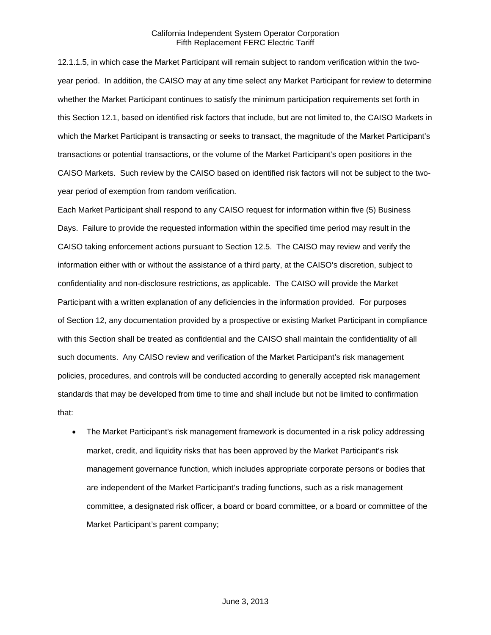12.1.1.5, in which case the Market Participant will remain subject to random verification within the twoyear period. In addition, the CAISO may at any time select any Market Participant for review to determine whether the Market Participant continues to satisfy the minimum participation requirements set forth in this Section 12.1, based on identified risk factors that include, but are not limited to, the CAISO Markets in which the Market Participant is transacting or seeks to transact, the magnitude of the Market Participant's transactions or potential transactions, or the volume of the Market Participant's open positions in the CAISO Markets. Such review by the CAISO based on identified risk factors will not be subject to the twoyear period of exemption from random verification.

Each Market Participant shall respond to any CAISO request for information within five (5) Business Days. Failure to provide the requested information within the specified time period may result in the CAISO taking enforcement actions pursuant to Section 12.5. The CAISO may review and verify the information either with or without the assistance of a third party, at the CAISO's discretion, subject to confidentiality and non-disclosure restrictions, as applicable. The CAISO will provide the Market Participant with a written explanation of any deficiencies in the information provided. For purposes of Section 12, any documentation provided by a prospective or existing Market Participant in compliance with this Section shall be treated as confidential and the CAISO shall maintain the confidentiality of all such documents. Any CAISO review and verification of the Market Participant's risk management policies, procedures, and controls will be conducted according to generally accepted risk management standards that may be developed from time to time and shall include but not be limited to confirmation that:

 The Market Participant's risk management framework is documented in a risk policy addressing market, credit, and liquidity risks that has been approved by the Market Participant's risk management governance function, which includes appropriate corporate persons or bodies that are independent of the Market Participant's trading functions, such as a risk management committee, a designated risk officer, a board or board committee, or a board or committee of the Market Participant's parent company;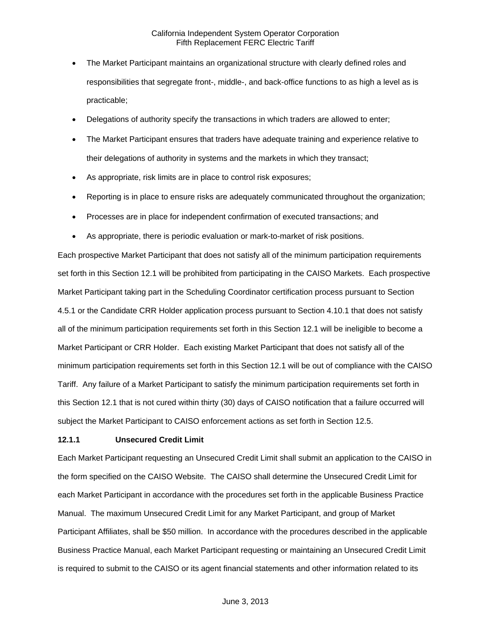- The Market Participant maintains an organizational structure with clearly defined roles and responsibilities that segregate front-, middle-, and back-office functions to as high a level as is practicable;
- Delegations of authority specify the transactions in which traders are allowed to enter;
- The Market Participant ensures that traders have adequate training and experience relative to their delegations of authority in systems and the markets in which they transact;
- As appropriate, risk limits are in place to control risk exposures;
- Reporting is in place to ensure risks are adequately communicated throughout the organization;
- Processes are in place for independent confirmation of executed transactions; and
- As appropriate, there is periodic evaluation or mark-to-market of risk positions.

Each prospective Market Participant that does not satisfy all of the minimum participation requirements set forth in this Section 12.1 will be prohibited from participating in the CAISO Markets. Each prospective Market Participant taking part in the Scheduling Coordinator certification process pursuant to Section 4.5.1 or the Candidate CRR Holder application process pursuant to Section 4.10.1 that does not satisfy all of the minimum participation requirements set forth in this Section 12.1 will be ineligible to become a Market Participant or CRR Holder. Each existing Market Participant that does not satisfy all of the minimum participation requirements set forth in this Section 12.1 will be out of compliance with the CAISO Tariff. Any failure of a Market Participant to satisfy the minimum participation requirements set forth in this Section 12.1 that is not cured within thirty (30) days of CAISO notification that a failure occurred will subject the Market Participant to CAISO enforcement actions as set forth in Section 12.5.

#### **12.1.1 Unsecured Credit Limit**

Each Market Participant requesting an Unsecured Credit Limit shall submit an application to the CAISO in the form specified on the CAISO Website. The CAISO shall determine the Unsecured Credit Limit for each Market Participant in accordance with the procedures set forth in the applicable Business Practice Manual. The maximum Unsecured Credit Limit for any Market Participant, and group of Market Participant Affiliates, shall be \$50 million. In accordance with the procedures described in the applicable Business Practice Manual, each Market Participant requesting or maintaining an Unsecured Credit Limit is required to submit to the CAISO or its agent financial statements and other information related to its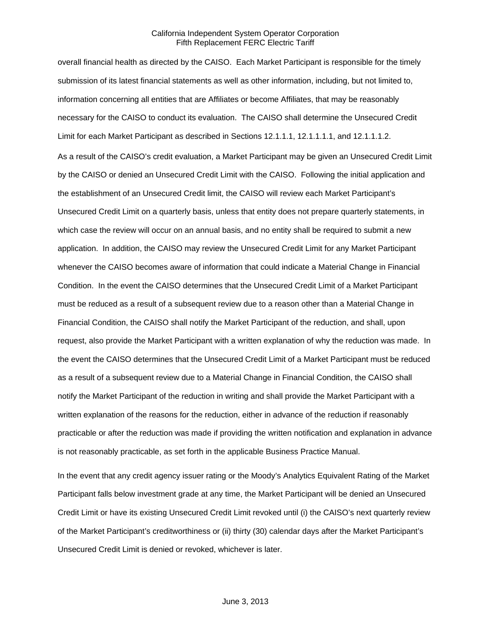overall financial health as directed by the CAISO. Each Market Participant is responsible for the timely submission of its latest financial statements as well as other information, including, but not limited to, information concerning all entities that are Affiliates or become Affiliates, that may be reasonably necessary for the CAISO to conduct its evaluation. The CAISO shall determine the Unsecured Credit Limit for each Market Participant as described in Sections 12.1.1.1, 12.1.1.1.1, and 12.1.1.1.2.

As a result of the CAISO's credit evaluation, a Market Participant may be given an Unsecured Credit Limit by the CAISO or denied an Unsecured Credit Limit with the CAISO. Following the initial application and the establishment of an Unsecured Credit limit, the CAISO will review each Market Participant's Unsecured Credit Limit on a quarterly basis, unless that entity does not prepare quarterly statements, in which case the review will occur on an annual basis, and no entity shall be required to submit a new application. In addition, the CAISO may review the Unsecured Credit Limit for any Market Participant whenever the CAISO becomes aware of information that could indicate a Material Change in Financial Condition. In the event the CAISO determines that the Unsecured Credit Limit of a Market Participant must be reduced as a result of a subsequent review due to a reason other than a Material Change in Financial Condition, the CAISO shall notify the Market Participant of the reduction, and shall, upon request, also provide the Market Participant with a written explanation of why the reduction was made. In the event the CAISO determines that the Unsecured Credit Limit of a Market Participant must be reduced as a result of a subsequent review due to a Material Change in Financial Condition, the CAISO shall notify the Market Participant of the reduction in writing and shall provide the Market Participant with a written explanation of the reasons for the reduction, either in advance of the reduction if reasonably practicable or after the reduction was made if providing the written notification and explanation in advance is not reasonably practicable, as set forth in the applicable Business Practice Manual.

In the event that any credit agency issuer rating or the Moody's Analytics Equivalent Rating of the Market Participant falls below investment grade at any time, the Market Participant will be denied an Unsecured Credit Limit or have its existing Unsecured Credit Limit revoked until (i) the CAISO's next quarterly review of the Market Participant's creditworthiness or (ii) thirty (30) calendar days after the Market Participant's Unsecured Credit Limit is denied or revoked, whichever is later.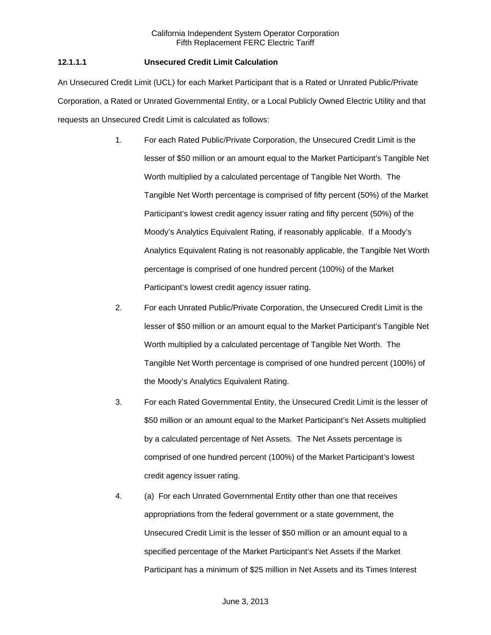# **12.1.1.1 Unsecured Credit Limit Calculation**

An Unsecured Credit Limit (UCL) for each Market Participant that is a Rated or Unrated Public/Private Corporation, a Rated or Unrated Governmental Entity, or a Local Publicly Owned Electric Utility and that requests an Unsecured Credit Limit is calculated as follows:

- 1. For each Rated Public/Private Corporation, the Unsecured Credit Limit is the lesser of \$50 million or an amount equal to the Market Participant's Tangible Net Worth multiplied by a calculated percentage of Tangible Net Worth. The Tangible Net Worth percentage is comprised of fifty percent (50%) of the Market Participant's lowest credit agency issuer rating and fifty percent (50%) of the Moody's Analytics Equivalent Rating, if reasonably applicable. If a Moody's Analytics Equivalent Rating is not reasonably applicable, the Tangible Net Worth percentage is comprised of one hundred percent (100%) of the Market Participant's lowest credit agency issuer rating.
- 2. For each Unrated Public/Private Corporation, the Unsecured Credit Limit is the lesser of \$50 million or an amount equal to the Market Participant's Tangible Net Worth multiplied by a calculated percentage of Tangible Net Worth. The Tangible Net Worth percentage is comprised of one hundred percent (100%) of the Moody's Analytics Equivalent Rating.
- 3. For each Rated Governmental Entity, the Unsecured Credit Limit is the lesser of \$50 million or an amount equal to the Market Participant's Net Assets multiplied by a calculated percentage of Net Assets. The Net Assets percentage is comprised of one hundred percent (100%) of the Market Participant's lowest credit agency issuer rating.
- 4. (a) For each Unrated Governmental Entity other than one that receives appropriations from the federal government or a state government, the Unsecured Credit Limit is the lesser of \$50 million or an amount equal to a specified percentage of the Market Participant's Net Assets if the Market Participant has a minimum of \$25 million in Net Assets and its Times Interest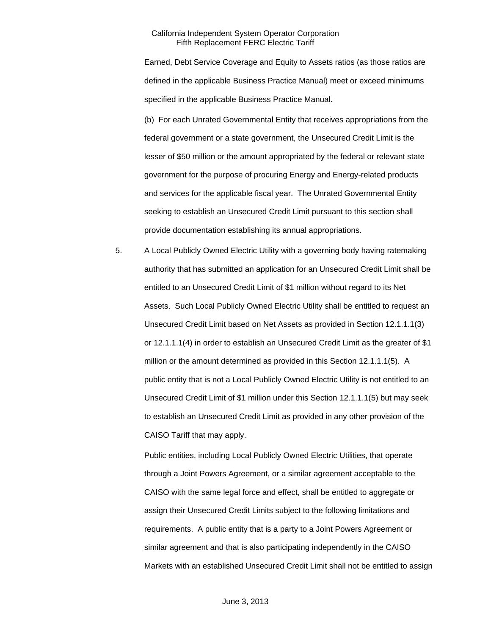Earned, Debt Service Coverage and Equity to Assets ratios (as those ratios are defined in the applicable Business Practice Manual) meet or exceed minimums specified in the applicable Business Practice Manual.

(b) For each Unrated Governmental Entity that receives appropriations from the federal government or a state government, the Unsecured Credit Limit is the lesser of \$50 million or the amount appropriated by the federal or relevant state government for the purpose of procuring Energy and Energy-related products and services for the applicable fiscal year. The Unrated Governmental Entity seeking to establish an Unsecured Credit Limit pursuant to this section shall provide documentation establishing its annual appropriations.

5. A Local Publicly Owned Electric Utility with a governing body having ratemaking authority that has submitted an application for an Unsecured Credit Limit shall be entitled to an Unsecured Credit Limit of \$1 million without regard to its Net Assets. Such Local Publicly Owned Electric Utility shall be entitled to request an Unsecured Credit Limit based on Net Assets as provided in Section 12.1.1.1(3) or 12.1.1.1(4) in order to establish an Unsecured Credit Limit as the greater of \$1 million or the amount determined as provided in this Section 12.1.1.1(5). A public entity that is not a Local Publicly Owned Electric Utility is not entitled to an Unsecured Credit Limit of \$1 million under this Section 12.1.1.1(5) but may seek to establish an Unsecured Credit Limit as provided in any other provision of the CAISO Tariff that may apply.

Public entities, including Local Publicly Owned Electric Utilities, that operate through a Joint Powers Agreement, or a similar agreement acceptable to the CAISO with the same legal force and effect, shall be entitled to aggregate or assign their Unsecured Credit Limits subject to the following limitations and requirements. A public entity that is a party to a Joint Powers Agreement or similar agreement and that is also participating independently in the CAISO Markets with an established Unsecured Credit Limit shall not be entitled to assign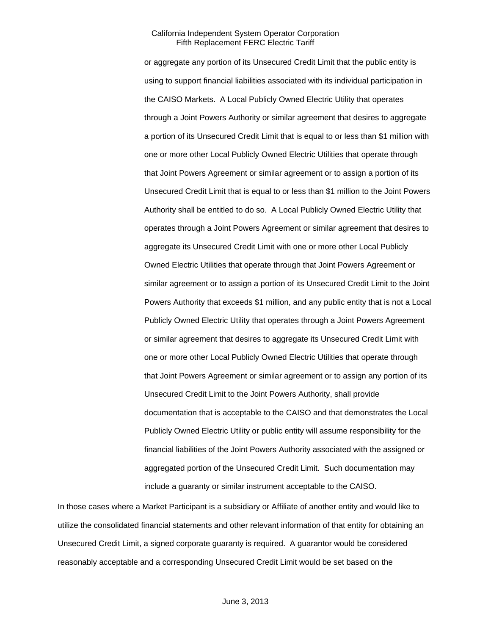or aggregate any portion of its Unsecured Credit Limit that the public entity is using to support financial liabilities associated with its individual participation in the CAISO Markets. A Local Publicly Owned Electric Utility that operates through a Joint Powers Authority or similar agreement that desires to aggregate a portion of its Unsecured Credit Limit that is equal to or less than \$1 million with one or more other Local Publicly Owned Electric Utilities that operate through that Joint Powers Agreement or similar agreement or to assign a portion of its Unsecured Credit Limit that is equal to or less than \$1 million to the Joint Powers Authority shall be entitled to do so. A Local Publicly Owned Electric Utility that operates through a Joint Powers Agreement or similar agreement that desires to aggregate its Unsecured Credit Limit with one or more other Local Publicly Owned Electric Utilities that operate through that Joint Powers Agreement or similar agreement or to assign a portion of its Unsecured Credit Limit to the Joint Powers Authority that exceeds \$1 million, and any public entity that is not a Local Publicly Owned Electric Utility that operates through a Joint Powers Agreement or similar agreement that desires to aggregate its Unsecured Credit Limit with one or more other Local Publicly Owned Electric Utilities that operate through that Joint Powers Agreement or similar agreement or to assign any portion of its Unsecured Credit Limit to the Joint Powers Authority, shall provide documentation that is acceptable to the CAISO and that demonstrates the Local Publicly Owned Electric Utility or public entity will assume responsibility for the financial liabilities of the Joint Powers Authority associated with the assigned or aggregated portion of the Unsecured Credit Limit. Such documentation may include a guaranty or similar instrument acceptable to the CAISO.

In those cases where a Market Participant is a subsidiary or Affiliate of another entity and would like to utilize the consolidated financial statements and other relevant information of that entity for obtaining an Unsecured Credit Limit, a signed corporate guaranty is required. A guarantor would be considered reasonably acceptable and a corresponding Unsecured Credit Limit would be set based on the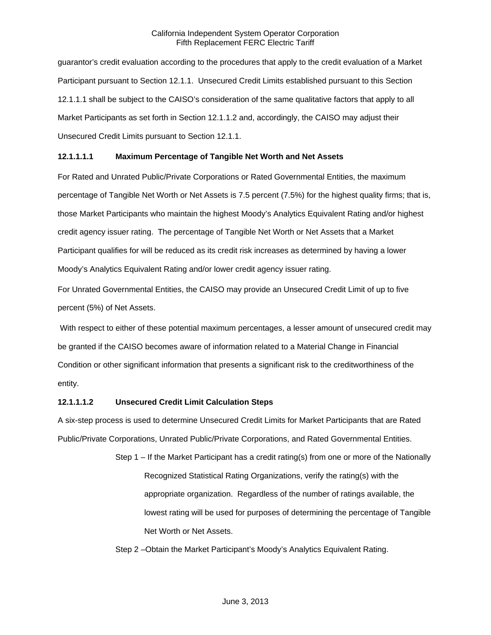guarantor's credit evaluation according to the procedures that apply to the credit evaluation of a Market Participant pursuant to Section 12.1.1. Unsecured Credit Limits established pursuant to this Section 12.1.1.1 shall be subject to the CAISO's consideration of the same qualitative factors that apply to all Market Participants as set forth in Section 12.1.1.2 and, accordingly, the CAISO may adjust their Unsecured Credit Limits pursuant to Section 12.1.1.

# **12.1.1.1.1 Maximum Percentage of Tangible Net Worth and Net Assets**

For Rated and Unrated Public/Private Corporations or Rated Governmental Entities, the maximum percentage of Tangible Net Worth or Net Assets is 7.5 percent (7.5%) for the highest quality firms; that is, those Market Participants who maintain the highest Moody's Analytics Equivalent Rating and/or highest credit agency issuer rating. The percentage of Tangible Net Worth or Net Assets that a Market Participant qualifies for will be reduced as its credit risk increases as determined by having a lower Moody's Analytics Equivalent Rating and/or lower credit agency issuer rating.

For Unrated Governmental Entities, the CAISO may provide an Unsecured Credit Limit of up to five percent (5%) of Net Assets.

 With respect to either of these potential maximum percentages, a lesser amount of unsecured credit may be granted if the CAISO becomes aware of information related to a Material Change in Financial Condition or other significant information that presents a significant risk to the creditworthiness of the entity.

# **12.1.1.1.2 Unsecured Credit Limit Calculation Steps**

A six-step process is used to determine Unsecured Credit Limits for Market Participants that are Rated Public/Private Corporations, Unrated Public/Private Corporations, and Rated Governmental Entities.

> Step 1 – If the Market Participant has a credit rating(s) from one or more of the Nationally Recognized Statistical Rating Organizations, verify the rating(s) with the appropriate organization. Regardless of the number of ratings available, the lowest rating will be used for purposes of determining the percentage of Tangible Net Worth or Net Assets.

Step 2 –Obtain the Market Participant's Moody's Analytics Equivalent Rating.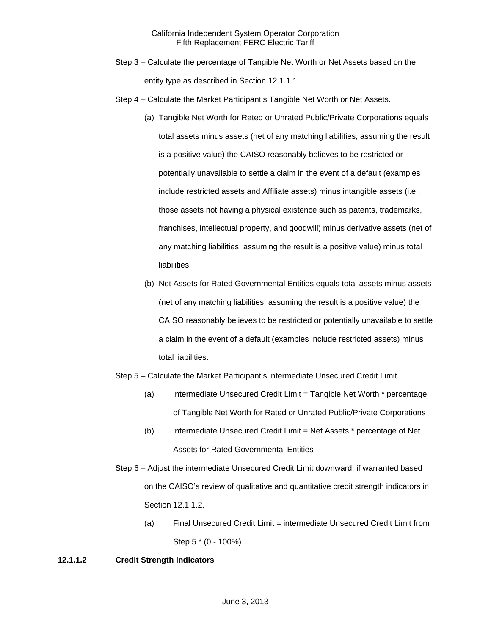- Step 3 Calculate the percentage of Tangible Net Worth or Net Assets based on the entity type as described in Section 12.1.1.1.
- Step 4 Calculate the Market Participant's Tangible Net Worth or Net Assets.
	- (a) Tangible Net Worth for Rated or Unrated Public/Private Corporations equals total assets minus assets (net of any matching liabilities, assuming the result is a positive value) the CAISO reasonably believes to be restricted or potentially unavailable to settle a claim in the event of a default (examples include restricted assets and Affiliate assets) minus intangible assets (i.e., those assets not having a physical existence such as patents, trademarks, franchises, intellectual property, and goodwill) minus derivative assets (net of any matching liabilities, assuming the result is a positive value) minus total liabilities.
	- (b) Net Assets for Rated Governmental Entities equals total assets minus assets (net of any matching liabilities, assuming the result is a positive value) the CAISO reasonably believes to be restricted or potentially unavailable to settle a claim in the event of a default (examples include restricted assets) minus total liabilities.
- Step 5 Calculate the Market Participant's intermediate Unsecured Credit Limit.
	- (a) intermediate Unsecured Credit Limit = Tangible Net Worth \* percentage of Tangible Net Worth for Rated or Unrated Public/Private Corporations
	- (b) intermediate Unsecured Credit Limit = Net Assets \* percentage of Net Assets for Rated Governmental Entities
- Step 6 Adjust the intermediate Unsecured Credit Limit downward, if warranted based on the CAISO's review of qualitative and quantitative credit strength indicators in Section 12.1.1.2.
	- (a) Final Unsecured Credit Limit = intermediate Unsecured Credit Limit from Step 5 \* (0 - 100%)

# **12.1.1.2 Credit Strength Indicators**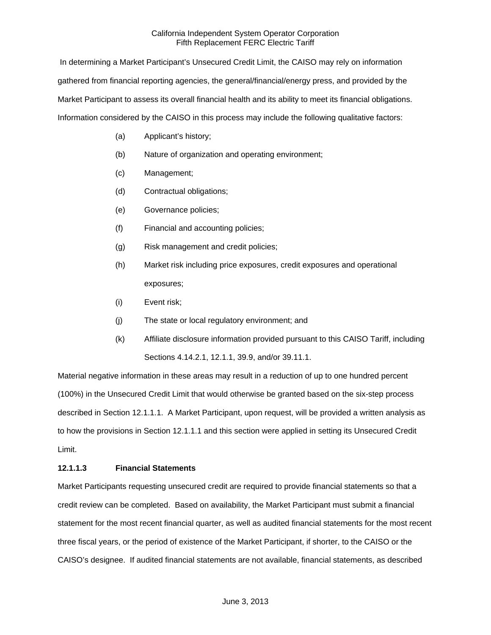In determining a Market Participant's Unsecured Credit Limit, the CAISO may rely on information gathered from financial reporting agencies, the general/financial/energy press, and provided by the Market Participant to assess its overall financial health and its ability to meet its financial obligations. Information considered by the CAISO in this process may include the following qualitative factors:

- (a) Applicant's history;
- (b) Nature of organization and operating environment;
- (c) Management;
- (d) Contractual obligations;
- (e) Governance policies;
- (f) Financial and accounting policies;
- (g) Risk management and credit policies;
- (h) Market risk including price exposures, credit exposures and operational exposures;
- (i) Event risk;
- (j) The state or local regulatory environment; and
- (k) Affiliate disclosure information provided pursuant to this CAISO Tariff, including Sections 4.14.2.1, 12.1.1, 39.9, and/or 39.11.1.

Material negative information in these areas may result in a reduction of up to one hundred percent (100%) in the Unsecured Credit Limit that would otherwise be granted based on the six-step process described in Section 12.1.1.1. A Market Participant, upon request, will be provided a written analysis as to how the provisions in Section 12.1.1.1 and this section were applied in setting its Unsecured Credit Limit.

### **12.1.1.3 Financial Statements**

Market Participants requesting unsecured credit are required to provide financial statements so that a credit review can be completed. Based on availability, the Market Participant must submit a financial statement for the most recent financial quarter, as well as audited financial statements for the most recent three fiscal years, or the period of existence of the Market Participant, if shorter, to the CAISO or the CAISO's designee. If audited financial statements are not available, financial statements, as described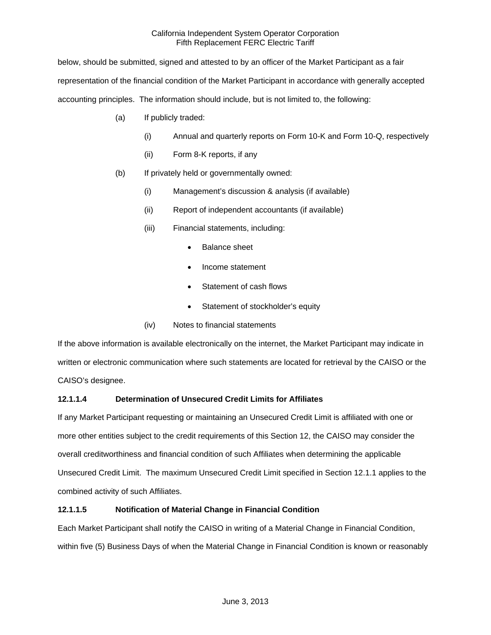below, should be submitted, signed and attested to by an officer of the Market Participant as a fair representation of the financial condition of the Market Participant in accordance with generally accepted accounting principles. The information should include, but is not limited to, the following:

- (a) If publicly traded:
	- (i) Annual and quarterly reports on Form 10-K and Form 10-Q, respectively
	- (ii) Form 8-K reports, if any
- (b) If privately held or governmentally owned:
	- (i) Management's discussion & analysis (if available)
	- (ii) Report of independent accountants (if available)
	- (iii) Financial statements, including:
		- Balance sheet
		- Income statement
		- Statement of cash flows
		- Statement of stockholder's equity
	- (iv) Notes to financial statements

If the above information is available electronically on the internet, the Market Participant may indicate in written or electronic communication where such statements are located for retrieval by the CAISO or the CAISO's designee.

# **12.1.1.4 Determination of Unsecured Credit Limits for Affiliates**

If any Market Participant requesting or maintaining an Unsecured Credit Limit is affiliated with one or more other entities subject to the credit requirements of this Section 12, the CAISO may consider the overall creditworthiness and financial condition of such Affiliates when determining the applicable Unsecured Credit Limit. The maximum Unsecured Credit Limit specified in Section 12.1.1 applies to the combined activity of such Affiliates.

# **12.1.1.5 Notification of Material Change in Financial Condition**

Each Market Participant shall notify the CAISO in writing of a Material Change in Financial Condition, within five (5) Business Days of when the Material Change in Financial Condition is known or reasonably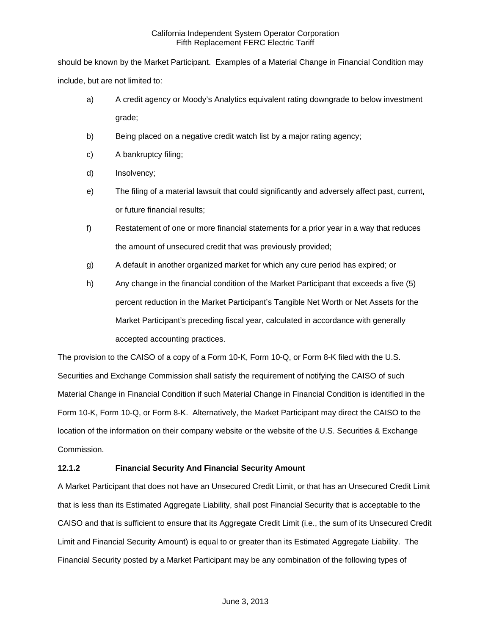should be known by the Market Participant. Examples of a Material Change in Financial Condition may include, but are not limited to:

- a) A credit agency or Moody's Analytics equivalent rating downgrade to below investment grade;
- b) Being placed on a negative credit watch list by a major rating agency;
- c) A bankruptcy filing;
- d) Insolvency;
- e) The filing of a material lawsuit that could significantly and adversely affect past, current, or future financial results;
- f) Restatement of one or more financial statements for a prior year in a way that reduces the amount of unsecured credit that was previously provided;
- g) A default in another organized market for which any cure period has expired; or
- h) Any change in the financial condition of the Market Participant that exceeds a five (5) percent reduction in the Market Participant's Tangible Net Worth or Net Assets for the Market Participant's preceding fiscal year, calculated in accordance with generally accepted accounting practices.

The provision to the CAISO of a copy of a Form 10-K, Form 10-Q, or Form 8-K filed with the U.S. Securities and Exchange Commission shall satisfy the requirement of notifying the CAISO of such Material Change in Financial Condition if such Material Change in Financial Condition is identified in the Form 10-K, Form 10-Q, or Form 8-K. Alternatively, the Market Participant may direct the CAISO to the location of the information on their company website or the website of the U.S. Securities & Exchange Commission.

# **12.1.2 Financial Security And Financial Security Amount**

A Market Participant that does not have an Unsecured Credit Limit, or that has an Unsecured Credit Limit that is less than its Estimated Aggregate Liability, shall post Financial Security that is acceptable to the CAISO and that is sufficient to ensure that its Aggregate Credit Limit (i.e., the sum of its Unsecured Credit Limit and Financial Security Amount) is equal to or greater than its Estimated Aggregate Liability. The Financial Security posted by a Market Participant may be any combination of the following types of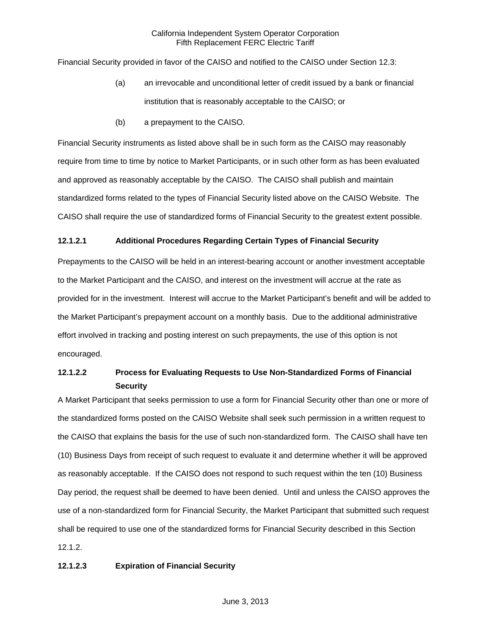Financial Security provided in favor of the CAISO and notified to the CAISO under Section 12.3:

- (a) an irrevocable and unconditional letter of credit issued by a bank or financial institution that is reasonably acceptable to the CAISO; or
- (b) a prepayment to the CAISO.

Financial Security instruments as listed above shall be in such form as the CAISO may reasonably require from time to time by notice to Market Participants, or in such other form as has been evaluated and approved as reasonably acceptable by the CAISO. The CAISO shall publish and maintain standardized forms related to the types of Financial Security listed above on the CAISO Website. The CAISO shall require the use of standardized forms of Financial Security to the greatest extent possible.

### **12.1.2.1 Additional Procedures Regarding Certain Types of Financial Security**

Prepayments to the CAISO will be held in an interest-bearing account or another investment acceptable to the Market Participant and the CAISO, and interest on the investment will accrue at the rate as provided for in the investment. Interest will accrue to the Market Participant's benefit and will be added to the Market Participant's prepayment account on a monthly basis. Due to the additional administrative effort involved in tracking and posting interest on such prepayments, the use of this option is not encouraged.

# **12.1.2.2 Process for Evaluating Requests to Use Non-Standardized Forms of Financial Security**

A Market Participant that seeks permission to use a form for Financial Security other than one or more of the standardized forms posted on the CAISO Website shall seek such permission in a written request to the CAISO that explains the basis for the use of such non-standardized form. The CAISO shall have ten (10) Business Days from receipt of such request to evaluate it and determine whether it will be approved as reasonably acceptable. If the CAISO does not respond to such request within the ten (10) Business Day period, the request shall be deemed to have been denied. Until and unless the CAISO approves the use of a non-standardized form for Financial Security, the Market Participant that submitted such request shall be required to use one of the standardized forms for Financial Security described in this Section 12.1.2.

### **12.1.2.3 Expiration of Financial Security**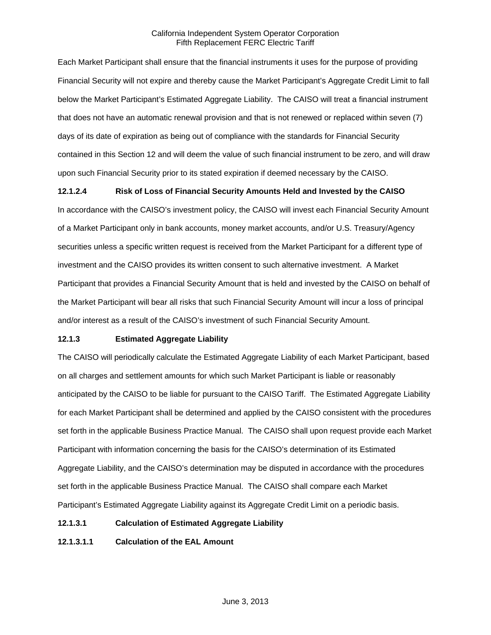Each Market Participant shall ensure that the financial instruments it uses for the purpose of providing Financial Security will not expire and thereby cause the Market Participant's Aggregate Credit Limit to fall below the Market Participant's Estimated Aggregate Liability. The CAISO will treat a financial instrument that does not have an automatic renewal provision and that is not renewed or replaced within seven (7) days of its date of expiration as being out of compliance with the standards for Financial Security contained in this Section 12 and will deem the value of such financial instrument to be zero, and will draw upon such Financial Security prior to its stated expiration if deemed necessary by the CAISO.

# **12.1.2.4 Risk of Loss of Financial Security Amounts Held and Invested by the CAISO**

In accordance with the CAISO's investment policy, the CAISO will invest each Financial Security Amount of a Market Participant only in bank accounts, money market accounts, and/or U.S. Treasury/Agency securities unless a specific written request is received from the Market Participant for a different type of investment and the CAISO provides its written consent to such alternative investment. A Market Participant that provides a Financial Security Amount that is held and invested by the CAISO on behalf of the Market Participant will bear all risks that such Financial Security Amount will incur a loss of principal and/or interest as a result of the CAISO's investment of such Financial Security Amount.

# **12.1.3 Estimated Aggregate Liability**

The CAISO will periodically calculate the Estimated Aggregate Liability of each Market Participant, based on all charges and settlement amounts for which such Market Participant is liable or reasonably anticipated by the CAISO to be liable for pursuant to the CAISO Tariff. The Estimated Aggregate Liability for each Market Participant shall be determined and applied by the CAISO consistent with the procedures set forth in the applicable Business Practice Manual. The CAISO shall upon request provide each Market Participant with information concerning the basis for the CAISO's determination of its Estimated Aggregate Liability, and the CAISO's determination may be disputed in accordance with the procedures set forth in the applicable Business Practice Manual. The CAISO shall compare each Market Participant's Estimated Aggregate Liability against its Aggregate Credit Limit on a periodic basis.

### **12.1.3.1 Calculation of Estimated Aggregate Liability**

**12.1.3.1.1 Calculation of the EAL Amount**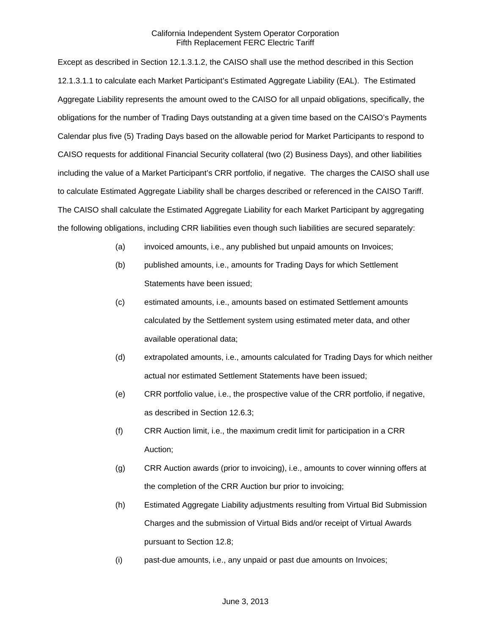Except as described in Section 12.1.3.1.2, the CAISO shall use the method described in this Section 12.1.3.1.1 to calculate each Market Participant's Estimated Aggregate Liability (EAL). The Estimated Aggregate Liability represents the amount owed to the CAISO for all unpaid obligations, specifically, the obligations for the number of Trading Days outstanding at a given time based on the CAISO's Payments Calendar plus five (5) Trading Days based on the allowable period for Market Participants to respond to CAISO requests for additional Financial Security collateral (two (2) Business Days), and other liabilities including the value of a Market Participant's CRR portfolio, if negative. The charges the CAISO shall use to calculate Estimated Aggregate Liability shall be charges described or referenced in the CAISO Tariff. The CAISO shall calculate the Estimated Aggregate Liability for each Market Participant by aggregating the following obligations, including CRR liabilities even though such liabilities are secured separately:

- (a) invoiced amounts, i.e., any published but unpaid amounts on Invoices;
- (b) published amounts, i.e., amounts for Trading Days for which Settlement Statements have been issued;
- (c) estimated amounts, i.e., amounts based on estimated Settlement amounts calculated by the Settlement system using estimated meter data, and other available operational data;
- (d) extrapolated amounts, i.e., amounts calculated for Trading Days for which neither actual nor estimated Settlement Statements have been issued;
- (e) CRR portfolio value, i.e., the prospective value of the CRR portfolio, if negative, as described in Section 12.6.3;
- (f) CRR Auction limit, i.e., the maximum credit limit for participation in a CRR Auction;
- (g) CRR Auction awards (prior to invoicing), i.e., amounts to cover winning offers at the completion of the CRR Auction bur prior to invoicing;
- (h) Estimated Aggregate Liability adjustments resulting from Virtual Bid Submission Charges and the submission of Virtual Bids and/or receipt of Virtual Awards pursuant to Section 12.8;
- (i) past-due amounts, i.e., any unpaid or past due amounts on Invoices;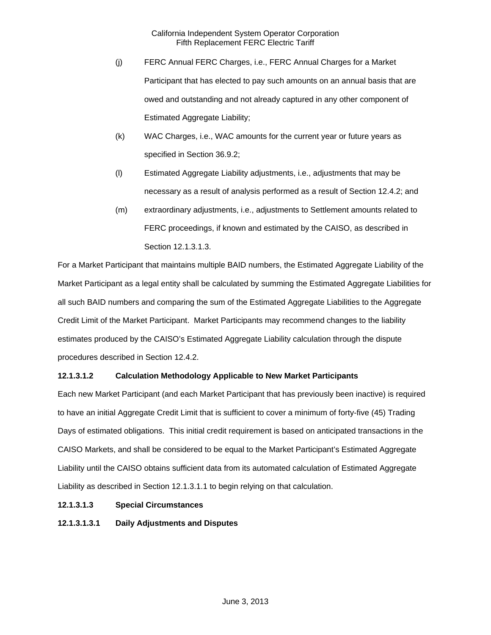- (j) FERC Annual FERC Charges, i.e., FERC Annual Charges for a Market Participant that has elected to pay such amounts on an annual basis that are owed and outstanding and not already captured in any other component of Estimated Aggregate Liability;
- (k) WAC Charges, i.e., WAC amounts for the current year or future years as specified in Section 36.9.2;
- (l) Estimated Aggregate Liability adjustments, i.e., adjustments that may be necessary as a result of analysis performed as a result of Section 12.4.2; and
- (m) extraordinary adjustments, i.e., adjustments to Settlement amounts related to FERC proceedings, if known and estimated by the CAISO, as described in Section 12.1.3.1.3.

For a Market Participant that maintains multiple BAID numbers, the Estimated Aggregate Liability of the Market Participant as a legal entity shall be calculated by summing the Estimated Aggregate Liabilities for all such BAID numbers and comparing the sum of the Estimated Aggregate Liabilities to the Aggregate Credit Limit of the Market Participant. Market Participants may recommend changes to the liability estimates produced by the CAISO's Estimated Aggregate Liability calculation through the dispute procedures described in Section 12.4.2.

# **12.1.3.1.2 Calculation Methodology Applicable to New Market Participants**

Each new Market Participant (and each Market Participant that has previously been inactive) is required to have an initial Aggregate Credit Limit that is sufficient to cover a minimum of forty-five (45) Trading Days of estimated obligations. This initial credit requirement is based on anticipated transactions in the CAISO Markets, and shall be considered to be equal to the Market Participant's Estimated Aggregate Liability until the CAISO obtains sufficient data from its automated calculation of Estimated Aggregate Liability as described in Section 12.1.3.1.1 to begin relying on that calculation.

# **12.1.3.1.3 Special Circumstances**

**12.1.3.1.3.1 Daily Adjustments and Disputes**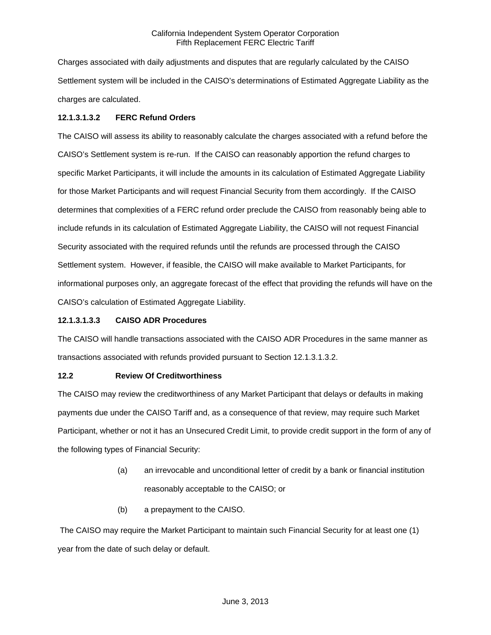Charges associated with daily adjustments and disputes that are regularly calculated by the CAISO Settlement system will be included in the CAISO's determinations of Estimated Aggregate Liability as the charges are calculated.

# **12.1.3.1.3.2 FERC Refund Orders**

The CAISO will assess its ability to reasonably calculate the charges associated with a refund before the CAISO's Settlement system is re-run. If the CAISO can reasonably apportion the refund charges to specific Market Participants, it will include the amounts in its calculation of Estimated Aggregate Liability for those Market Participants and will request Financial Security from them accordingly. If the CAISO determines that complexities of a FERC refund order preclude the CAISO from reasonably being able to include refunds in its calculation of Estimated Aggregate Liability, the CAISO will not request Financial Security associated with the required refunds until the refunds are processed through the CAISO Settlement system. However, if feasible, the CAISO will make available to Market Participants, for informational purposes only, an aggregate forecast of the effect that providing the refunds will have on the CAISO's calculation of Estimated Aggregate Liability.

# **12.1.3.1.3.3 CAISO ADR Procedures**

The CAISO will handle transactions associated with the CAISO ADR Procedures in the same manner as transactions associated with refunds provided pursuant to Section 12.1.3.1.3.2.

# **12.2 Review Of Creditworthiness**

The CAISO may review the creditworthiness of any Market Participant that delays or defaults in making payments due under the CAISO Tariff and, as a consequence of that review, may require such Market Participant, whether or not it has an Unsecured Credit Limit, to provide credit support in the form of any of the following types of Financial Security:

- (a) an irrevocable and unconditional letter of credit by a bank or financial institution reasonably acceptable to the CAISO; or
- (b) a prepayment to the CAISO.

 The CAISO may require the Market Participant to maintain such Financial Security for at least one (1) year from the date of such delay or default.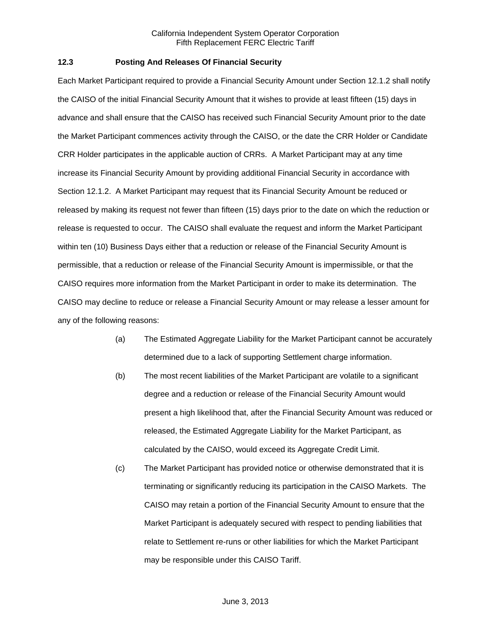# **12.3 Posting And Releases Of Financial Security**

Each Market Participant required to provide a Financial Security Amount under Section 12.1.2 shall notify the CAISO of the initial Financial Security Amount that it wishes to provide at least fifteen (15) days in advance and shall ensure that the CAISO has received such Financial Security Amount prior to the date the Market Participant commences activity through the CAISO, or the date the CRR Holder or Candidate CRR Holder participates in the applicable auction of CRRs. A Market Participant may at any time increase its Financial Security Amount by providing additional Financial Security in accordance with Section 12.1.2. A Market Participant may request that its Financial Security Amount be reduced or released by making its request not fewer than fifteen (15) days prior to the date on which the reduction or release is requested to occur. The CAISO shall evaluate the request and inform the Market Participant within ten (10) Business Days either that a reduction or release of the Financial Security Amount is permissible, that a reduction or release of the Financial Security Amount is impermissible, or that the CAISO requires more information from the Market Participant in order to make its determination. The CAISO may decline to reduce or release a Financial Security Amount or may release a lesser amount for any of the following reasons:

- (a) The Estimated Aggregate Liability for the Market Participant cannot be accurately determined due to a lack of supporting Settlement charge information.
- (b) The most recent liabilities of the Market Participant are volatile to a significant degree and a reduction or release of the Financial Security Amount would present a high likelihood that, after the Financial Security Amount was reduced or released, the Estimated Aggregate Liability for the Market Participant, as calculated by the CAISO, would exceed its Aggregate Credit Limit.
- (c) The Market Participant has provided notice or otherwise demonstrated that it is terminating or significantly reducing its participation in the CAISO Markets. The CAISO may retain a portion of the Financial Security Amount to ensure that the Market Participant is adequately secured with respect to pending liabilities that relate to Settlement re-runs or other liabilities for which the Market Participant may be responsible under this CAISO Tariff.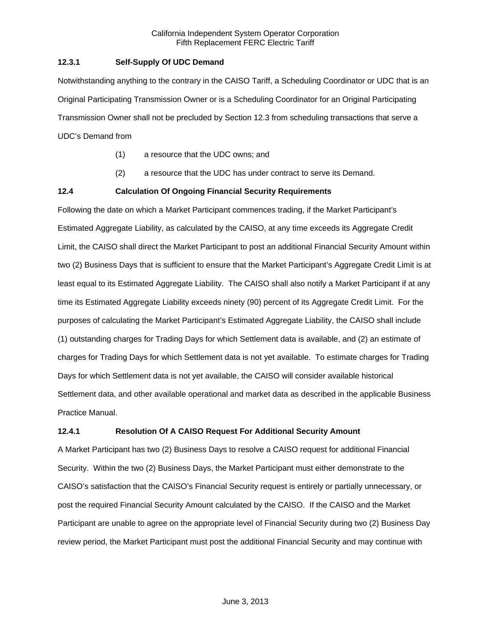# **12.3.1 Self-Supply Of UDC Demand**

Notwithstanding anything to the contrary in the CAISO Tariff, a Scheduling Coordinator or UDC that is an Original Participating Transmission Owner or is a Scheduling Coordinator for an Original Participating Transmission Owner shall not be precluded by Section 12.3 from scheduling transactions that serve a UDC's Demand from

- (1) a resource that the UDC owns; and
- (2) a resource that the UDC has under contract to serve its Demand.

# **12.4 Calculation Of Ongoing Financial Security Requirements**

Following the date on which a Market Participant commences trading, if the Market Participant's Estimated Aggregate Liability, as calculated by the CAISO, at any time exceeds its Aggregate Credit Limit, the CAISO shall direct the Market Participant to post an additional Financial Security Amount within two (2) Business Days that is sufficient to ensure that the Market Participant's Aggregate Credit Limit is at least equal to its Estimated Aggregate Liability. The CAISO shall also notify a Market Participant if at any time its Estimated Aggregate Liability exceeds ninety (90) percent of its Aggregate Credit Limit. For the purposes of calculating the Market Participant's Estimated Aggregate Liability, the CAISO shall include (1) outstanding charges for Trading Days for which Settlement data is available, and (2) an estimate of charges for Trading Days for which Settlement data is not yet available. To estimate charges for Trading Days for which Settlement data is not yet available, the CAISO will consider available historical Settlement data, and other available operational and market data as described in the applicable Business Practice Manual.

### **12.4.1 Resolution Of A CAISO Request For Additional Security Amount**

A Market Participant has two (2) Business Days to resolve a CAISO request for additional Financial Security. Within the two (2) Business Days, the Market Participant must either demonstrate to the CAISO's satisfaction that the CAISO's Financial Security request is entirely or partially unnecessary, or post the required Financial Security Amount calculated by the CAISO. If the CAISO and the Market Participant are unable to agree on the appropriate level of Financial Security during two (2) Business Day review period, the Market Participant must post the additional Financial Security and may continue with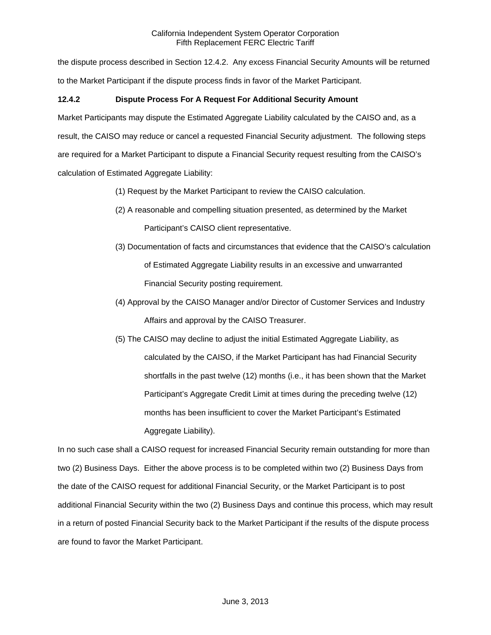the dispute process described in Section 12.4.2. Any excess Financial Security Amounts will be returned to the Market Participant if the dispute process finds in favor of the Market Participant.

# **12.4.2 Dispute Process For A Request For Additional Security Amount**

Market Participants may dispute the Estimated Aggregate Liability calculated by the CAISO and, as a result, the CAISO may reduce or cancel a requested Financial Security adjustment. The following steps are required for a Market Participant to dispute a Financial Security request resulting from the CAISO's calculation of Estimated Aggregate Liability:

- (1) Request by the Market Participant to review the CAISO calculation.
- (2) A reasonable and compelling situation presented, as determined by the Market Participant's CAISO client representative.
- (3) Documentation of facts and circumstances that evidence that the CAISO's calculation of Estimated Aggregate Liability results in an excessive and unwarranted Financial Security posting requirement.
- (4) Approval by the CAISO Manager and/or Director of Customer Services and Industry Affairs and approval by the CAISO Treasurer.
- (5) The CAISO may decline to adjust the initial Estimated Aggregate Liability, as calculated by the CAISO, if the Market Participant has had Financial Security shortfalls in the past twelve (12) months (i.e., it has been shown that the Market Participant's Aggregate Credit Limit at times during the preceding twelve (12) months has been insufficient to cover the Market Participant's Estimated Aggregate Liability).

In no such case shall a CAISO request for increased Financial Security remain outstanding for more than two (2) Business Days. Either the above process is to be completed within two (2) Business Days from the date of the CAISO request for additional Financial Security, or the Market Participant is to post additional Financial Security within the two (2) Business Days and continue this process, which may result in a return of posted Financial Security back to the Market Participant if the results of the dispute process are found to favor the Market Participant.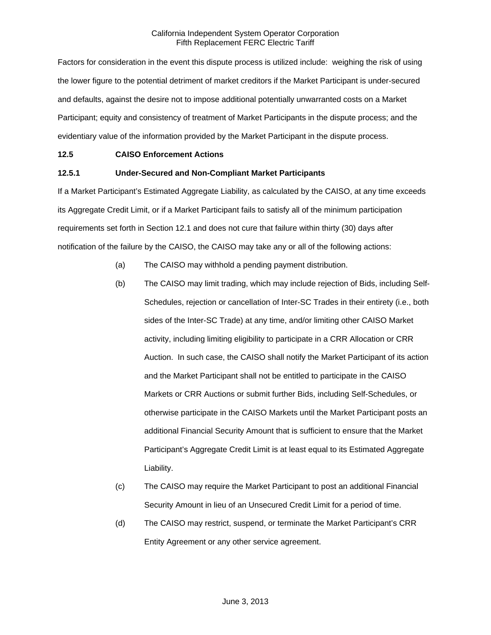Factors for consideration in the event this dispute process is utilized include: weighing the risk of using the lower figure to the potential detriment of market creditors if the Market Participant is under-secured and defaults, against the desire not to impose additional potentially unwarranted costs on a Market Participant; equity and consistency of treatment of Market Participants in the dispute process; and the evidentiary value of the information provided by the Market Participant in the dispute process.

# **12.5 CAISO Enforcement Actions**

# **12.5.1 Under-Secured and Non-Compliant Market Participants**

If a Market Participant's Estimated Aggregate Liability, as calculated by the CAISO, at any time exceeds its Aggregate Credit Limit, or if a Market Participant fails to satisfy all of the minimum participation requirements set forth in Section 12.1 and does not cure that failure within thirty (30) days after notification of the failure by the CAISO, the CAISO may take any or all of the following actions:

- (a) The CAISO may withhold a pending payment distribution.
- (b) The CAISO may limit trading, which may include rejection of Bids, including Self-Schedules, rejection or cancellation of Inter-SC Trades in their entirety (i.e., both sides of the Inter-SC Trade) at any time, and/or limiting other CAISO Market activity, including limiting eligibility to participate in a CRR Allocation or CRR Auction. In such case, the CAISO shall notify the Market Participant of its action and the Market Participant shall not be entitled to participate in the CAISO Markets or CRR Auctions or submit further Bids, including Self-Schedules, or otherwise participate in the CAISO Markets until the Market Participant posts an additional Financial Security Amount that is sufficient to ensure that the Market Participant's Aggregate Credit Limit is at least equal to its Estimated Aggregate Liability.
- (c) The CAISO may require the Market Participant to post an additional Financial Security Amount in lieu of an Unsecured Credit Limit for a period of time.
- (d) The CAISO may restrict, suspend, or terminate the Market Participant's CRR Entity Agreement or any other service agreement.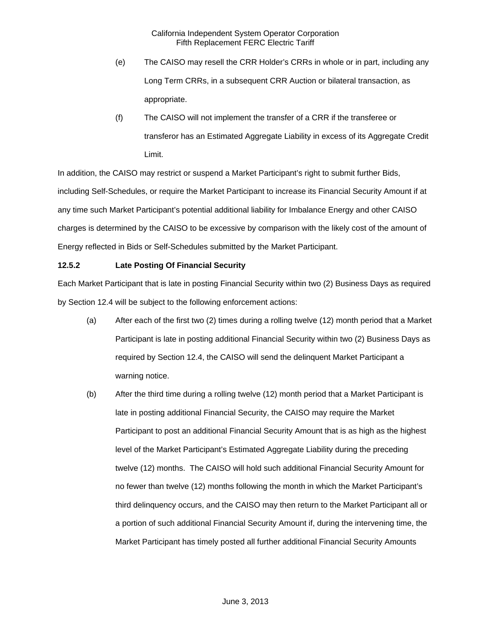- (e) The CAISO may resell the CRR Holder's CRRs in whole or in part, including any Long Term CRRs, in a subsequent CRR Auction or bilateral transaction, as appropriate.
- (f) The CAISO will not implement the transfer of a CRR if the transferee or transferor has an Estimated Aggregate Liability in excess of its Aggregate Credit Limit.

In addition, the CAISO may restrict or suspend a Market Participant's right to submit further Bids, including Self-Schedules, or require the Market Participant to increase its Financial Security Amount if at any time such Market Participant's potential additional liability for Imbalance Energy and other CAISO charges is determined by the CAISO to be excessive by comparison with the likely cost of the amount of Energy reflected in Bids or Self-Schedules submitted by the Market Participant.

# **12.5.2 Late Posting Of Financial Security**

Each Market Participant that is late in posting Financial Security within two (2) Business Days as required by Section 12.4 will be subject to the following enforcement actions:

- (a) After each of the first two (2) times during a rolling twelve (12) month period that a Market Participant is late in posting additional Financial Security within two (2) Business Days as required by Section 12.4, the CAISO will send the delinquent Market Participant a warning notice.
- (b) After the third time during a rolling twelve (12) month period that a Market Participant is late in posting additional Financial Security, the CAISO may require the Market Participant to post an additional Financial Security Amount that is as high as the highest level of the Market Participant's Estimated Aggregate Liability during the preceding twelve (12) months. The CAISO will hold such additional Financial Security Amount for no fewer than twelve (12) months following the month in which the Market Participant's third delinquency occurs, and the CAISO may then return to the Market Participant all or a portion of such additional Financial Security Amount if, during the intervening time, the Market Participant has timely posted all further additional Financial Security Amounts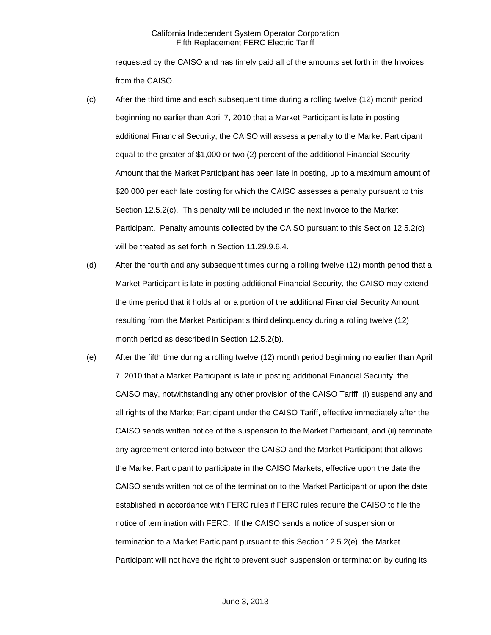requested by the CAISO and has timely paid all of the amounts set forth in the Invoices from the CAISO.

- (c) After the third time and each subsequent time during a rolling twelve (12) month period beginning no earlier than April 7, 2010 that a Market Participant is late in posting additional Financial Security, the CAISO will assess a penalty to the Market Participant equal to the greater of \$1,000 or two (2) percent of the additional Financial Security Amount that the Market Participant has been late in posting, up to a maximum amount of \$20,000 per each late posting for which the CAISO assesses a penalty pursuant to this Section 12.5.2(c). This penalty will be included in the next Invoice to the Market Participant. Penalty amounts collected by the CAISO pursuant to this Section 12.5.2(c) will be treated as set forth in Section 11.29.9.6.4.
- (d) After the fourth and any subsequent times during a rolling twelve (12) month period that a Market Participant is late in posting additional Financial Security, the CAISO may extend the time period that it holds all or a portion of the additional Financial Security Amount resulting from the Market Participant's third delinquency during a rolling twelve (12) month period as described in Section 12.5.2(b).
- (e) After the fifth time during a rolling twelve (12) month period beginning no earlier than April 7, 2010 that a Market Participant is late in posting additional Financial Security, the CAISO may, notwithstanding any other provision of the CAISO Tariff, (i) suspend any and all rights of the Market Participant under the CAISO Tariff, effective immediately after the CAISO sends written notice of the suspension to the Market Participant, and (ii) terminate any agreement entered into between the CAISO and the Market Participant that allows the Market Participant to participate in the CAISO Markets, effective upon the date the CAISO sends written notice of the termination to the Market Participant or upon the date established in accordance with FERC rules if FERC rules require the CAISO to file the notice of termination with FERC. If the CAISO sends a notice of suspension or termination to a Market Participant pursuant to this Section 12.5.2(e), the Market Participant will not have the right to prevent such suspension or termination by curing its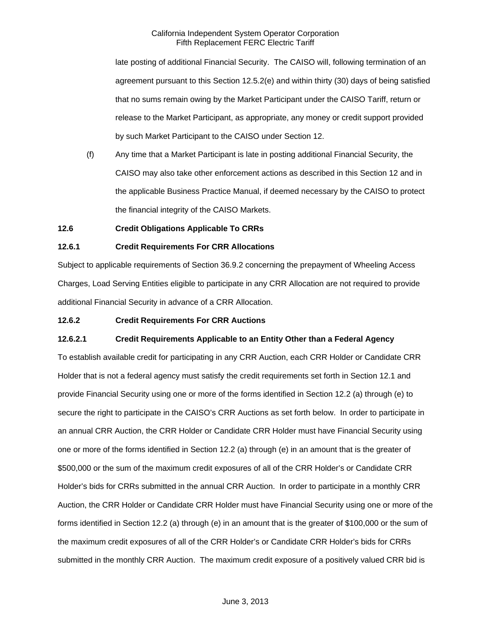late posting of additional Financial Security. The CAISO will, following termination of an agreement pursuant to this Section 12.5.2(e) and within thirty (30) days of being satisfied that no sums remain owing by the Market Participant under the CAISO Tariff, return or release to the Market Participant, as appropriate, any money or credit support provided by such Market Participant to the CAISO under Section 12.

(f) Any time that a Market Participant is late in posting additional Financial Security, the CAISO may also take other enforcement actions as described in this Section 12 and in the applicable Business Practice Manual, if deemed necessary by the CAISO to protect the financial integrity of the CAISO Markets.

# **12.6 Credit Obligations Applicable To CRRs**

# **12.6.1 Credit Requirements For CRR Allocations**

Subject to applicable requirements of Section 36.9.2 concerning the prepayment of Wheeling Access Charges, Load Serving Entities eligible to participate in any CRR Allocation are not required to provide additional Financial Security in advance of a CRR Allocation.

### **12.6.2 Credit Requirements For CRR Auctions**

### **12.6.2.1 Credit Requirements Applicable to an Entity Other than a Federal Agency**

To establish available credit for participating in any CRR Auction, each CRR Holder or Candidate CRR Holder that is not a federal agency must satisfy the credit requirements set forth in Section 12.1 and provide Financial Security using one or more of the forms identified in Section 12.2 (a) through (e) to secure the right to participate in the CAISO's CRR Auctions as set forth below. In order to participate in an annual CRR Auction, the CRR Holder or Candidate CRR Holder must have Financial Security using one or more of the forms identified in Section 12.2 (a) through (e) in an amount that is the greater of \$500,000 or the sum of the maximum credit exposures of all of the CRR Holder's or Candidate CRR Holder's bids for CRRs submitted in the annual CRR Auction. In order to participate in a monthly CRR Auction, the CRR Holder or Candidate CRR Holder must have Financial Security using one or more of the forms identified in Section 12.2 (a) through (e) in an amount that is the greater of \$100,000 or the sum of the maximum credit exposures of all of the CRR Holder's or Candidate CRR Holder's bids for CRRs submitted in the monthly CRR Auction. The maximum credit exposure of a positively valued CRR bid is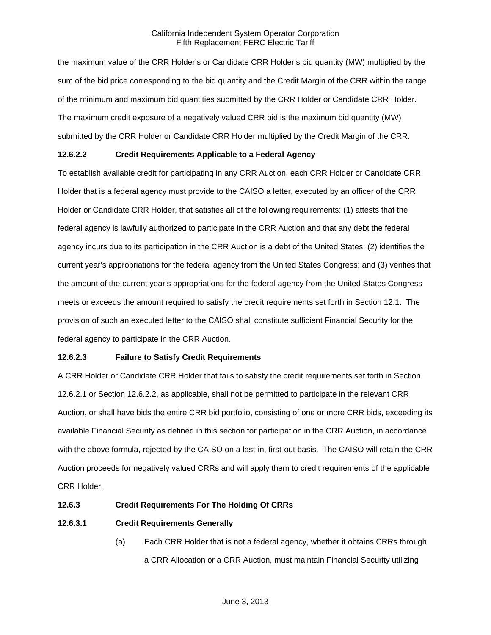the maximum value of the CRR Holder's or Candidate CRR Holder's bid quantity (MW) multiplied by the sum of the bid price corresponding to the bid quantity and the Credit Margin of the CRR within the range of the minimum and maximum bid quantities submitted by the CRR Holder or Candidate CRR Holder. The maximum credit exposure of a negatively valued CRR bid is the maximum bid quantity (MW) submitted by the CRR Holder or Candidate CRR Holder multiplied by the Credit Margin of the CRR.

# **12.6.2.2 Credit Requirements Applicable to a Federal Agency**

To establish available credit for participating in any CRR Auction, each CRR Holder or Candidate CRR Holder that is a federal agency must provide to the CAISO a letter, executed by an officer of the CRR Holder or Candidate CRR Holder, that satisfies all of the following requirements: (1) attests that the federal agency is lawfully authorized to participate in the CRR Auction and that any debt the federal agency incurs due to its participation in the CRR Auction is a debt of the United States; (2) identifies the current year's appropriations for the federal agency from the United States Congress; and (3) verifies that the amount of the current year's appropriations for the federal agency from the United States Congress meets or exceeds the amount required to satisfy the credit requirements set forth in Section 12.1. The provision of such an executed letter to the CAISO shall constitute sufficient Financial Security for the federal agency to participate in the CRR Auction.

# **12.6.2.3 Failure to Satisfy Credit Requirements**

A CRR Holder or Candidate CRR Holder that fails to satisfy the credit requirements set forth in Section 12.6.2.1 or Section 12.6.2.2, as applicable, shall not be permitted to participate in the relevant CRR Auction, or shall have bids the entire CRR bid portfolio, consisting of one or more CRR bids, exceeding its available Financial Security as defined in this section for participation in the CRR Auction, in accordance with the above formula, rejected by the CAISO on a last-in, first-out basis. The CAISO will retain the CRR Auction proceeds for negatively valued CRRs and will apply them to credit requirements of the applicable CRR Holder.

### **12.6.3 Credit Requirements For The Holding Of CRRs**

# **12.6.3.1 Credit Requirements Generally**

(a) Each CRR Holder that is not a federal agency, whether it obtains CRRs through a CRR Allocation or a CRR Auction, must maintain Financial Security utilizing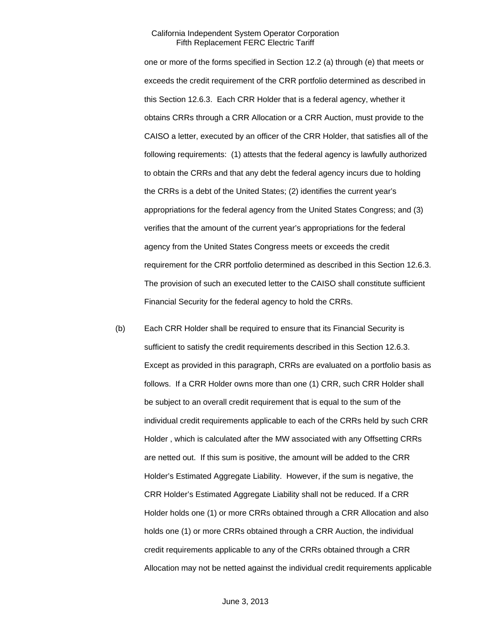one or more of the forms specified in Section 12.2 (a) through (e) that meets or exceeds the credit requirement of the CRR portfolio determined as described in this Section 12.6.3. Each CRR Holder that is a federal agency, whether it obtains CRRs through a CRR Allocation or a CRR Auction, must provide to the CAISO a letter, executed by an officer of the CRR Holder, that satisfies all of the following requirements: (1) attests that the federal agency is lawfully authorized to obtain the CRRs and that any debt the federal agency incurs due to holding the CRRs is a debt of the United States; (2) identifies the current year's appropriations for the federal agency from the United States Congress; and (3) verifies that the amount of the current year's appropriations for the federal agency from the United States Congress meets or exceeds the credit requirement for the CRR portfolio determined as described in this Section 12.6.3. The provision of such an executed letter to the CAISO shall constitute sufficient Financial Security for the federal agency to hold the CRRs.

(b) Each CRR Holder shall be required to ensure that its Financial Security is sufficient to satisfy the credit requirements described in this Section 12.6.3. Except as provided in this paragraph, CRRs are evaluated on a portfolio basis as follows. If a CRR Holder owns more than one (1) CRR, such CRR Holder shall be subject to an overall credit requirement that is equal to the sum of the individual credit requirements applicable to each of the CRRs held by such CRR Holder , which is calculated after the MW associated with any Offsetting CRRs are netted out. If this sum is positive, the amount will be added to the CRR Holder's Estimated Aggregate Liability. However, if the sum is negative, the CRR Holder's Estimated Aggregate Liability shall not be reduced. If a CRR Holder holds one (1) or more CRRs obtained through a CRR Allocation and also holds one (1) or more CRRs obtained through a CRR Auction, the individual credit requirements applicable to any of the CRRs obtained through a CRR Allocation may not be netted against the individual credit requirements applicable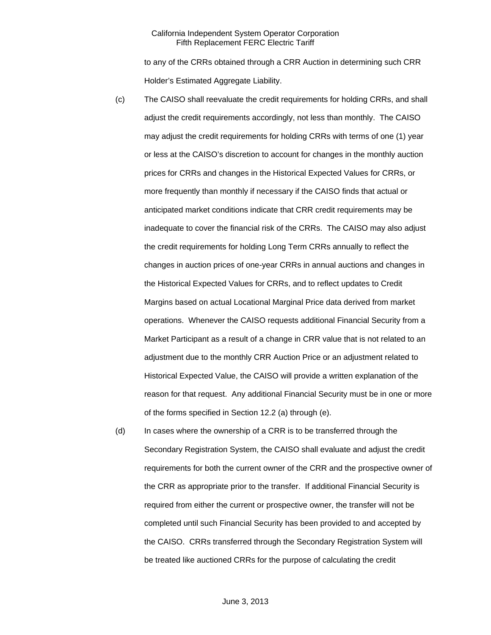to any of the CRRs obtained through a CRR Auction in determining such CRR Holder's Estimated Aggregate Liability.

- (c) The CAISO shall reevaluate the credit requirements for holding CRRs, and shall adjust the credit requirements accordingly, not less than monthly. The CAISO may adjust the credit requirements for holding CRRs with terms of one (1) year or less at the CAISO's discretion to account for changes in the monthly auction prices for CRRs and changes in the Historical Expected Values for CRRs, or more frequently than monthly if necessary if the CAISO finds that actual or anticipated market conditions indicate that CRR credit requirements may be inadequate to cover the financial risk of the CRRs. The CAISO may also adjust the credit requirements for holding Long Term CRRs annually to reflect the changes in auction prices of one-year CRRs in annual auctions and changes in the Historical Expected Values for CRRs, and to reflect updates to Credit Margins based on actual Locational Marginal Price data derived from market operations. Whenever the CAISO requests additional Financial Security from a Market Participant as a result of a change in CRR value that is not related to an adjustment due to the monthly CRR Auction Price or an adjustment related to Historical Expected Value, the CAISO will provide a written explanation of the reason for that request. Any additional Financial Security must be in one or more of the forms specified in Section 12.2 (a) through (e).
- (d) In cases where the ownership of a CRR is to be transferred through the Secondary Registration System, the CAISO shall evaluate and adjust the credit requirements for both the current owner of the CRR and the prospective owner of the CRR as appropriate prior to the transfer. If additional Financial Security is required from either the current or prospective owner, the transfer will not be completed until such Financial Security has been provided to and accepted by the CAISO. CRRs transferred through the Secondary Registration System will be treated like auctioned CRRs for the purpose of calculating the credit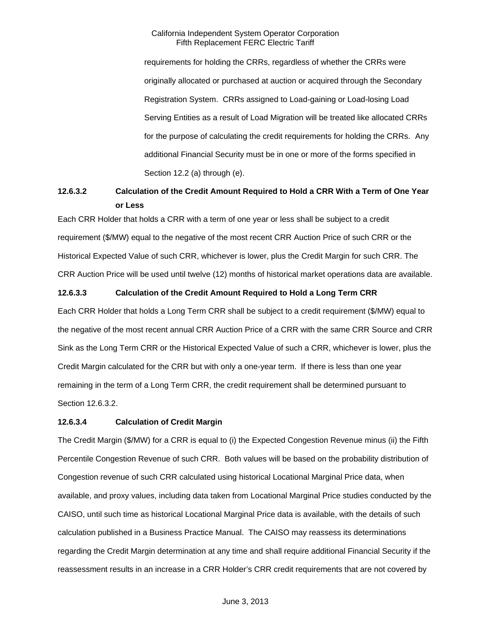requirements for holding the CRRs, regardless of whether the CRRs were originally allocated or purchased at auction or acquired through the Secondary Registration System. CRRs assigned to Load-gaining or Load-losing Load Serving Entities as a result of Load Migration will be treated like allocated CRRs for the purpose of calculating the credit requirements for holding the CRRs. Any additional Financial Security must be in one or more of the forms specified in Section 12.2 (a) through (e).

# **12.6.3.2 Calculation of the Credit Amount Required to Hold a CRR With a Term of One Year or Less**

Each CRR Holder that holds a CRR with a term of one year or less shall be subject to a credit requirement (\$/MW) equal to the negative of the most recent CRR Auction Price of such CRR or the Historical Expected Value of such CRR, whichever is lower, plus the Credit Margin for such CRR. The CRR Auction Price will be used until twelve (12) months of historical market operations data are available.

# **12.6.3.3 Calculation of the Credit Amount Required to Hold a Long Term CRR**

Each CRR Holder that holds a Long Term CRR shall be subject to a credit requirement (\$/MW) equal to the negative of the most recent annual CRR Auction Price of a CRR with the same CRR Source and CRR Sink as the Long Term CRR or the Historical Expected Value of such a CRR, whichever is lower, plus the Credit Margin calculated for the CRR but with only a one-year term. If there is less than one year remaining in the term of a Long Term CRR, the credit requirement shall be determined pursuant to Section 12.6.3.2.

### **12.6.3.4 Calculation of Credit Margin**

The Credit Margin (\$/MW) for a CRR is equal to (i) the Expected Congestion Revenue minus (ii) the Fifth Percentile Congestion Revenue of such CRR. Both values will be based on the probability distribution of Congestion revenue of such CRR calculated using historical Locational Marginal Price data, when available, and proxy values, including data taken from Locational Marginal Price studies conducted by the CAISO, until such time as historical Locational Marginal Price data is available, with the details of such calculation published in a Business Practice Manual. The CAISO may reassess its determinations regarding the Credit Margin determination at any time and shall require additional Financial Security if the reassessment results in an increase in a CRR Holder's CRR credit requirements that are not covered by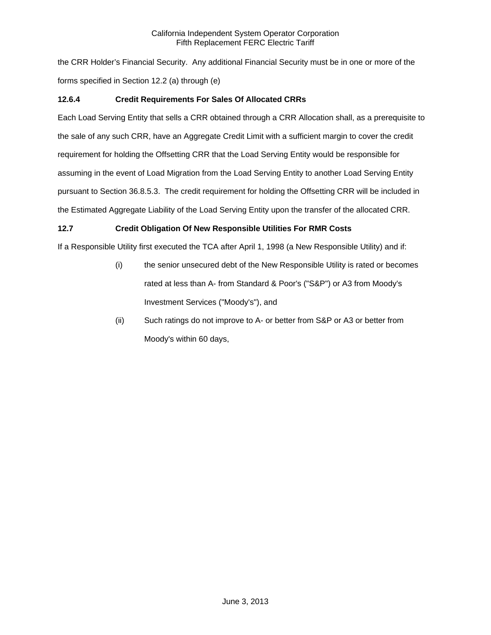the CRR Holder's Financial Security. Any additional Financial Security must be in one or more of the forms specified in Section 12.2 (a) through (e)

# **12.6.4 Credit Requirements For Sales Of Allocated CRRs**

Each Load Serving Entity that sells a CRR obtained through a CRR Allocation shall, as a prerequisite to the sale of any such CRR, have an Aggregate Credit Limit with a sufficient margin to cover the credit requirement for holding the Offsetting CRR that the Load Serving Entity would be responsible for assuming in the event of Load Migration from the Load Serving Entity to another Load Serving Entity pursuant to Section 36.8.5.3. The credit requirement for holding the Offsetting CRR will be included in the Estimated Aggregate Liability of the Load Serving Entity upon the transfer of the allocated CRR.

# **12.7 Credit Obligation Of New Responsible Utilities For RMR Costs**

If a Responsible Utility first executed the TCA after April 1, 1998 (a New Responsible Utility) and if:

- (i) the senior unsecured debt of the New Responsible Utility is rated or becomes rated at less than A- from Standard & Poor's ("S&P") or A3 from Moody's Investment Services ("Moody's"), and
- (ii) Such ratings do not improve to A- or better from S&P or A3 or better from Moody's within 60 days,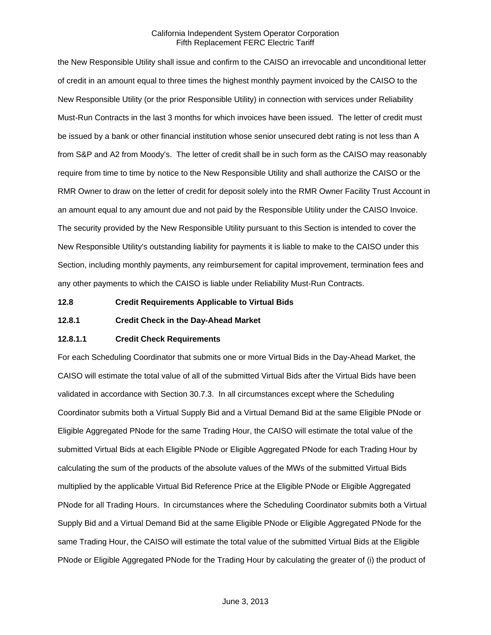the New Responsible Utility shall issue and confirm to the CAISO an irrevocable and unconditional letter of credit in an amount equal to three times the highest monthly payment invoiced by the CAISO to the New Responsible Utility (or the prior Responsible Utility) in connection with services under Reliability Must-Run Contracts in the last 3 months for which invoices have been issued. The letter of credit must be issued by a bank or other financial institution whose senior unsecured debt rating is not less than A from S&P and A2 from Moody's. The letter of credit shall be in such form as the CAISO may reasonably require from time to time by notice to the New Responsible Utility and shall authorize the CAISO or the RMR Owner to draw on the letter of credit for deposit solely into the RMR Owner Facility Trust Account in an amount equal to any amount due and not paid by the Responsible Utility under the CAISO Invoice. The security provided by the New Responsible Utility pursuant to this Section is intended to cover the New Responsible Utility's outstanding liability for payments it is liable to make to the CAISO under this Section, including monthly payments, any reimbursement for capital improvement, termination fees and any other payments to which the CAISO is liable under Reliability Must-Run Contracts.

**12.8 Credit Requirements Applicable to Virtual Bids** 

**12.8.1 Credit Check in the Day-Ahead Market** 

### **12.8.1.1 Credit Check Requirements**

For each Scheduling Coordinator that submits one or more Virtual Bids in the Day-Ahead Market, the CAISO will estimate the total value of all of the submitted Virtual Bids after the Virtual Bids have been validated in accordance with Section 30.7.3. In all circumstances except where the Scheduling Coordinator submits both a Virtual Supply Bid and a Virtual Demand Bid at the same Eligible PNode or Eligible Aggregated PNode for the same Trading Hour, the CAISO will estimate the total value of the submitted Virtual Bids at each Eligible PNode or Eligible Aggregated PNode for each Trading Hour by calculating the sum of the products of the absolute values of the MWs of the submitted Virtual Bids multiplied by the applicable Virtual Bid Reference Price at the Eligible PNode or Eligible Aggregated PNode for all Trading Hours. In circumstances where the Scheduling Coordinator submits both a Virtual Supply Bid and a Virtual Demand Bid at the same Eligible PNode or Eligible Aggregated PNode for the same Trading Hour, the CAISO will estimate the total value of the submitted Virtual Bids at the Eligible PNode or Eligible Aggregated PNode for the Trading Hour by calculating the greater of (i) the product of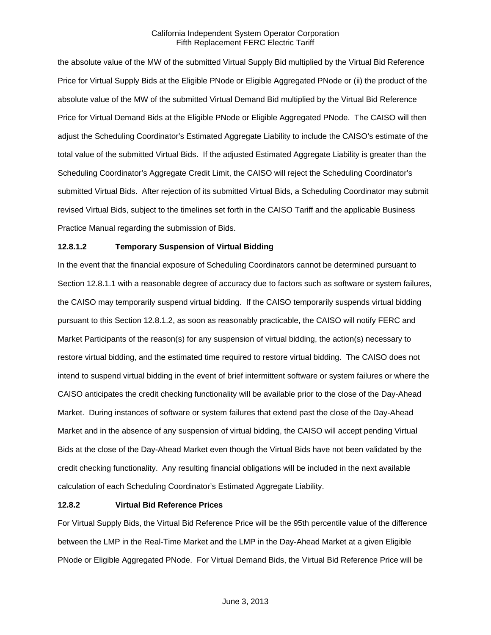the absolute value of the MW of the submitted Virtual Supply Bid multiplied by the Virtual Bid Reference Price for Virtual Supply Bids at the Eligible PNode or Eligible Aggregated PNode or (ii) the product of the absolute value of the MW of the submitted Virtual Demand Bid multiplied by the Virtual Bid Reference Price for Virtual Demand Bids at the Eligible PNode or Eligible Aggregated PNode. The CAISO will then adjust the Scheduling Coordinator's Estimated Aggregate Liability to include the CAISO's estimate of the total value of the submitted Virtual Bids. If the adjusted Estimated Aggregate Liability is greater than the Scheduling Coordinator's Aggregate Credit Limit, the CAISO will reject the Scheduling Coordinator's submitted Virtual Bids. After rejection of its submitted Virtual Bids, a Scheduling Coordinator may submit revised Virtual Bids, subject to the timelines set forth in the CAISO Tariff and the applicable Business Practice Manual regarding the submission of Bids.

# **12.8.1.2 Temporary Suspension of Virtual Bidding**

In the event that the financial exposure of Scheduling Coordinators cannot be determined pursuant to Section 12.8.1.1 with a reasonable degree of accuracy due to factors such as software or system failures, the CAISO may temporarily suspend virtual bidding. If the CAISO temporarily suspends virtual bidding pursuant to this Section 12.8.1.2, as soon as reasonably practicable, the CAISO will notify FERC and Market Participants of the reason(s) for any suspension of virtual bidding, the action(s) necessary to restore virtual bidding, and the estimated time required to restore virtual bidding. The CAISO does not intend to suspend virtual bidding in the event of brief intermittent software or system failures or where the CAISO anticipates the credit checking functionality will be available prior to the close of the Day-Ahead Market. During instances of software or system failures that extend past the close of the Day-Ahead Market and in the absence of any suspension of virtual bidding, the CAISO will accept pending Virtual Bids at the close of the Day-Ahead Market even though the Virtual Bids have not been validated by the credit checking functionality. Any resulting financial obligations will be included in the next available calculation of each Scheduling Coordinator's Estimated Aggregate Liability.

### **12.8.2 Virtual Bid Reference Prices**

For Virtual Supply Bids, the Virtual Bid Reference Price will be the 95th percentile value of the difference between the LMP in the Real-Time Market and the LMP in the Day-Ahead Market at a given Eligible PNode or Eligible Aggregated PNode. For Virtual Demand Bids, the Virtual Bid Reference Price will be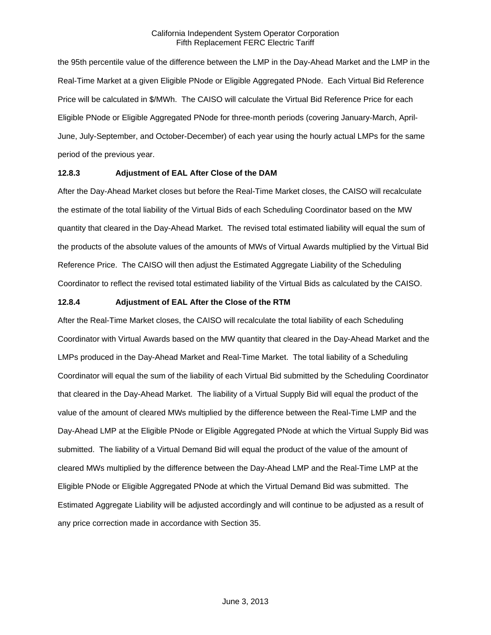the 95th percentile value of the difference between the LMP in the Day-Ahead Market and the LMP in the Real-Time Market at a given Eligible PNode or Eligible Aggregated PNode. Each Virtual Bid Reference Price will be calculated in \$/MWh. The CAISO will calculate the Virtual Bid Reference Price for each Eligible PNode or Eligible Aggregated PNode for three-month periods (covering January-March, April-June, July-September, and October-December) of each year using the hourly actual LMPs for the same period of the previous year.

### **12.8.3 Adjustment of EAL After Close of the DAM**

After the Day-Ahead Market closes but before the Real-Time Market closes, the CAISO will recalculate the estimate of the total liability of the Virtual Bids of each Scheduling Coordinator based on the MW quantity that cleared in the Day-Ahead Market. The revised total estimated liability will equal the sum of the products of the absolute values of the amounts of MWs of Virtual Awards multiplied by the Virtual Bid Reference Price. The CAISO will then adjust the Estimated Aggregate Liability of the Scheduling Coordinator to reflect the revised total estimated liability of the Virtual Bids as calculated by the CAISO.

# **12.8.4 Adjustment of EAL After the Close of the RTM**

After the Real-Time Market closes, the CAISO will recalculate the total liability of each Scheduling Coordinator with Virtual Awards based on the MW quantity that cleared in the Day-Ahead Market and the LMPs produced in the Day-Ahead Market and Real-Time Market. The total liability of a Scheduling Coordinator will equal the sum of the liability of each Virtual Bid submitted by the Scheduling Coordinator that cleared in the Day-Ahead Market. The liability of a Virtual Supply Bid will equal the product of the value of the amount of cleared MWs multiplied by the difference between the Real-Time LMP and the Day-Ahead LMP at the Eligible PNode or Eligible Aggregated PNode at which the Virtual Supply Bid was submitted. The liability of a Virtual Demand Bid will equal the product of the value of the amount of cleared MWs multiplied by the difference between the Day-Ahead LMP and the Real-Time LMP at the Eligible PNode or Eligible Aggregated PNode at which the Virtual Demand Bid was submitted. The Estimated Aggregate Liability will be adjusted accordingly and will continue to be adjusted as a result of any price correction made in accordance with Section 35.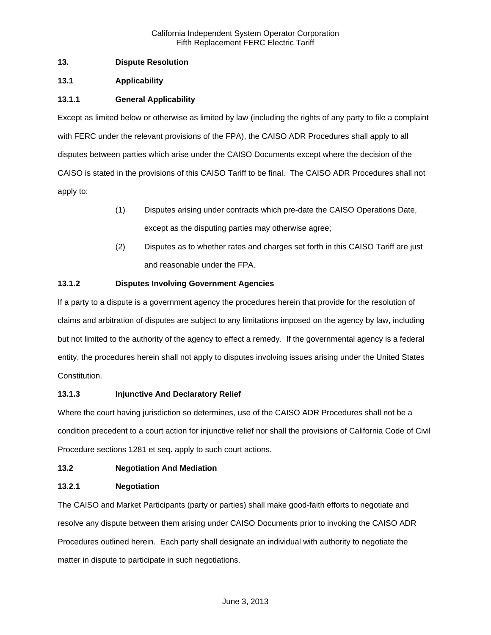# **13. Dispute Resolution**

# **13.1 Applicability**

# **13.1.1 General Applicability**

Except as limited below or otherwise as limited by law (including the rights of any party to file a complaint with FERC under the relevant provisions of the FPA), the CAISO ADR Procedures shall apply to all disputes between parties which arise under the CAISO Documents except where the decision of the CAISO is stated in the provisions of this CAISO Tariff to be final. The CAISO ADR Procedures shall not apply to:

- (1) Disputes arising under contracts which pre-date the CAISO Operations Date, except as the disputing parties may otherwise agree;
- (2) Disputes as to whether rates and charges set forth in this CAISO Tariff are just and reasonable under the FPA.

# **13.1.2 Disputes Involving Government Agencies**

If a party to a dispute is a government agency the procedures herein that provide for the resolution of claims and arbitration of disputes are subject to any limitations imposed on the agency by law, including but not limited to the authority of the agency to effect a remedy. If the governmental agency is a federal entity, the procedures herein shall not apply to disputes involving issues arising under the United States Constitution.

# **13.1.3 Injunctive And Declaratory Relief**

Where the court having jurisdiction so determines, use of the CAISO ADR Procedures shall not be a condition precedent to a court action for injunctive relief nor shall the provisions of California Code of Civil Procedure sections 1281 et seq. apply to such court actions.

# **13.2 Negotiation And Mediation**

# **13.2.1 Negotiation**

The CAISO and Market Participants (party or parties) shall make good-faith efforts to negotiate and resolve any dispute between them arising under CAISO Documents prior to invoking the CAISO ADR Procedures outlined herein. Each party shall designate an individual with authority to negotiate the matter in dispute to participate in such negotiations.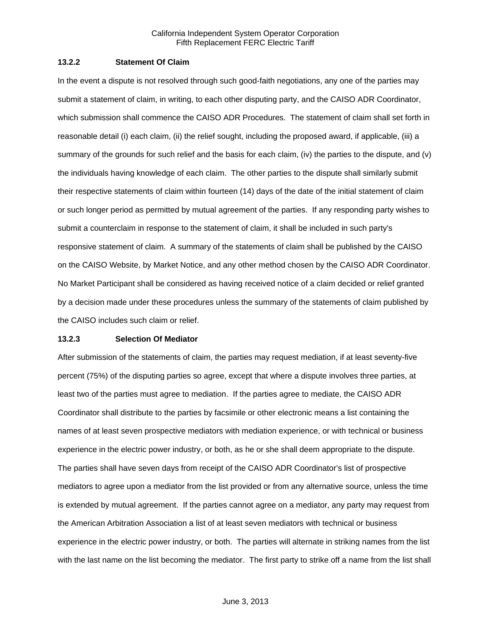# **13.2.2 Statement Of Claim**

In the event a dispute is not resolved through such good-faith negotiations, any one of the parties may submit a statement of claim, in writing, to each other disputing party, and the CAISO ADR Coordinator, which submission shall commence the CAISO ADR Procedures. The statement of claim shall set forth in reasonable detail (i) each claim, (ii) the relief sought, including the proposed award, if applicable, (iii) a summary of the grounds for such relief and the basis for each claim, (iv) the parties to the dispute, and (v) the individuals having knowledge of each claim. The other parties to the dispute shall similarly submit their respective statements of claim within fourteen (14) days of the date of the initial statement of claim or such longer period as permitted by mutual agreement of the parties. If any responding party wishes to submit a counterclaim in response to the statement of claim, it shall be included in such party's responsive statement of claim. A summary of the statements of claim shall be published by the CAISO on the CAISO Website, by Market Notice, and any other method chosen by the CAISO ADR Coordinator. No Market Participant shall be considered as having received notice of a claim decided or relief granted by a decision made under these procedures unless the summary of the statements of claim published by the CAISO includes such claim or relief.

#### **13.2.3 Selection Of Mediator**

After submission of the statements of claim, the parties may request mediation, if at least seventy-five percent (75%) of the disputing parties so agree, except that where a dispute involves three parties, at least two of the parties must agree to mediation. If the parties agree to mediate, the CAISO ADR Coordinator shall distribute to the parties by facsimile or other electronic means a list containing the names of at least seven prospective mediators with mediation experience, or with technical or business experience in the electric power industry, or both, as he or she shall deem appropriate to the dispute. The parties shall have seven days from receipt of the CAISO ADR Coordinator's list of prospective mediators to agree upon a mediator from the list provided or from any alternative source, unless the time is extended by mutual agreement. If the parties cannot agree on a mediator, any party may request from the American Arbitration Association a list of at least seven mediators with technical or business experience in the electric power industry, or both. The parties will alternate in striking names from the list with the last name on the list becoming the mediator. The first party to strike off a name from the list shall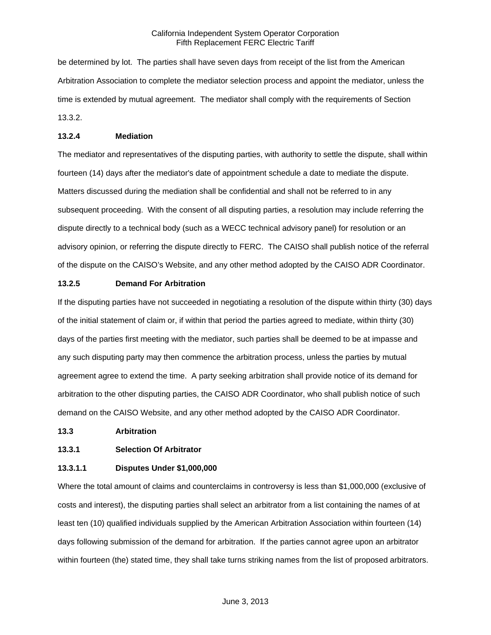be determined by lot. The parties shall have seven days from receipt of the list from the American Arbitration Association to complete the mediator selection process and appoint the mediator, unless the time is extended by mutual agreement. The mediator shall comply with the requirements of Section 13.3.2.

### **13.2.4 Mediation**

The mediator and representatives of the disputing parties, with authority to settle the dispute, shall within fourteen (14) days after the mediator's date of appointment schedule a date to mediate the dispute. Matters discussed during the mediation shall be confidential and shall not be referred to in any subsequent proceeding. With the consent of all disputing parties, a resolution may include referring the dispute directly to a technical body (such as a WECC technical advisory panel) for resolution or an advisory opinion, or referring the dispute directly to FERC. The CAISO shall publish notice of the referral of the dispute on the CAISO's Website, and any other method adopted by the CAISO ADR Coordinator.

### **13.2.5 Demand For Arbitration**

If the disputing parties have not succeeded in negotiating a resolution of the dispute within thirty (30) days of the initial statement of claim or, if within that period the parties agreed to mediate, within thirty (30) days of the parties first meeting with the mediator, such parties shall be deemed to be at impasse and any such disputing party may then commence the arbitration process, unless the parties by mutual agreement agree to extend the time. A party seeking arbitration shall provide notice of its demand for arbitration to the other disputing parties, the CAISO ADR Coordinator, who shall publish notice of such demand on the CAISO Website, and any other method adopted by the CAISO ADR Coordinator.

#### **13.3 Arbitration**

## **13.3.1 Selection Of Arbitrator**

## **13.3.1.1 Disputes Under \$1,000,000**

Where the total amount of claims and counterclaims in controversy is less than \$1,000,000 (exclusive of costs and interest), the disputing parties shall select an arbitrator from a list containing the names of at least ten (10) qualified individuals supplied by the American Arbitration Association within fourteen (14) days following submission of the demand for arbitration. If the parties cannot agree upon an arbitrator within fourteen (the) stated time, they shall take turns striking names from the list of proposed arbitrators.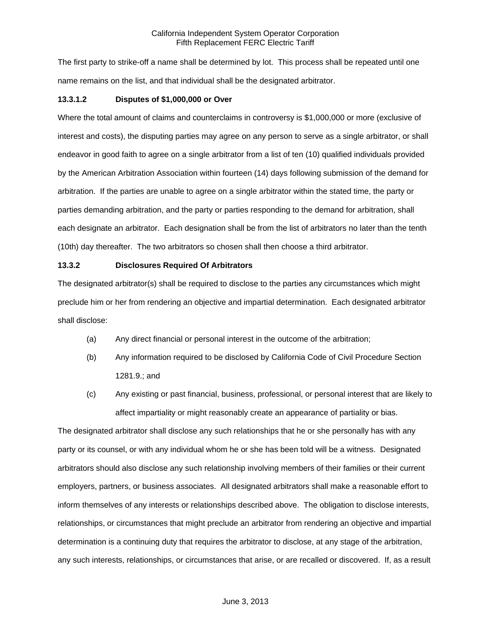The first party to strike-off a name shall be determined by lot. This process shall be repeated until one name remains on the list, and that individual shall be the designated arbitrator.

### **13.3.1.2 Disputes of \$1,000,000 or Over**

Where the total amount of claims and counterclaims in controversy is \$1,000,000 or more (exclusive of interest and costs), the disputing parties may agree on any person to serve as a single arbitrator, or shall endeavor in good faith to agree on a single arbitrator from a list of ten (10) qualified individuals provided by the American Arbitration Association within fourteen (14) days following submission of the demand for arbitration. If the parties are unable to agree on a single arbitrator within the stated time, the party or parties demanding arbitration, and the party or parties responding to the demand for arbitration, shall each designate an arbitrator. Each designation shall be from the list of arbitrators no later than the tenth (10th) day thereafter. The two arbitrators so chosen shall then choose a third arbitrator.

#### **13.3.2 Disclosures Required Of Arbitrators**

The designated arbitrator(s) shall be required to disclose to the parties any circumstances which might preclude him or her from rendering an objective and impartial determination. Each designated arbitrator shall disclose:

- (a) Any direct financial or personal interest in the outcome of the arbitration;
- (b) Any information required to be disclosed by California Code of Civil Procedure Section 1281.9.; and
- (c) Any existing or past financial, business, professional, or personal interest that are likely to affect impartiality or might reasonably create an appearance of partiality or bias.

The designated arbitrator shall disclose any such relationships that he or she personally has with any party or its counsel, or with any individual whom he or she has been told will be a witness. Designated arbitrators should also disclose any such relationship involving members of their families or their current employers, partners, or business associates. All designated arbitrators shall make a reasonable effort to inform themselves of any interests or relationships described above. The obligation to disclose interests, relationships, or circumstances that might preclude an arbitrator from rendering an objective and impartial determination is a continuing duty that requires the arbitrator to disclose, at any stage of the arbitration, any such interests, relationships, or circumstances that arise, or are recalled or discovered. If, as a result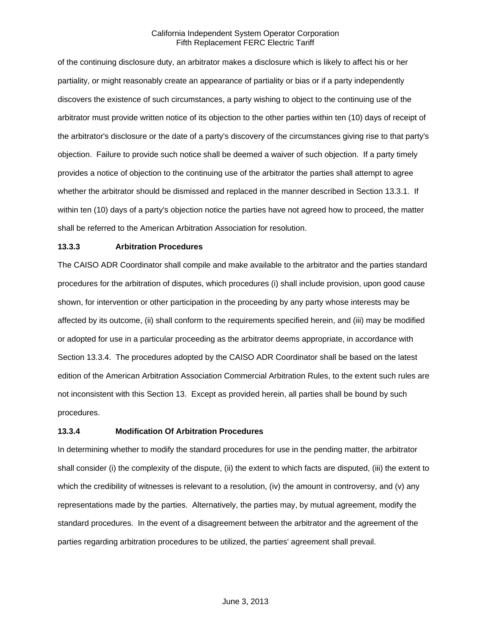of the continuing disclosure duty, an arbitrator makes a disclosure which is likely to affect his or her partiality, or might reasonably create an appearance of partiality or bias or if a party independently discovers the existence of such circumstances, a party wishing to object to the continuing use of the arbitrator must provide written notice of its objection to the other parties within ten (10) days of receipt of the arbitrator's disclosure or the date of a party's discovery of the circumstances giving rise to that party's objection. Failure to provide such notice shall be deemed a waiver of such objection. If a party timely provides a notice of objection to the continuing use of the arbitrator the parties shall attempt to agree whether the arbitrator should be dismissed and replaced in the manner described in Section 13.3.1. If within ten (10) days of a party's objection notice the parties have not agreed how to proceed, the matter shall be referred to the American Arbitration Association for resolution.

### **13.3.3 Arbitration Procedures**

The CAISO ADR Coordinator shall compile and make available to the arbitrator and the parties standard procedures for the arbitration of disputes, which procedures (i) shall include provision, upon good cause shown, for intervention or other participation in the proceeding by any party whose interests may be affected by its outcome, (ii) shall conform to the requirements specified herein, and (iii) may be modified or adopted for use in a particular proceeding as the arbitrator deems appropriate, in accordance with Section 13.3.4. The procedures adopted by the CAISO ADR Coordinator shall be based on the latest edition of the American Arbitration Association Commercial Arbitration Rules, to the extent such rules are not inconsistent with this Section 13. Except as provided herein, all parties shall be bound by such procedures.

#### **13.3.4 Modification Of Arbitration Procedures**

In determining whether to modify the standard procedures for use in the pending matter, the arbitrator shall consider (i) the complexity of the dispute, (ii) the extent to which facts are disputed, (iii) the extent to which the credibility of witnesses is relevant to a resolution, (iv) the amount in controversy, and (v) any representations made by the parties. Alternatively, the parties may, by mutual agreement, modify the standard procedures. In the event of a disagreement between the arbitrator and the agreement of the parties regarding arbitration procedures to be utilized, the parties' agreement shall prevail.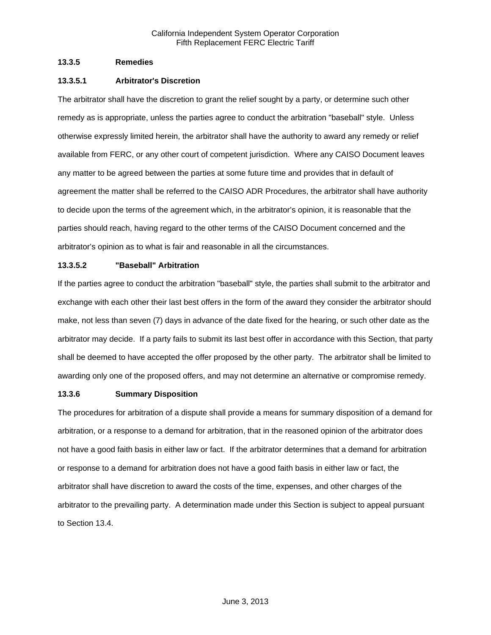### **13.3.5 Remedies**

### **13.3.5.1 Arbitrator's Discretion**

The arbitrator shall have the discretion to grant the relief sought by a party, or determine such other remedy as is appropriate, unless the parties agree to conduct the arbitration "baseball" style. Unless otherwise expressly limited herein, the arbitrator shall have the authority to award any remedy or relief available from FERC, or any other court of competent jurisdiction. Where any CAISO Document leaves any matter to be agreed between the parties at some future time and provides that in default of agreement the matter shall be referred to the CAISO ADR Procedures, the arbitrator shall have authority to decide upon the terms of the agreement which, in the arbitrator's opinion, it is reasonable that the parties should reach, having regard to the other terms of the CAISO Document concerned and the arbitrator's opinion as to what is fair and reasonable in all the circumstances.

### **13.3.5.2 "Baseball" Arbitration**

If the parties agree to conduct the arbitration "baseball" style, the parties shall submit to the arbitrator and exchange with each other their last best offers in the form of the award they consider the arbitrator should make, not less than seven (7) days in advance of the date fixed for the hearing, or such other date as the arbitrator may decide. If a party fails to submit its last best offer in accordance with this Section, that party shall be deemed to have accepted the offer proposed by the other party. The arbitrator shall be limited to awarding only one of the proposed offers, and may not determine an alternative or compromise remedy.

## **13.3.6 Summary Disposition**

The procedures for arbitration of a dispute shall provide a means for summary disposition of a demand for arbitration, or a response to a demand for arbitration, that in the reasoned opinion of the arbitrator does not have a good faith basis in either law or fact. If the arbitrator determines that a demand for arbitration or response to a demand for arbitration does not have a good faith basis in either law or fact, the arbitrator shall have discretion to award the costs of the time, expenses, and other charges of the arbitrator to the prevailing party. A determination made under this Section is subject to appeal pursuant to Section 13.4.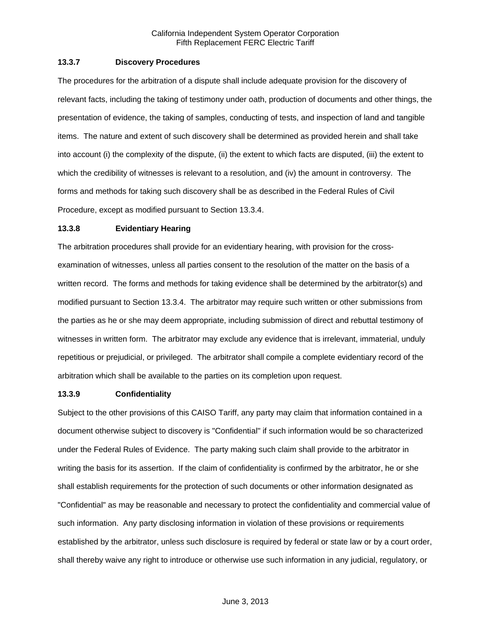### **13.3.7 Discovery Procedures**

The procedures for the arbitration of a dispute shall include adequate provision for the discovery of relevant facts, including the taking of testimony under oath, production of documents and other things, the presentation of evidence, the taking of samples, conducting of tests, and inspection of land and tangible items. The nature and extent of such discovery shall be determined as provided herein and shall take into account (i) the complexity of the dispute, (ii) the extent to which facts are disputed, (iii) the extent to which the credibility of witnesses is relevant to a resolution, and (iv) the amount in controversy. The forms and methods for taking such discovery shall be as described in the Federal Rules of Civil Procedure, except as modified pursuant to Section 13.3.4.

#### **13.3.8 Evidentiary Hearing**

The arbitration procedures shall provide for an evidentiary hearing, with provision for the crossexamination of witnesses, unless all parties consent to the resolution of the matter on the basis of a written record. The forms and methods for taking evidence shall be determined by the arbitrator(s) and modified pursuant to Section 13.3.4. The arbitrator may require such written or other submissions from the parties as he or she may deem appropriate, including submission of direct and rebuttal testimony of witnesses in written form. The arbitrator may exclude any evidence that is irrelevant, immaterial, unduly repetitious or prejudicial, or privileged. The arbitrator shall compile a complete evidentiary record of the arbitration which shall be available to the parties on its completion upon request.

#### **13.3.9 Confidentiality**

Subject to the other provisions of this CAISO Tariff, any party may claim that information contained in a document otherwise subject to discovery is "Confidential" if such information would be so characterized under the Federal Rules of Evidence. The party making such claim shall provide to the arbitrator in writing the basis for its assertion. If the claim of confidentiality is confirmed by the arbitrator, he or she shall establish requirements for the protection of such documents or other information designated as "Confidential" as may be reasonable and necessary to protect the confidentiality and commercial value of such information. Any party disclosing information in violation of these provisions or requirements established by the arbitrator, unless such disclosure is required by federal or state law or by a court order, shall thereby waive any right to introduce or otherwise use such information in any judicial, regulatory, or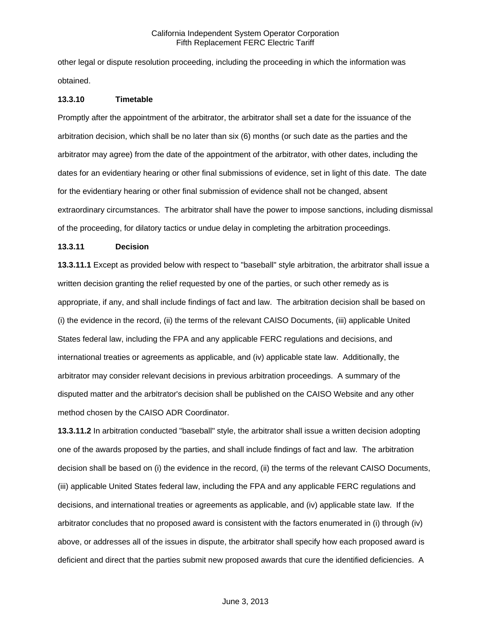other legal or dispute resolution proceeding, including the proceeding in which the information was obtained.

#### **13.3.10 Timetable**

Promptly after the appointment of the arbitrator, the arbitrator shall set a date for the issuance of the arbitration decision, which shall be no later than six (6) months (or such date as the parties and the arbitrator may agree) from the date of the appointment of the arbitrator, with other dates, including the dates for an evidentiary hearing or other final submissions of evidence, set in light of this date. The date for the evidentiary hearing or other final submission of evidence shall not be changed, absent extraordinary circumstances. The arbitrator shall have the power to impose sanctions, including dismissal of the proceeding, for dilatory tactics or undue delay in completing the arbitration proceedings.

### **13.3.11 Decision**

**13.3.11.1** Except as provided below with respect to "baseball" style arbitration, the arbitrator shall issue a written decision granting the relief requested by one of the parties, or such other remedy as is appropriate, if any, and shall include findings of fact and law. The arbitration decision shall be based on (i) the evidence in the record, (ii) the terms of the relevant CAISO Documents, (iii) applicable United States federal law, including the FPA and any applicable FERC regulations and decisions, and international treaties or agreements as applicable, and (iv) applicable state law. Additionally, the arbitrator may consider relevant decisions in previous arbitration proceedings. A summary of the disputed matter and the arbitrator's decision shall be published on the CAISO Website and any other method chosen by the CAISO ADR Coordinator.

**13.3.11.2** In arbitration conducted "baseball" style, the arbitrator shall issue a written decision adopting one of the awards proposed by the parties, and shall include findings of fact and law. The arbitration decision shall be based on (i) the evidence in the record, (ii) the terms of the relevant CAISO Documents, (iii) applicable United States federal law, including the FPA and any applicable FERC regulations and decisions, and international treaties or agreements as applicable, and (iv) applicable state law. If the arbitrator concludes that no proposed award is consistent with the factors enumerated in (i) through (iv) above, or addresses all of the issues in dispute, the arbitrator shall specify how each proposed award is deficient and direct that the parties submit new proposed awards that cure the identified deficiencies. A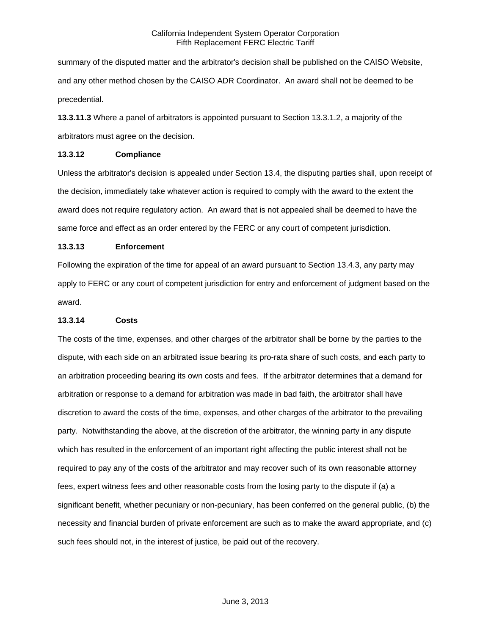summary of the disputed matter and the arbitrator's decision shall be published on the CAISO Website, and any other method chosen by the CAISO ADR Coordinator. An award shall not be deemed to be precedential.

**13.3.11.3** Where a panel of arbitrators is appointed pursuant to Section 13.3.1.2, a majority of the arbitrators must agree on the decision.

#### **13.3.12 Compliance**

Unless the arbitrator's decision is appealed under Section 13.4, the disputing parties shall, upon receipt of the decision, immediately take whatever action is required to comply with the award to the extent the award does not require regulatory action. An award that is not appealed shall be deemed to have the same force and effect as an order entered by the FERC or any court of competent jurisdiction.

### **13.3.13 Enforcement**

Following the expiration of the time for appeal of an award pursuant to Section 13.4.3, any party may apply to FERC or any court of competent jurisdiction for entry and enforcement of judgment based on the award.

## **13.3.14 Costs**

The costs of the time, expenses, and other charges of the arbitrator shall be borne by the parties to the dispute, with each side on an arbitrated issue bearing its pro-rata share of such costs, and each party to an arbitration proceeding bearing its own costs and fees. If the arbitrator determines that a demand for arbitration or response to a demand for arbitration was made in bad faith, the arbitrator shall have discretion to award the costs of the time, expenses, and other charges of the arbitrator to the prevailing party. Notwithstanding the above, at the discretion of the arbitrator, the winning party in any dispute which has resulted in the enforcement of an important right affecting the public interest shall not be required to pay any of the costs of the arbitrator and may recover such of its own reasonable attorney fees, expert witness fees and other reasonable costs from the losing party to the dispute if (a) a significant benefit, whether pecuniary or non-pecuniary, has been conferred on the general public, (b) the necessity and financial burden of private enforcement are such as to make the award appropriate, and (c) such fees should not, in the interest of justice, be paid out of the recovery.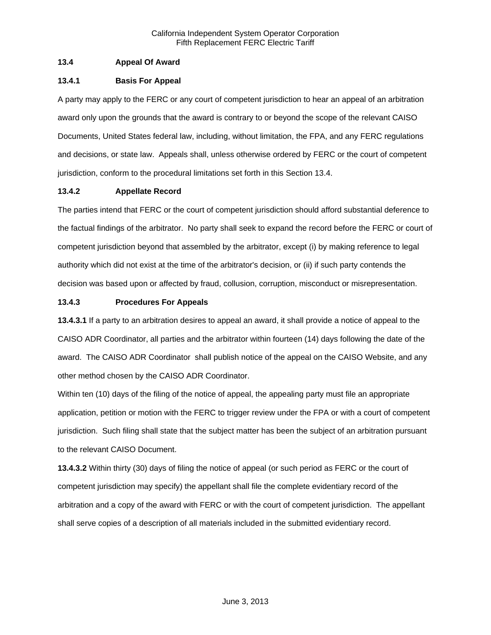# **13.4 Appeal Of Award**

## **13.4.1 Basis For Appeal**

A party may apply to the FERC or any court of competent jurisdiction to hear an appeal of an arbitration award only upon the grounds that the award is contrary to or beyond the scope of the relevant CAISO Documents, United States federal law, including, without limitation, the FPA, and any FERC regulations and decisions, or state law. Appeals shall, unless otherwise ordered by FERC or the court of competent jurisdiction, conform to the procedural limitations set forth in this Section 13.4.

## **13.4.2 Appellate Record**

The parties intend that FERC or the court of competent jurisdiction should afford substantial deference to the factual findings of the arbitrator. No party shall seek to expand the record before the FERC or court of competent jurisdiction beyond that assembled by the arbitrator, except (i) by making reference to legal authority which did not exist at the time of the arbitrator's decision, or (ii) if such party contends the decision was based upon or affected by fraud, collusion, corruption, misconduct or misrepresentation.

## **13.4.3 Procedures For Appeals**

**13.4.3.1** If a party to an arbitration desires to appeal an award, it shall provide a notice of appeal to the CAISO ADR Coordinator, all parties and the arbitrator within fourteen (14) days following the date of the award. The CAISO ADR Coordinator shall publish notice of the appeal on the CAISO Website, and any other method chosen by the CAISO ADR Coordinator.

Within ten (10) days of the filing of the notice of appeal, the appealing party must file an appropriate application, petition or motion with the FERC to trigger review under the FPA or with a court of competent jurisdiction. Such filing shall state that the subject matter has been the subject of an arbitration pursuant to the relevant CAISO Document.

**13.4.3.2** Within thirty (30) days of filing the notice of appeal (or such period as FERC or the court of competent jurisdiction may specify) the appellant shall file the complete evidentiary record of the arbitration and a copy of the award with FERC or with the court of competent jurisdiction. The appellant shall serve copies of a description of all materials included in the submitted evidentiary record.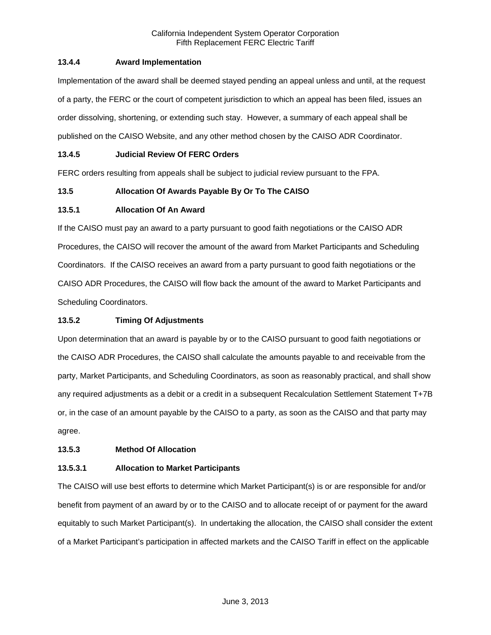# **13.4.4 Award Implementation**

Implementation of the award shall be deemed stayed pending an appeal unless and until, at the request of a party, the FERC or the court of competent jurisdiction to which an appeal has been filed, issues an order dissolving, shortening, or extending such stay. However, a summary of each appeal shall be published on the CAISO Website, and any other method chosen by the CAISO ADR Coordinator.

# **13.4.5 Judicial Review Of FERC Orders**

FERC orders resulting from appeals shall be subject to judicial review pursuant to the FPA.

# **13.5 Allocation Of Awards Payable By Or To The CAISO**

## **13.5.1 Allocation Of An Award**

If the CAISO must pay an award to a party pursuant to good faith negotiations or the CAISO ADR Procedures, the CAISO will recover the amount of the award from Market Participants and Scheduling Coordinators. If the CAISO receives an award from a party pursuant to good faith negotiations or the CAISO ADR Procedures, the CAISO will flow back the amount of the award to Market Participants and Scheduling Coordinators.

## **13.5.2 Timing Of Adjustments**

Upon determination that an award is payable by or to the CAISO pursuant to good faith negotiations or the CAISO ADR Procedures, the CAISO shall calculate the amounts payable to and receivable from the party, Market Participants, and Scheduling Coordinators, as soon as reasonably practical, and shall show any required adjustments as a debit or a credit in a subsequent Recalculation Settlement Statement T+7B or, in the case of an amount payable by the CAISO to a party, as soon as the CAISO and that party may agree.

## **13.5.3 Method Of Allocation**

## **13.5.3.1 Allocation to Market Participants**

The CAISO will use best efforts to determine which Market Participant(s) is or are responsible for and/or benefit from payment of an award by or to the CAISO and to allocate receipt of or payment for the award equitably to such Market Participant(s). In undertaking the allocation, the CAISO shall consider the extent of a Market Participant's participation in affected markets and the CAISO Tariff in effect on the applicable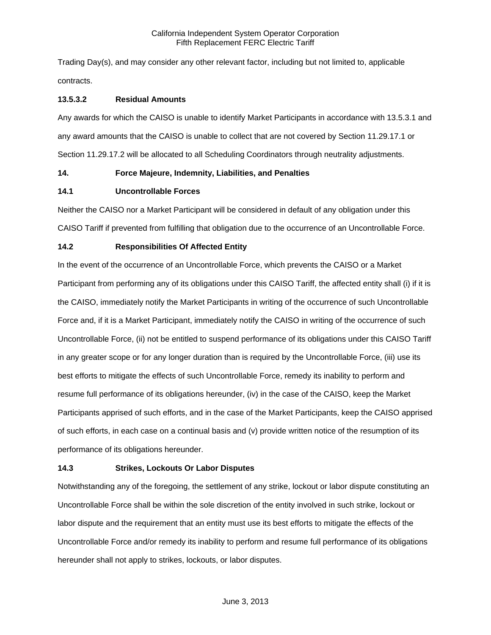Trading Day(s), and may consider any other relevant factor, including but not limited to, applicable contracts.

## **13.5.3.2 Residual Amounts**

Any awards for which the CAISO is unable to identify Market Participants in accordance with 13.5.3.1 and any award amounts that the CAISO is unable to collect that are not covered by Section 11.29.17.1 or Section 11.29.17.2 will be allocated to all Scheduling Coordinators through neutrality adjustments.

### **14. Force Majeure, Indemnity, Liabilities, and Penalties**

### **14.1 Uncontrollable Forces**

Neither the CAISO nor a Market Participant will be considered in default of any obligation under this CAISO Tariff if prevented from fulfilling that obligation due to the occurrence of an Uncontrollable Force.

# **14.2 Responsibilities Of Affected Entity**

In the event of the occurrence of an Uncontrollable Force, which prevents the CAISO or a Market Participant from performing any of its obligations under this CAISO Tariff, the affected entity shall (i) if it is the CAISO, immediately notify the Market Participants in writing of the occurrence of such Uncontrollable Force and, if it is a Market Participant, immediately notify the CAISO in writing of the occurrence of such Uncontrollable Force, (ii) not be entitled to suspend performance of its obligations under this CAISO Tariff in any greater scope or for any longer duration than is required by the Uncontrollable Force, (iii) use its best efforts to mitigate the effects of such Uncontrollable Force, remedy its inability to perform and resume full performance of its obligations hereunder, (iv) in the case of the CAISO, keep the Market Participants apprised of such efforts, and in the case of the Market Participants, keep the CAISO apprised of such efforts, in each case on a continual basis and (v) provide written notice of the resumption of its performance of its obligations hereunder.

## **14.3 Strikes, Lockouts Or Labor Disputes**

Notwithstanding any of the foregoing, the settlement of any strike, lockout or labor dispute constituting an Uncontrollable Force shall be within the sole discretion of the entity involved in such strike, lockout or labor dispute and the requirement that an entity must use its best efforts to mitigate the effects of the Uncontrollable Force and/or remedy its inability to perform and resume full performance of its obligations hereunder shall not apply to strikes, lockouts, or labor disputes.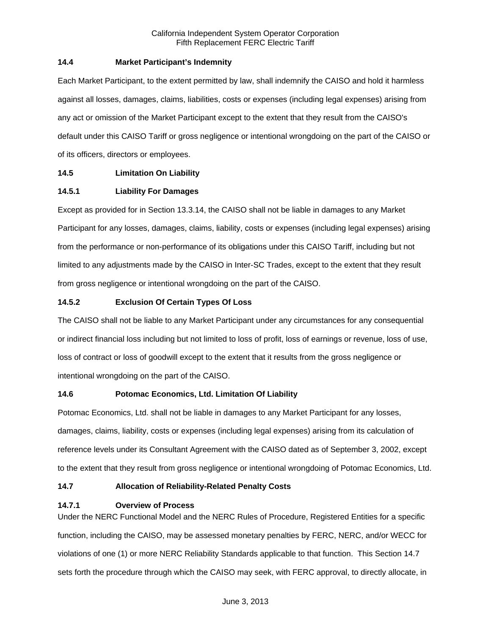## **14.4 Market Participant's Indemnity**

Each Market Participant, to the extent permitted by law, shall indemnify the CAISO and hold it harmless against all losses, damages, claims, liabilities, costs or expenses (including legal expenses) arising from any act or omission of the Market Participant except to the extent that they result from the CAISO's default under this CAISO Tariff or gross negligence or intentional wrongdoing on the part of the CAISO or of its officers, directors or employees.

## **14.5 Limitation On Liability**

### **14.5.1 Liability For Damages**

Except as provided for in Section 13.3.14, the CAISO shall not be liable in damages to any Market Participant for any losses, damages, claims, liability, costs or expenses (including legal expenses) arising from the performance or non-performance of its obligations under this CAISO Tariff, including but not limited to any adjustments made by the CAISO in Inter-SC Trades, except to the extent that they result from gross negligence or intentional wrongdoing on the part of the CAISO.

### **14.5.2 Exclusion Of Certain Types Of Loss**

The CAISO shall not be liable to any Market Participant under any circumstances for any consequential or indirect financial loss including but not limited to loss of profit, loss of earnings or revenue, loss of use, loss of contract or loss of goodwill except to the extent that it results from the gross negligence or intentional wrongdoing on the part of the CAISO.

## **14.6 Potomac Economics, Ltd. Limitation Of Liability**

Potomac Economics, Ltd. shall not be liable in damages to any Market Participant for any losses, damages, claims, liability, costs or expenses (including legal expenses) arising from its calculation of reference levels under its Consultant Agreement with the CAISO dated as of September 3, 2002, except to the extent that they result from gross negligence or intentional wrongdoing of Potomac Economics, Ltd.

## **14.7 Allocation of Reliability-Related Penalty Costs**

#### **14.7.1 Overview of Process**

Under the NERC Functional Model and the NERC Rules of Procedure, Registered Entities for a specific function, including the CAISO, may be assessed monetary penalties by FERC, NERC, and/or WECC for violations of one (1) or more NERC Reliability Standards applicable to that function. This Section 14.7 sets forth the procedure through which the CAISO may seek, with FERC approval, to directly allocate, in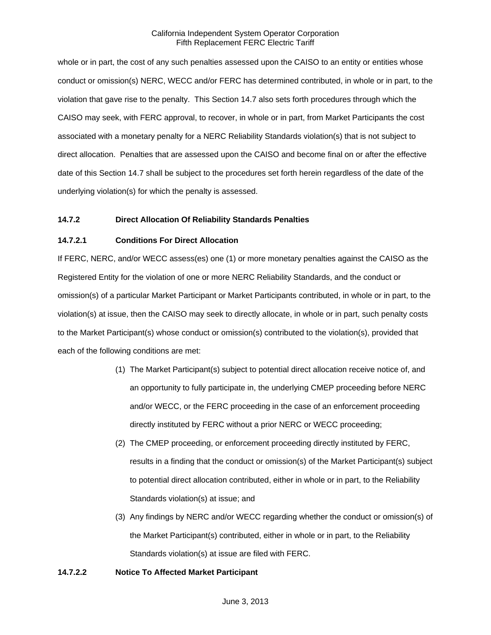whole or in part, the cost of any such penalties assessed upon the CAISO to an entity or entities whose conduct or omission(s) NERC, WECC and/or FERC has determined contributed, in whole or in part, to the violation that gave rise to the penalty. This Section 14.7 also sets forth procedures through which the CAISO may seek, with FERC approval, to recover, in whole or in part, from Market Participants the cost associated with a monetary penalty for a NERC Reliability Standards violation(s) that is not subject to direct allocation. Penalties that are assessed upon the CAISO and become final on or after the effective date of this Section 14.7 shall be subject to the procedures set forth herein regardless of the date of the underlying violation(s) for which the penalty is assessed.

### **14.7.2 Direct Allocation Of Reliability Standards Penalties**

### **14.7.2.1 Conditions For Direct Allocation**

If FERC, NERC, and/or WECC assess(es) one (1) or more monetary penalties against the CAISO as the Registered Entity for the violation of one or more NERC Reliability Standards, and the conduct or omission(s) of a particular Market Participant or Market Participants contributed, in whole or in part, to the violation(s) at issue, then the CAISO may seek to directly allocate, in whole or in part, such penalty costs to the Market Participant(s) whose conduct or omission(s) contributed to the violation(s), provided that each of the following conditions are met:

- (1) The Market Participant(s) subject to potential direct allocation receive notice of, and an opportunity to fully participate in, the underlying CMEP proceeding before NERC and/or WECC, or the FERC proceeding in the case of an enforcement proceeding directly instituted by FERC without a prior NERC or WECC proceeding;
- (2) The CMEP proceeding, or enforcement proceeding directly instituted by FERC, results in a finding that the conduct or omission(s) of the Market Participant(s) subject to potential direct allocation contributed, either in whole or in part, to the Reliability Standards violation(s) at issue; and
- (3) Any findings by NERC and/or WECC regarding whether the conduct or omission(s) of the Market Participant(s) contributed, either in whole or in part, to the Reliability Standards violation(s) at issue are filed with FERC.

#### **14.7.2.2 Notice To Affected Market Participant**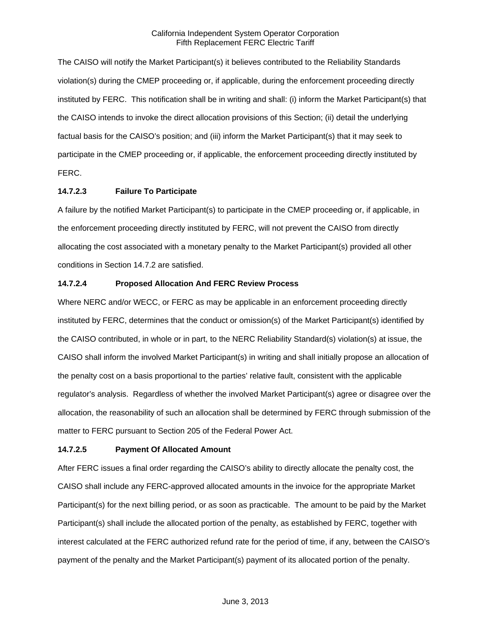The CAISO will notify the Market Participant(s) it believes contributed to the Reliability Standards violation(s) during the CMEP proceeding or, if applicable, during the enforcement proceeding directly instituted by FERC. This notification shall be in writing and shall: (i) inform the Market Participant(s) that the CAISO intends to invoke the direct allocation provisions of this Section; (ii) detail the underlying factual basis for the CAISO's position; and (iii) inform the Market Participant(s) that it may seek to participate in the CMEP proceeding or, if applicable, the enforcement proceeding directly instituted by FERC.

## **14.7.2.3 Failure To Participate**

A failure by the notified Market Participant(s) to participate in the CMEP proceeding or, if applicable, in the enforcement proceeding directly instituted by FERC, will not prevent the CAISO from directly allocating the cost associated with a monetary penalty to the Market Participant(s) provided all other conditions in Section 14.7.2 are satisfied.

### **14.7.2.4 Proposed Allocation And FERC Review Process**

Where NERC and/or WECC, or FERC as may be applicable in an enforcement proceeding directly instituted by FERC, determines that the conduct or omission(s) of the Market Participant(s) identified by the CAISO contributed, in whole or in part, to the NERC Reliability Standard(s) violation(s) at issue, the CAISO shall inform the involved Market Participant(s) in writing and shall initially propose an allocation of the penalty cost on a basis proportional to the parties' relative fault, consistent with the applicable regulator's analysis. Regardless of whether the involved Market Participant(s) agree or disagree over the allocation, the reasonability of such an allocation shall be determined by FERC through submission of the matter to FERC pursuant to Section 205 of the Federal Power Act.

## **14.7.2.5 Payment Of Allocated Amount**

After FERC issues a final order regarding the CAISO's ability to directly allocate the penalty cost, the CAISO shall include any FERC-approved allocated amounts in the invoice for the appropriate Market Participant(s) for the next billing period, or as soon as practicable. The amount to be paid by the Market Participant(s) shall include the allocated portion of the penalty, as established by FERC, together with interest calculated at the FERC authorized refund rate for the period of time, if any, between the CAISO's payment of the penalty and the Market Participant(s) payment of its allocated portion of the penalty.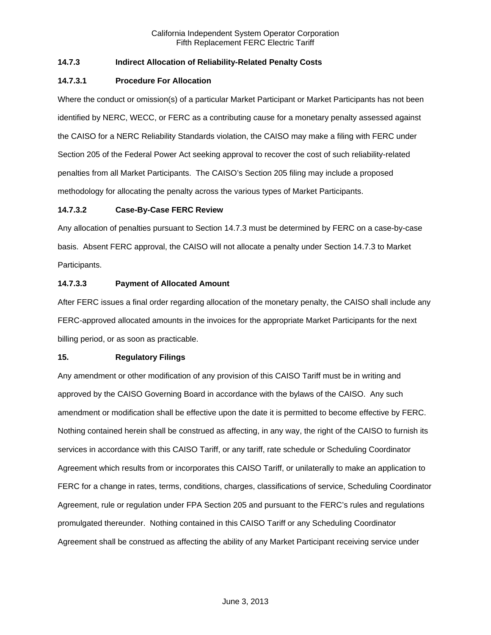## **14.7.3 Indirect Allocation of Reliability-Related Penalty Costs**

### **14.7.3.1 Procedure For Allocation**

Where the conduct or omission(s) of a particular Market Participant or Market Participants has not been identified by NERC, WECC, or FERC as a contributing cause for a monetary penalty assessed against the CAISO for a NERC Reliability Standards violation, the CAISO may make a filing with FERC under Section 205 of the Federal Power Act seeking approval to recover the cost of such reliability-related penalties from all Market Participants. The CAISO's Section 205 filing may include a proposed methodology for allocating the penalty across the various types of Market Participants.

### **14.7.3.2 Case-By-Case FERC Review**

Any allocation of penalties pursuant to Section 14.7.3 must be determined by FERC on a case-by-case basis. Absent FERC approval, the CAISO will not allocate a penalty under Section 14.7.3 to Market Participants.

### **14.7.3.3 Payment of Allocated Amount**

After FERC issues a final order regarding allocation of the monetary penalty, the CAISO shall include any FERC-approved allocated amounts in the invoices for the appropriate Market Participants for the next billing period, or as soon as practicable.

#### **15. Regulatory Filings**

Any amendment or other modification of any provision of this CAISO Tariff must be in writing and approved by the CAISO Governing Board in accordance with the bylaws of the CAISO. Any such amendment or modification shall be effective upon the date it is permitted to become effective by FERC. Nothing contained herein shall be construed as affecting, in any way, the right of the CAISO to furnish its services in accordance with this CAISO Tariff, or any tariff, rate schedule or Scheduling Coordinator Agreement which results from or incorporates this CAISO Tariff, or unilaterally to make an application to FERC for a change in rates, terms, conditions, charges, classifications of service, Scheduling Coordinator Agreement, rule or regulation under FPA Section 205 and pursuant to the FERC's rules and regulations promulgated thereunder. Nothing contained in this CAISO Tariff or any Scheduling Coordinator Agreement shall be construed as affecting the ability of any Market Participant receiving service under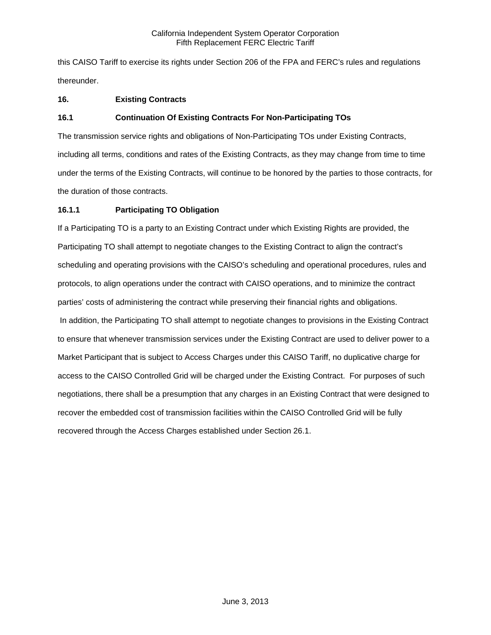this CAISO Tariff to exercise its rights under Section 206 of the FPA and FERC's rules and regulations thereunder.

# **16. Existing Contracts**

# **16.1 Continuation Of Existing Contracts For Non-Participating TOs**

The transmission service rights and obligations of Non-Participating TOs under Existing Contracts, including all terms, conditions and rates of the Existing Contracts, as they may change from time to time under the terms of the Existing Contracts, will continue to be honored by the parties to those contracts, for the duration of those contracts.

## **16.1.1 Participating TO Obligation**

If a Participating TO is a party to an Existing Contract under which Existing Rights are provided, the Participating TO shall attempt to negotiate changes to the Existing Contract to align the contract's scheduling and operating provisions with the CAISO's scheduling and operational procedures, rules and protocols, to align operations under the contract with CAISO operations, and to minimize the contract parties' costs of administering the contract while preserving their financial rights and obligations. In addition, the Participating TO shall attempt to negotiate changes to provisions in the Existing Contract to ensure that whenever transmission services under the Existing Contract are used to deliver power to a Market Participant that is subject to Access Charges under this CAISO Tariff, no duplicative charge for access to the CAISO Controlled Grid will be charged under the Existing Contract. For purposes of such negotiations, there shall be a presumption that any charges in an Existing Contract that were designed to recover the embedded cost of transmission facilities within the CAISO Controlled Grid will be fully recovered through the Access Charges established under Section 26.1.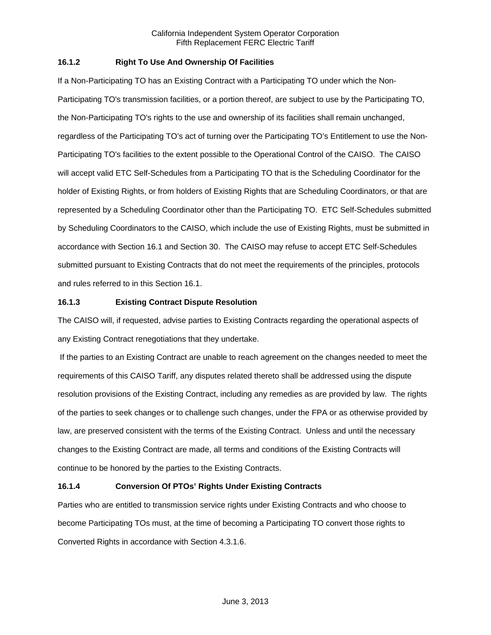## **16.1.2 Right To Use And Ownership Of Facilities**

If a Non-Participating TO has an Existing Contract with a Participating TO under which the Non-Participating TO's transmission facilities, or a portion thereof, are subject to use by the Participating TO, the Non-Participating TO's rights to the use and ownership of its facilities shall remain unchanged, regardless of the Participating TO's act of turning over the Participating TO's Entitlement to use the Non-Participating TO's facilities to the extent possible to the Operational Control of the CAISO. The CAISO will accept valid ETC Self-Schedules from a Participating TO that is the Scheduling Coordinator for the holder of Existing Rights, or from holders of Existing Rights that are Scheduling Coordinators, or that are represented by a Scheduling Coordinator other than the Participating TO. ETC Self-Schedules submitted by Scheduling Coordinators to the CAISO, which include the use of Existing Rights, must be submitted in accordance with Section 16.1 and Section 30. The CAISO may refuse to accept ETC Self-Schedules submitted pursuant to Existing Contracts that do not meet the requirements of the principles, protocols and rules referred to in this Section 16.1.

### **16.1.3 Existing Contract Dispute Resolution**

The CAISO will, if requested, advise parties to Existing Contracts regarding the operational aspects of any Existing Contract renegotiations that they undertake.

 If the parties to an Existing Contract are unable to reach agreement on the changes needed to meet the requirements of this CAISO Tariff, any disputes related thereto shall be addressed using the dispute resolution provisions of the Existing Contract, including any remedies as are provided by law. The rights of the parties to seek changes or to challenge such changes, under the FPA or as otherwise provided by law, are preserved consistent with the terms of the Existing Contract. Unless and until the necessary changes to the Existing Contract are made, all terms and conditions of the Existing Contracts will continue to be honored by the parties to the Existing Contracts.

## **16.1.4 Conversion Of PTOs' Rights Under Existing Contracts**

Parties who are entitled to transmission service rights under Existing Contracts and who choose to become Participating TOs must, at the time of becoming a Participating TO convert those rights to Converted Rights in accordance with Section 4.3.1.6.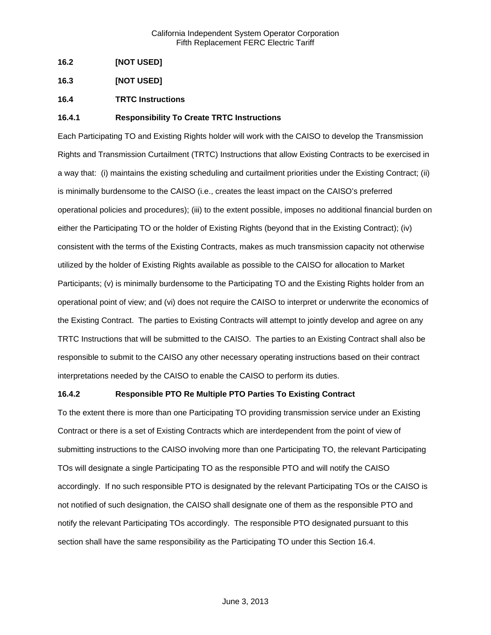- **16.2 [NOT USED]**
- **16.3 [NOT USED]**
- **16.4 TRTC Instructions**

### **16.4.1 Responsibility To Create TRTC Instructions**

Each Participating TO and Existing Rights holder will work with the CAISO to develop the Transmission Rights and Transmission Curtailment (TRTC) Instructions that allow Existing Contracts to be exercised in a way that: (i) maintains the existing scheduling and curtailment priorities under the Existing Contract; (ii) is minimally burdensome to the CAISO (i.e., creates the least impact on the CAISO's preferred operational policies and procedures); (iii) to the extent possible, imposes no additional financial burden on either the Participating TO or the holder of Existing Rights (beyond that in the Existing Contract); (iv) consistent with the terms of the Existing Contracts, makes as much transmission capacity not otherwise utilized by the holder of Existing Rights available as possible to the CAISO for allocation to Market Participants; (v) is minimally burdensome to the Participating TO and the Existing Rights holder from an operational point of view; and (vi) does not require the CAISO to interpret or underwrite the economics of the Existing Contract. The parties to Existing Contracts will attempt to jointly develop and agree on any TRTC Instructions that will be submitted to the CAISO. The parties to an Existing Contract shall also be responsible to submit to the CAISO any other necessary operating instructions based on their contract interpretations needed by the CAISO to enable the CAISO to perform its duties.

### **16.4.2 Responsible PTO Re Multiple PTO Parties To Existing Contract**

To the extent there is more than one Participating TO providing transmission service under an Existing Contract or there is a set of Existing Contracts which are interdependent from the point of view of submitting instructions to the CAISO involving more than one Participating TO, the relevant Participating TOs will designate a single Participating TO as the responsible PTO and will notify the CAISO accordingly. If no such responsible PTO is designated by the relevant Participating TOs or the CAISO is not notified of such designation, the CAISO shall designate one of them as the responsible PTO and notify the relevant Participating TOs accordingly. The responsible PTO designated pursuant to this section shall have the same responsibility as the Participating TO under this Section 16.4.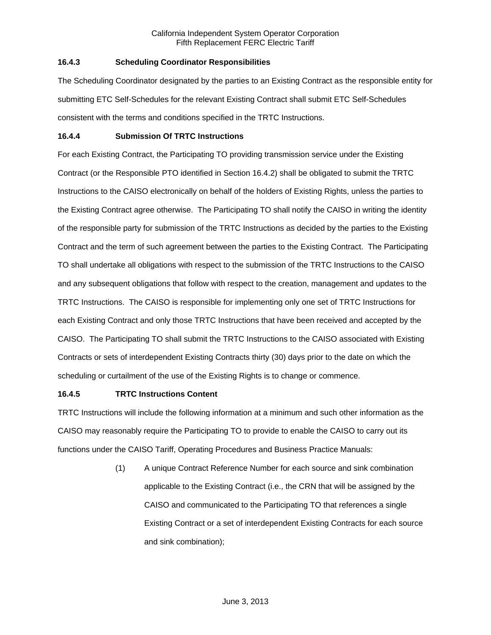## **16.4.3 Scheduling Coordinator Responsibilities**

The Scheduling Coordinator designated by the parties to an Existing Contract as the responsible entity for submitting ETC Self-Schedules for the relevant Existing Contract shall submit ETC Self-Schedules consistent with the terms and conditions specified in the TRTC Instructions.

### **16.4.4 Submission Of TRTC Instructions**

For each Existing Contract, the Participating TO providing transmission service under the Existing Contract (or the Responsible PTO identified in Section 16.4.2) shall be obligated to submit the TRTC Instructions to the CAISO electronically on behalf of the holders of Existing Rights, unless the parties to the Existing Contract agree otherwise. The Participating TO shall notify the CAISO in writing the identity of the responsible party for submission of the TRTC Instructions as decided by the parties to the Existing Contract and the term of such agreement between the parties to the Existing Contract. The Participating TO shall undertake all obligations with respect to the submission of the TRTC Instructions to the CAISO and any subsequent obligations that follow with respect to the creation, management and updates to the TRTC Instructions. The CAISO is responsible for implementing only one set of TRTC Instructions for each Existing Contract and only those TRTC Instructions that have been received and accepted by the CAISO. The Participating TO shall submit the TRTC Instructions to the CAISO associated with Existing Contracts or sets of interdependent Existing Contracts thirty (30) days prior to the date on which the scheduling or curtailment of the use of the Existing Rights is to change or commence.

## **16.4.5 TRTC Instructions Content**

TRTC Instructions will include the following information at a minimum and such other information as the CAISO may reasonably require the Participating TO to provide to enable the CAISO to carry out its functions under the CAISO Tariff, Operating Procedures and Business Practice Manuals:

> (1) A unique Contract Reference Number for each source and sink combination applicable to the Existing Contract (i.e., the CRN that will be assigned by the CAISO and communicated to the Participating TO that references a single Existing Contract or a set of interdependent Existing Contracts for each source and sink combination);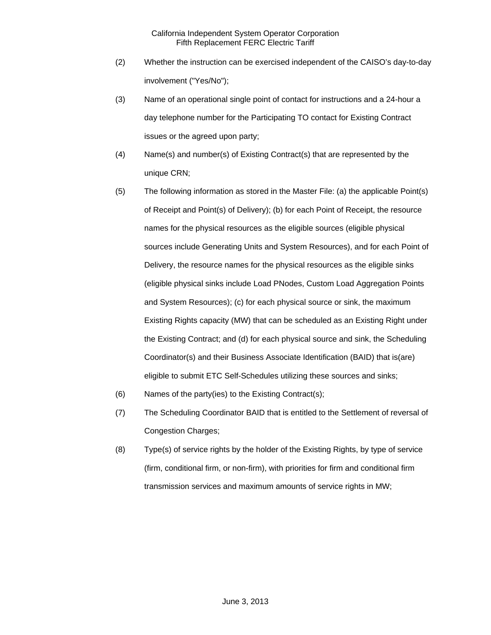- (2) Whether the instruction can be exercised independent of the CAISO's day-to-day involvement ("Yes/No");
- (3) Name of an operational single point of contact for instructions and a 24-hour a day telephone number for the Participating TO contact for Existing Contract issues or the agreed upon party;
- (4) Name(s) and number(s) of Existing Contract(s) that are represented by the unique CRN;
- (5) The following information as stored in the Master File: (a) the applicable Point(s) of Receipt and Point(s) of Delivery); (b) for each Point of Receipt, the resource names for the physical resources as the eligible sources (eligible physical sources include Generating Units and System Resources), and for each Point of Delivery, the resource names for the physical resources as the eligible sinks (eligible physical sinks include Load PNodes, Custom Load Aggregation Points and System Resources); (c) for each physical source or sink, the maximum Existing Rights capacity (MW) that can be scheduled as an Existing Right under the Existing Contract; and (d) for each physical source and sink, the Scheduling Coordinator(s) and their Business Associate Identification (BAID) that is(are) eligible to submit ETC Self-Schedules utilizing these sources and sinks;
- (6) Names of the party(ies) to the Existing Contract(s);
- (7) The Scheduling Coordinator BAID that is entitled to the Settlement of reversal of Congestion Charges;
- (8) Type(s) of service rights by the holder of the Existing Rights, by type of service (firm, conditional firm, or non-firm), with priorities for firm and conditional firm transmission services and maximum amounts of service rights in MW;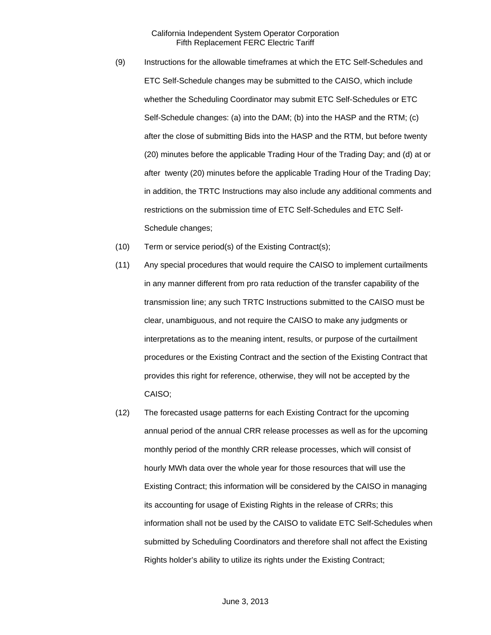- (9) Instructions for the allowable timeframes at which the ETC Self-Schedules and ETC Self-Schedule changes may be submitted to the CAISO, which include whether the Scheduling Coordinator may submit ETC Self-Schedules or ETC Self-Schedule changes: (a) into the DAM; (b) into the HASP and the RTM; (c) after the close of submitting Bids into the HASP and the RTM, but before twenty (20) minutes before the applicable Trading Hour of the Trading Day; and (d) at or after twenty (20) minutes before the applicable Trading Hour of the Trading Day; in addition, the TRTC Instructions may also include any additional comments and restrictions on the submission time of ETC Self-Schedules and ETC Self-Schedule changes;
- (10) Term or service period(s) of the Existing Contract(s);
- (11) Any special procedures that would require the CAISO to implement curtailments in any manner different from pro rata reduction of the transfer capability of the transmission line; any such TRTC Instructions submitted to the CAISO must be clear, unambiguous, and not require the CAISO to make any judgments or interpretations as to the meaning intent, results, or purpose of the curtailment procedures or the Existing Contract and the section of the Existing Contract that provides this right for reference, otherwise, they will not be accepted by the CAISO;
- (12) The forecasted usage patterns for each Existing Contract for the upcoming annual period of the annual CRR release processes as well as for the upcoming monthly period of the monthly CRR release processes, which will consist of hourly MWh data over the whole year for those resources that will use the Existing Contract; this information will be considered by the CAISO in managing its accounting for usage of Existing Rights in the release of CRRs; this information shall not be used by the CAISO to validate ETC Self-Schedules when submitted by Scheduling Coordinators and therefore shall not affect the Existing Rights holder's ability to utilize its rights under the Existing Contract;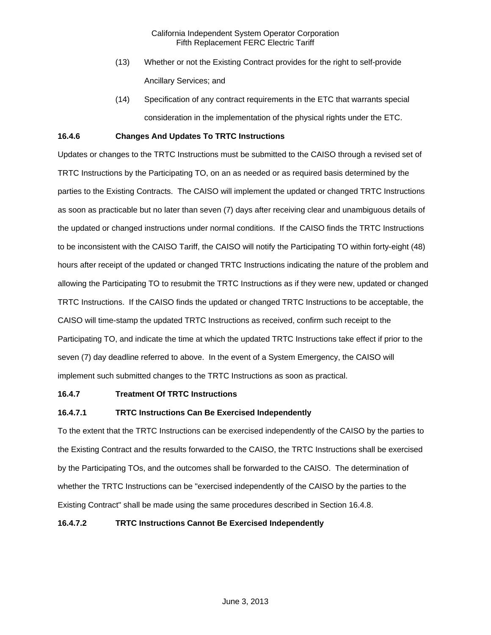- (13) Whether or not the Existing Contract provides for the right to self-provide Ancillary Services; and
- (14) Specification of any contract requirements in the ETC that warrants special consideration in the implementation of the physical rights under the ETC.

## **16.4.6 Changes And Updates To TRTC Instructions**

Updates or changes to the TRTC Instructions must be submitted to the CAISO through a revised set of TRTC Instructions by the Participating TO, on an as needed or as required basis determined by the parties to the Existing Contracts. The CAISO will implement the updated or changed TRTC Instructions as soon as practicable but no later than seven (7) days after receiving clear and unambiguous details of the updated or changed instructions under normal conditions. If the CAISO finds the TRTC Instructions to be inconsistent with the CAISO Tariff, the CAISO will notify the Participating TO within forty-eight (48) hours after receipt of the updated or changed TRTC Instructions indicating the nature of the problem and allowing the Participating TO to resubmit the TRTC Instructions as if they were new, updated or changed TRTC Instructions. If the CAISO finds the updated or changed TRTC Instructions to be acceptable, the CAISO will time-stamp the updated TRTC Instructions as received, confirm such receipt to the Participating TO, and indicate the time at which the updated TRTC Instructions take effect if prior to the seven (7) day deadline referred to above. In the event of a System Emergency, the CAISO will implement such submitted changes to the TRTC Instructions as soon as practical.

#### **16.4.7 Treatment Of TRTC Instructions**

## **16.4.7.1 TRTC Instructions Can Be Exercised Independently**

To the extent that the TRTC Instructions can be exercised independently of the CAISO by the parties to the Existing Contract and the results forwarded to the CAISO, the TRTC Instructions shall be exercised by the Participating TOs, and the outcomes shall be forwarded to the CAISO. The determination of whether the TRTC Instructions can be "exercised independently of the CAISO by the parties to the Existing Contract" shall be made using the same procedures described in Section 16.4.8.

#### **16.4.7.2 TRTC Instructions Cannot Be Exercised Independently**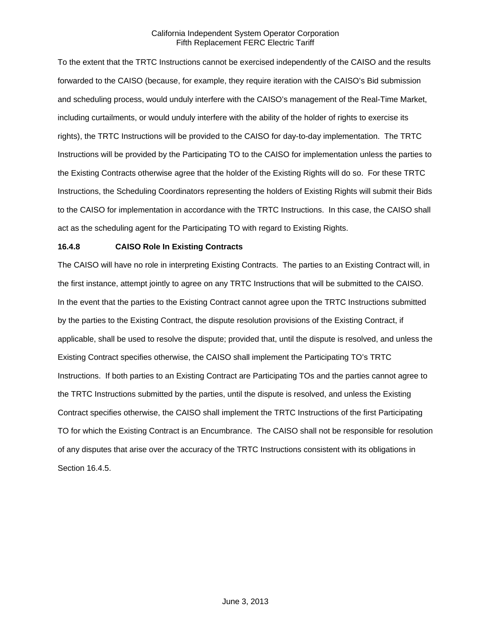To the extent that the TRTC Instructions cannot be exercised independently of the CAISO and the results forwarded to the CAISO (because, for example, they require iteration with the CAISO's Bid submission and scheduling process, would unduly interfere with the CAISO's management of the Real-Time Market, including curtailments, or would unduly interfere with the ability of the holder of rights to exercise its rights), the TRTC Instructions will be provided to the CAISO for day-to-day implementation. The TRTC Instructions will be provided by the Participating TO to the CAISO for implementation unless the parties to the Existing Contracts otherwise agree that the holder of the Existing Rights will do so. For these TRTC Instructions, the Scheduling Coordinators representing the holders of Existing Rights will submit their Bids to the CAISO for implementation in accordance with the TRTC Instructions. In this case, the CAISO shall act as the scheduling agent for the Participating TO with regard to Existing Rights.

## **16.4.8 CAISO Role In Existing Contracts**

The CAISO will have no role in interpreting Existing Contracts. The parties to an Existing Contract will, in the first instance, attempt jointly to agree on any TRTC Instructions that will be submitted to the CAISO. In the event that the parties to the Existing Contract cannot agree upon the TRTC Instructions submitted by the parties to the Existing Contract, the dispute resolution provisions of the Existing Contract, if applicable, shall be used to resolve the dispute; provided that, until the dispute is resolved, and unless the Existing Contract specifies otherwise, the CAISO shall implement the Participating TO's TRTC Instructions. If both parties to an Existing Contract are Participating TOs and the parties cannot agree to the TRTC Instructions submitted by the parties, until the dispute is resolved, and unless the Existing Contract specifies otherwise, the CAISO shall implement the TRTC Instructions of the first Participating TO for which the Existing Contract is an Encumbrance. The CAISO shall not be responsible for resolution of any disputes that arise over the accuracy of the TRTC Instructions consistent with its obligations in Section 16.4.5.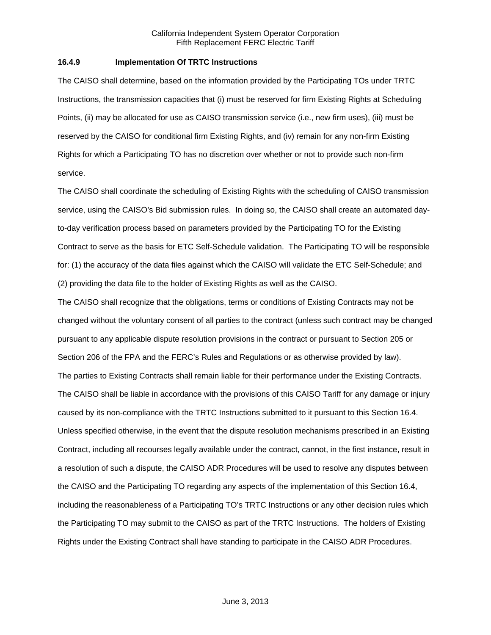### **16.4.9 Implementation Of TRTC Instructions**

The CAISO shall determine, based on the information provided by the Participating TOs under TRTC Instructions, the transmission capacities that (i) must be reserved for firm Existing Rights at Scheduling Points, (ii) may be allocated for use as CAISO transmission service (i.e., new firm uses), (iii) must be reserved by the CAISO for conditional firm Existing Rights, and (iv) remain for any non-firm Existing Rights for which a Participating TO has no discretion over whether or not to provide such non-firm service.

The CAISO shall coordinate the scheduling of Existing Rights with the scheduling of CAISO transmission service, using the CAISO's Bid submission rules. In doing so, the CAISO shall create an automated dayto-day verification process based on parameters provided by the Participating TO for the Existing Contract to serve as the basis for ETC Self-Schedule validation. The Participating TO will be responsible for: (1) the accuracy of the data files against which the CAISO will validate the ETC Self-Schedule; and (2) providing the data file to the holder of Existing Rights as well as the CAISO.

The CAISO shall recognize that the obligations, terms or conditions of Existing Contracts may not be changed without the voluntary consent of all parties to the contract (unless such contract may be changed pursuant to any applicable dispute resolution provisions in the contract or pursuant to Section 205 or Section 206 of the FPA and the FERC's Rules and Regulations or as otherwise provided by law). The parties to Existing Contracts shall remain liable for their performance under the Existing Contracts. The CAISO shall be liable in accordance with the provisions of this CAISO Tariff for any damage or injury caused by its non-compliance with the TRTC Instructions submitted to it pursuant to this Section 16.4. Unless specified otherwise, in the event that the dispute resolution mechanisms prescribed in an Existing Contract, including all recourses legally available under the contract, cannot, in the first instance, result in a resolution of such a dispute, the CAISO ADR Procedures will be used to resolve any disputes between the CAISO and the Participating TO regarding any aspects of the implementation of this Section 16.4, including the reasonableness of a Participating TO's TRTC Instructions or any other decision rules which the Participating TO may submit to the CAISO as part of the TRTC Instructions. The holders of Existing Rights under the Existing Contract shall have standing to participate in the CAISO ADR Procedures.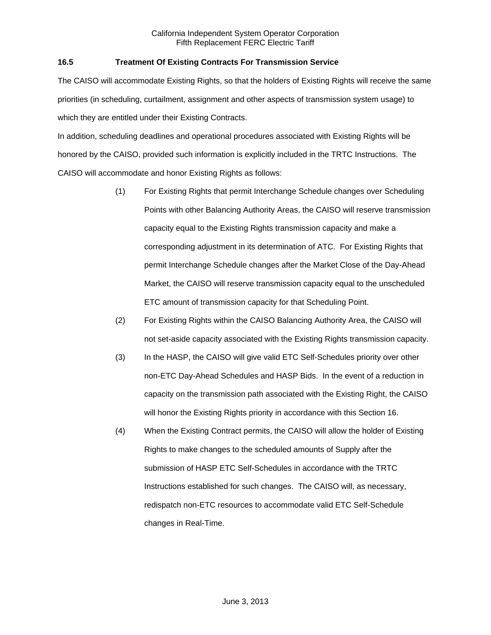## **16.5 Treatment Of Existing Contracts For Transmission Service**

The CAISO will accommodate Existing Rights, so that the holders of Existing Rights will receive the same priorities (in scheduling, curtailment, assignment and other aspects of transmission system usage) to which they are entitled under their Existing Contracts.

In addition, scheduling deadlines and operational procedures associated with Existing Rights will be honored by the CAISO, provided such information is explicitly included in the TRTC Instructions. The CAISO will accommodate and honor Existing Rights as follows:

- (1) For Existing Rights that permit Interchange Schedule changes over Scheduling Points with other Balancing Authority Areas, the CAISO will reserve transmission capacity equal to the Existing Rights transmission capacity and make a corresponding adjustment in its determination of ATC. For Existing Rights that permit Interchange Schedule changes after the Market Close of the Day-Ahead Market, the CAISO will reserve transmission capacity equal to the unscheduled ETC amount of transmission capacity for that Scheduling Point.
- (2) For Existing Rights within the CAISO Balancing Authority Area, the CAISO will not set-aside capacity associated with the Existing Rights transmission capacity.
- (3) In the HASP, the CAISO will give valid ETC Self-Schedules priority over other non-ETC Day-Ahead Schedules and HASP Bids. In the event of a reduction in capacity on the transmission path associated with the Existing Right, the CAISO will honor the Existing Rights priority in accordance with this Section 16.
- (4) When the Existing Contract permits, the CAISO will allow the holder of Existing Rights to make changes to the scheduled amounts of Supply after the submission of HASP ETC Self-Schedules in accordance with the TRTC Instructions established for such changes. The CAISO will, as necessary, redispatch non-ETC resources to accommodate valid ETC Self-Schedule changes in Real-Time.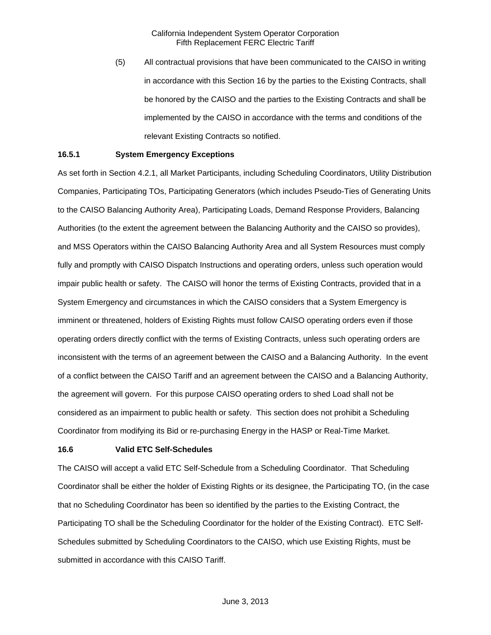(5) All contractual provisions that have been communicated to the CAISO in writing in accordance with this Section 16 by the parties to the Existing Contracts, shall be honored by the CAISO and the parties to the Existing Contracts and shall be implemented by the CAISO in accordance with the terms and conditions of the relevant Existing Contracts so notified.

#### **16.5.1 System Emergency Exceptions**

As set forth in Section 4.2.1, all Market Participants, including Scheduling Coordinators, Utility Distribution Companies, Participating TOs, Participating Generators (which includes Pseudo-Ties of Generating Units to the CAISO Balancing Authority Area), Participating Loads, Demand Response Providers, Balancing Authorities (to the extent the agreement between the Balancing Authority and the CAISO so provides), and MSS Operators within the CAISO Balancing Authority Area and all System Resources must comply fully and promptly with CAISO Dispatch Instructions and operating orders, unless such operation would impair public health or safety. The CAISO will honor the terms of Existing Contracts, provided that in a System Emergency and circumstances in which the CAISO considers that a System Emergency is imminent or threatened, holders of Existing Rights must follow CAISO operating orders even if those operating orders directly conflict with the terms of Existing Contracts, unless such operating orders are inconsistent with the terms of an agreement between the CAISO and a Balancing Authority. In the event of a conflict between the CAISO Tariff and an agreement between the CAISO and a Balancing Authority, the agreement will govern. For this purpose CAISO operating orders to shed Load shall not be considered as an impairment to public health or safety. This section does not prohibit a Scheduling Coordinator from modifying its Bid or re-purchasing Energy in the HASP or Real-Time Market.

#### **16.6 Valid ETC Self-Schedules**

The CAISO will accept a valid ETC Self-Schedule from a Scheduling Coordinator. That Scheduling Coordinator shall be either the holder of Existing Rights or its designee, the Participating TO, (in the case that no Scheduling Coordinator has been so identified by the parties to the Existing Contract, the Participating TO shall be the Scheduling Coordinator for the holder of the Existing Contract). ETC Self-Schedules submitted by Scheduling Coordinators to the CAISO, which use Existing Rights, must be submitted in accordance with this CAISO Tariff.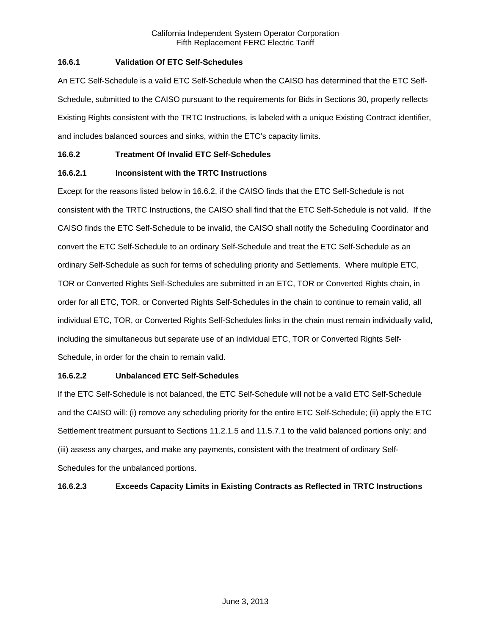## **16.6.1 Validation Of ETC Self-Schedules**

An ETC Self-Schedule is a valid ETC Self-Schedule when the CAISO has determined that the ETC Self-Schedule, submitted to the CAISO pursuant to the requirements for Bids in Sections 30, properly reflects Existing Rights consistent with the TRTC Instructions, is labeled with a unique Existing Contract identifier, and includes balanced sources and sinks, within the ETC's capacity limits.

## **16.6.2 Treatment Of Invalid ETC Self-Schedules**

## **16.6.2.1 Inconsistent with the TRTC Instructions**

Except for the reasons listed below in 16.6.2, if the CAISO finds that the ETC Self-Schedule is not consistent with the TRTC Instructions, the CAISO shall find that the ETC Self-Schedule is not valid. If the CAISO finds the ETC Self-Schedule to be invalid, the CAISO shall notify the Scheduling Coordinator and convert the ETC Self-Schedule to an ordinary Self-Schedule and treat the ETC Self-Schedule as an ordinary Self-Schedule as such for terms of scheduling priority and Settlements. Where multiple ETC, TOR or Converted Rights Self-Schedules are submitted in an ETC, TOR or Converted Rights chain, in order for all ETC, TOR, or Converted Rights Self-Schedules in the chain to continue to remain valid, all individual ETC, TOR, or Converted Rights Self-Schedules links in the chain must remain individually valid, including the simultaneous but separate use of an individual ETC, TOR or Converted Rights Self-Schedule, in order for the chain to remain valid.

### **16.6.2.2 Unbalanced ETC Self-Schedules**

If the ETC Self-Schedule is not balanced, the ETC Self-Schedule will not be a valid ETC Self-Schedule and the CAISO will: (i) remove any scheduling priority for the entire ETC Self-Schedule; (ii) apply the ETC Settlement treatment pursuant to Sections 11.2.1.5 and 11.5.7.1 to the valid balanced portions only; and (iii) assess any charges, and make any payments, consistent with the treatment of ordinary Self-Schedules for the unbalanced portions.

## **16.6.2.3 Exceeds Capacity Limits in Existing Contracts as Reflected in TRTC Instructions**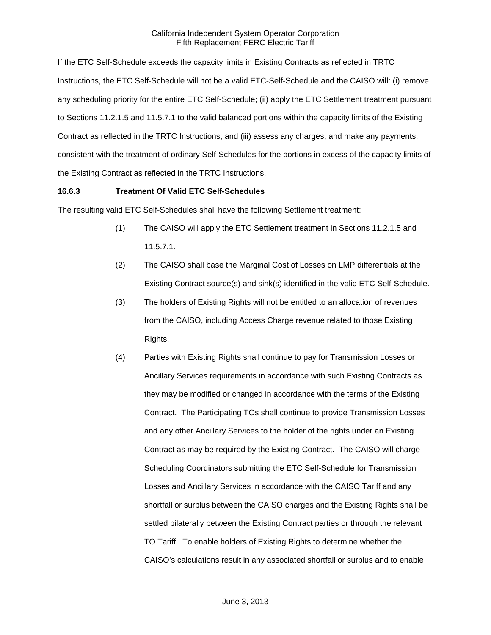If the ETC Self-Schedule exceeds the capacity limits in Existing Contracts as reflected in TRTC Instructions, the ETC Self-Schedule will not be a valid ETC-Self-Schedule and the CAISO will: (i) remove any scheduling priority for the entire ETC Self-Schedule; (ii) apply the ETC Settlement treatment pursuant to Sections 11.2.1.5 and 11.5.7.1 to the valid balanced portions within the capacity limits of the Existing Contract as reflected in the TRTC Instructions; and (iii) assess any charges, and make any payments, consistent with the treatment of ordinary Self-Schedules for the portions in excess of the capacity limits of the Existing Contract as reflected in the TRTC Instructions.

### **16.6.3 Treatment Of Valid ETC Self-Schedules**

The resulting valid ETC Self-Schedules shall have the following Settlement treatment:

- (1) The CAISO will apply the ETC Settlement treatment in Sections 11.2.1.5 and 11.5.7.1.
- (2) The CAISO shall base the Marginal Cost of Losses on LMP differentials at the Existing Contract source(s) and sink(s) identified in the valid ETC Self-Schedule.
- (3) The holders of Existing Rights will not be entitled to an allocation of revenues from the CAISO, including Access Charge revenue related to those Existing Rights.
- (4) Parties with Existing Rights shall continue to pay for Transmission Losses or Ancillary Services requirements in accordance with such Existing Contracts as they may be modified or changed in accordance with the terms of the Existing Contract. The Participating TOs shall continue to provide Transmission Losses and any other Ancillary Services to the holder of the rights under an Existing Contract as may be required by the Existing Contract. The CAISO will charge Scheduling Coordinators submitting the ETC Self-Schedule for Transmission Losses and Ancillary Services in accordance with the CAISO Tariff and any shortfall or surplus between the CAISO charges and the Existing Rights shall be settled bilaterally between the Existing Contract parties or through the relevant TO Tariff. To enable holders of Existing Rights to determine whether the CAISO's calculations result in any associated shortfall or surplus and to enable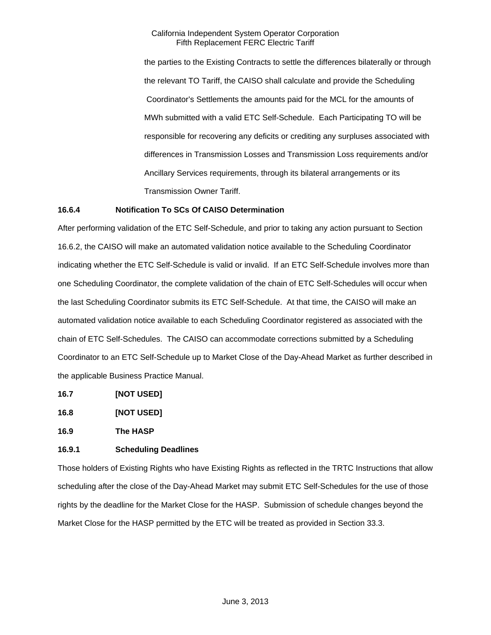the parties to the Existing Contracts to settle the differences bilaterally or through the relevant TO Tariff, the CAISO shall calculate and provide the Scheduling Coordinator's Settlements the amounts paid for the MCL for the amounts of MWh submitted with a valid ETC Self-Schedule. Each Participating TO will be responsible for recovering any deficits or crediting any surpluses associated with differences in Transmission Losses and Transmission Loss requirements and/or Ancillary Services requirements, through its bilateral arrangements or its Transmission Owner Tariff.

### **16.6.4 Notification To SCs Of CAISO Determination**

After performing validation of the ETC Self-Schedule, and prior to taking any action pursuant to Section 16.6.2, the CAISO will make an automated validation notice available to the Scheduling Coordinator indicating whether the ETC Self-Schedule is valid or invalid. If an ETC Self-Schedule involves more than one Scheduling Coordinator, the complete validation of the chain of ETC Self-Schedules will occur when the last Scheduling Coordinator submits its ETC Self-Schedule. At that time, the CAISO will make an automated validation notice available to each Scheduling Coordinator registered as associated with the chain of ETC Self-Schedules. The CAISO can accommodate corrections submitted by a Scheduling Coordinator to an ETC Self-Schedule up to Market Close of the Day-Ahead Market as further described in the applicable Business Practice Manual.

- **16.7 [NOT USED]**
- **16.8 [NOT USED]**

**16.9 The HASP** 

## **16.9.1 Scheduling Deadlines**

Those holders of Existing Rights who have Existing Rights as reflected in the TRTC Instructions that allow scheduling after the close of the Day-Ahead Market may submit ETC Self-Schedules for the use of those rights by the deadline for the Market Close for the HASP. Submission of schedule changes beyond the Market Close for the HASP permitted by the ETC will be treated as provided in Section 33.3.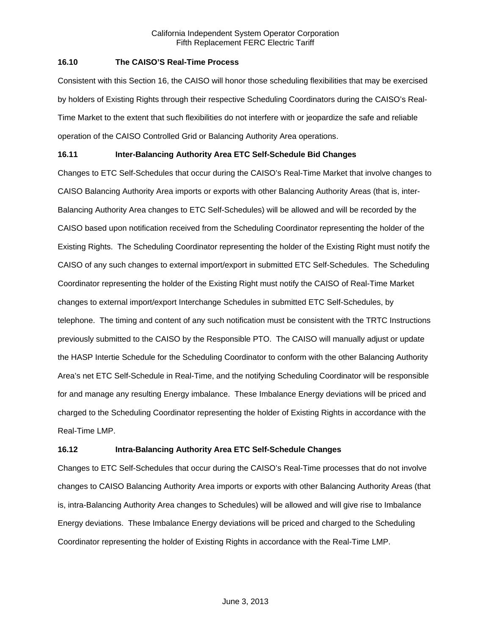### **16.10 The CAISO'S Real-Time Process**

Consistent with this Section 16, the CAISO will honor those scheduling flexibilities that may be exercised by holders of Existing Rights through their respective Scheduling Coordinators during the CAISO's Real-Time Market to the extent that such flexibilities do not interfere with or jeopardize the safe and reliable operation of the CAISO Controlled Grid or Balancing Authority Area operations.

# **16.11 Inter-Balancing Authority Area ETC Self-Schedule Bid Changes**

Changes to ETC Self-Schedules that occur during the CAISO's Real-Time Market that involve changes to CAISO Balancing Authority Area imports or exports with other Balancing Authority Areas (that is, inter-Balancing Authority Area changes to ETC Self-Schedules) will be allowed and will be recorded by the CAISO based upon notification received from the Scheduling Coordinator representing the holder of the Existing Rights. The Scheduling Coordinator representing the holder of the Existing Right must notify the CAISO of any such changes to external import/export in submitted ETC Self-Schedules. The Scheduling Coordinator representing the holder of the Existing Right must notify the CAISO of Real-Time Market changes to external import/export Interchange Schedules in submitted ETC Self-Schedules, by telephone. The timing and content of any such notification must be consistent with the TRTC Instructions previously submitted to the CAISO by the Responsible PTO. The CAISO will manually adjust or update the HASP Intertie Schedule for the Scheduling Coordinator to conform with the other Balancing Authority Area's net ETC Self-Schedule in Real-Time, and the notifying Scheduling Coordinator will be responsible for and manage any resulting Energy imbalance. These Imbalance Energy deviations will be priced and charged to the Scheduling Coordinator representing the holder of Existing Rights in accordance with the Real-Time LMP.

## **16.12 Intra-Balancing Authority Area ETC Self-Schedule Changes**

Changes to ETC Self-Schedules that occur during the CAISO's Real-Time processes that do not involve changes to CAISO Balancing Authority Area imports or exports with other Balancing Authority Areas (that is, intra-Balancing Authority Area changes to Schedules) will be allowed and will give rise to Imbalance Energy deviations. These Imbalance Energy deviations will be priced and charged to the Scheduling Coordinator representing the holder of Existing Rights in accordance with the Real-Time LMP.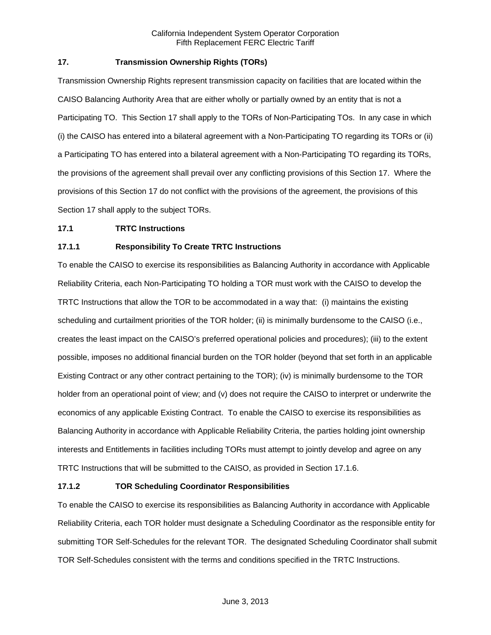## **17. Transmission Ownership Rights (TORs)**

Transmission Ownership Rights represent transmission capacity on facilities that are located within the CAISO Balancing Authority Area that are either wholly or partially owned by an entity that is not a Participating TO. This Section 17 shall apply to the TORs of Non-Participating TOs. In any case in which (i) the CAISO has entered into a bilateral agreement with a Non-Participating TO regarding its TORs or (ii) a Participating TO has entered into a bilateral agreement with a Non-Participating TO regarding its TORs, the provisions of the agreement shall prevail over any conflicting provisions of this Section 17. Where the provisions of this Section 17 do not conflict with the provisions of the agreement, the provisions of this Section 17 shall apply to the subject TORs.

#### **17.1 TRTC Instructions**

### **17.1.1 Responsibility To Create TRTC Instructions**

To enable the CAISO to exercise its responsibilities as Balancing Authority in accordance with Applicable Reliability Criteria, each Non-Participating TO holding a TOR must work with the CAISO to develop the TRTC Instructions that allow the TOR to be accommodated in a way that: (i) maintains the existing scheduling and curtailment priorities of the TOR holder; (ii) is minimally burdensome to the CAISO (i.e., creates the least impact on the CAISO's preferred operational policies and procedures); (iii) to the extent possible, imposes no additional financial burden on the TOR holder (beyond that set forth in an applicable Existing Contract or any other contract pertaining to the TOR); (iv) is minimally burdensome to the TOR holder from an operational point of view; and (v) does not require the CAISO to interpret or underwrite the economics of any applicable Existing Contract. To enable the CAISO to exercise its responsibilities as Balancing Authority in accordance with Applicable Reliability Criteria, the parties holding joint ownership interests and Entitlements in facilities including TORs must attempt to jointly develop and agree on any TRTC Instructions that will be submitted to the CAISO, as provided in Section 17.1.6.

#### **17.1.2 TOR Scheduling Coordinator Responsibilities**

To enable the CAISO to exercise its responsibilities as Balancing Authority in accordance with Applicable Reliability Criteria, each TOR holder must designate a Scheduling Coordinator as the responsible entity for submitting TOR Self-Schedules for the relevant TOR. The designated Scheduling Coordinator shall submit TOR Self-Schedules consistent with the terms and conditions specified in the TRTC Instructions.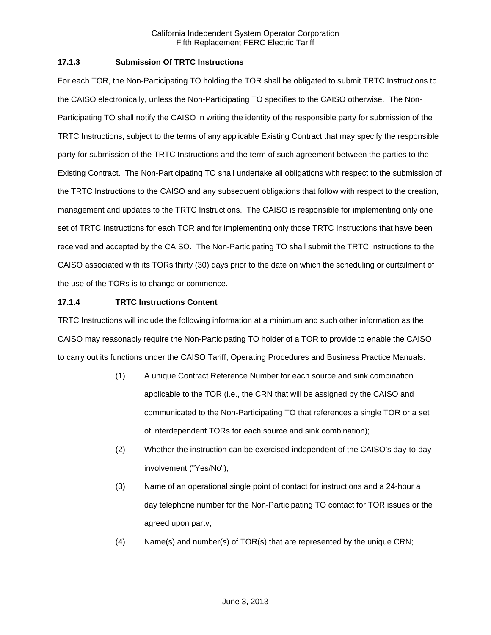### **17.1.3 Submission Of TRTC Instructions**

For each TOR, the Non-Participating TO holding the TOR shall be obligated to submit TRTC Instructions to the CAISO electronically, unless the Non-Participating TO specifies to the CAISO otherwise. The Non-Participating TO shall notify the CAISO in writing the identity of the responsible party for submission of the TRTC Instructions, subject to the terms of any applicable Existing Contract that may specify the responsible party for submission of the TRTC Instructions and the term of such agreement between the parties to the Existing Contract. The Non-Participating TO shall undertake all obligations with respect to the submission of the TRTC Instructions to the CAISO and any subsequent obligations that follow with respect to the creation, management and updates to the TRTC Instructions. The CAISO is responsible for implementing only one set of TRTC Instructions for each TOR and for implementing only those TRTC Instructions that have been received and accepted by the CAISO. The Non-Participating TO shall submit the TRTC Instructions to the CAISO associated with its TORs thirty (30) days prior to the date on which the scheduling or curtailment of the use of the TORs is to change or commence.

### **17.1.4 TRTC Instructions Content**

TRTC Instructions will include the following information at a minimum and such other information as the CAISO may reasonably require the Non-Participating TO holder of a TOR to provide to enable the CAISO to carry out its functions under the CAISO Tariff, Operating Procedures and Business Practice Manuals:

- (1) A unique Contract Reference Number for each source and sink combination applicable to the TOR (i.e., the CRN that will be assigned by the CAISO and communicated to the Non-Participating TO that references a single TOR or a set of interdependent TORs for each source and sink combination);
- (2) Whether the instruction can be exercised independent of the CAISO's day-to-day involvement ("Yes/No");
- (3) Name of an operational single point of contact for instructions and a 24-hour a day telephone number for the Non-Participating TO contact for TOR issues or the agreed upon party;
- (4) Name(s) and number(s) of TOR(s) that are represented by the unique CRN;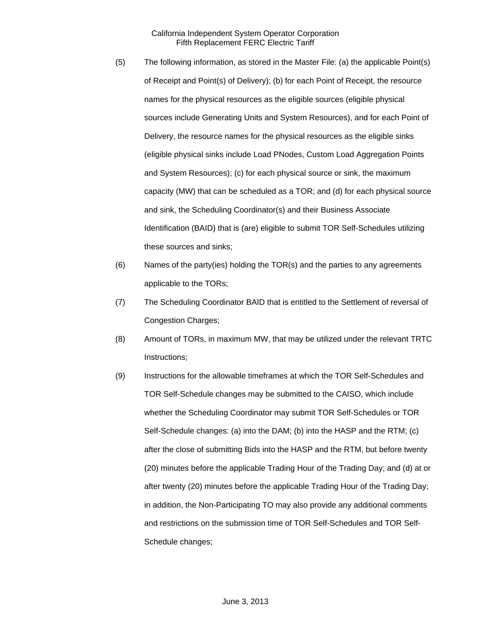- (5) The following information, as stored in the Master File: (a) the applicable Point(s) of Receipt and Point(s) of Delivery); (b) for each Point of Receipt, the resource names for the physical resources as the eligible sources (eligible physical sources include Generating Units and System Resources), and for each Point of Delivery, the resource names for the physical resources as the eligible sinks (eligible physical sinks include Load PNodes, Custom Load Aggregation Points and System Resources); (c) for each physical source or sink, the maximum capacity (MW) that can be scheduled as a TOR; and (d) for each physical source and sink, the Scheduling Coordinator(s) and their Business Associate Identification (BAID) that is (are) eligible to submit TOR Self-Schedules utilizing these sources and sinks;
- (6) Names of the party(ies) holding the TOR(s) and the parties to any agreements applicable to the TORs;
- (7) The Scheduling Coordinator BAID that is entitled to the Settlement of reversal of Congestion Charges;
- (8) Amount of TORs, in maximum MW, that may be utilized under the relevant TRTC Instructions;
- (9) Instructions for the allowable timeframes at which the TOR Self-Schedules and TOR Self-Schedule changes may be submitted to the CAISO, which include whether the Scheduling Coordinator may submit TOR Self-Schedules or TOR Self-Schedule changes: (a) into the DAM; (b) into the HASP and the RTM; (c) after the close of submitting Bids into the HASP and the RTM, but before twenty (20) minutes before the applicable Trading Hour of the Trading Day; and (d) at or after twenty (20) minutes before the applicable Trading Hour of the Trading Day; in addition, the Non-Participating TO may also provide any additional comments and restrictions on the submission time of TOR Self-Schedules and TOR Self-Schedule changes;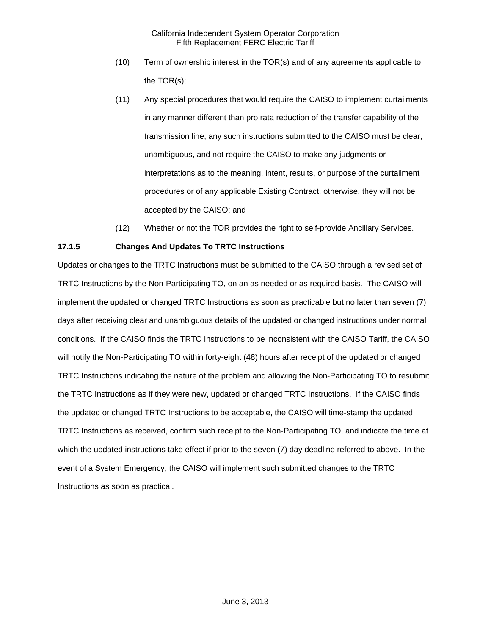- (10) Term of ownership interest in the TOR(s) and of any agreements applicable to the TOR(s);
- (11) Any special procedures that would require the CAISO to implement curtailments in any manner different than pro rata reduction of the transfer capability of the transmission line; any such instructions submitted to the CAISO must be clear, unambiguous, and not require the CAISO to make any judgments or interpretations as to the meaning, intent, results, or purpose of the curtailment procedures or of any applicable Existing Contract, otherwise, they will not be accepted by the CAISO; and
- (12) Whether or not the TOR provides the right to self-provide Ancillary Services.

## **17.1.5 Changes And Updates To TRTC Instructions**

Updates or changes to the TRTC Instructions must be submitted to the CAISO through a revised set of TRTC Instructions by the Non-Participating TO, on an as needed or as required basis. The CAISO will implement the updated or changed TRTC Instructions as soon as practicable but no later than seven (7) days after receiving clear and unambiguous details of the updated or changed instructions under normal conditions. If the CAISO finds the TRTC Instructions to be inconsistent with the CAISO Tariff, the CAISO will notify the Non-Participating TO within forty-eight (48) hours after receipt of the updated or changed TRTC Instructions indicating the nature of the problem and allowing the Non-Participating TO to resubmit the TRTC Instructions as if they were new, updated or changed TRTC Instructions. If the CAISO finds the updated or changed TRTC Instructions to be acceptable, the CAISO will time-stamp the updated TRTC Instructions as received, confirm such receipt to the Non-Participating TO, and indicate the time at which the updated instructions take effect if prior to the seven (7) day deadline referred to above. In the event of a System Emergency, the CAISO will implement such submitted changes to the TRTC Instructions as soon as practical.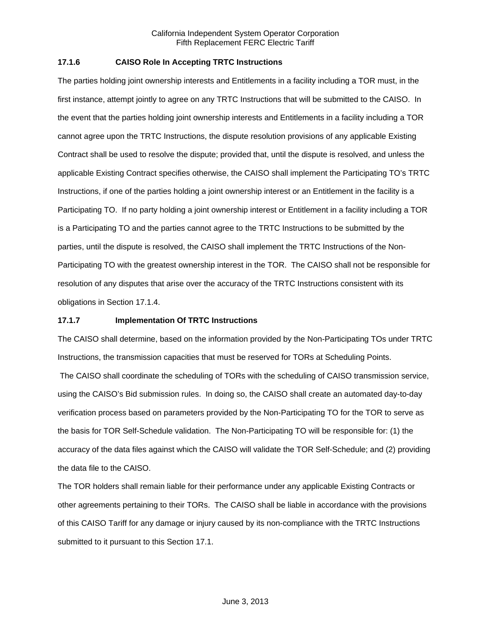### **17.1.6 CAISO Role In Accepting TRTC Instructions**

The parties holding joint ownership interests and Entitlements in a facility including a TOR must, in the first instance, attempt jointly to agree on any TRTC Instructions that will be submitted to the CAISO. In the event that the parties holding joint ownership interests and Entitlements in a facility including a TOR cannot agree upon the TRTC Instructions, the dispute resolution provisions of any applicable Existing Contract shall be used to resolve the dispute; provided that, until the dispute is resolved, and unless the applicable Existing Contract specifies otherwise, the CAISO shall implement the Participating TO's TRTC Instructions, if one of the parties holding a joint ownership interest or an Entitlement in the facility is a Participating TO. If no party holding a joint ownership interest or Entitlement in a facility including a TOR is a Participating TO and the parties cannot agree to the TRTC Instructions to be submitted by the parties, until the dispute is resolved, the CAISO shall implement the TRTC Instructions of the Non-Participating TO with the greatest ownership interest in the TOR. The CAISO shall not be responsible for resolution of any disputes that arise over the accuracy of the TRTC Instructions consistent with its obligations in Section 17.1.4.

#### **17.1.7 Implementation Of TRTC Instructions**

The CAISO shall determine, based on the information provided by the Non-Participating TOs under TRTC Instructions, the transmission capacities that must be reserved for TORs at Scheduling Points.

 The CAISO shall coordinate the scheduling of TORs with the scheduling of CAISO transmission service, using the CAISO's Bid submission rules. In doing so, the CAISO shall create an automated day-to-day verification process based on parameters provided by the Non-Participating TO for the TOR to serve as the basis for TOR Self-Schedule validation. The Non-Participating TO will be responsible for: (1) the accuracy of the data files against which the CAISO will validate the TOR Self-Schedule; and (2) providing the data file to the CAISO.

The TOR holders shall remain liable for their performance under any applicable Existing Contracts or other agreements pertaining to their TORs. The CAISO shall be liable in accordance with the provisions of this CAISO Tariff for any damage or injury caused by its non-compliance with the TRTC Instructions submitted to it pursuant to this Section 17.1.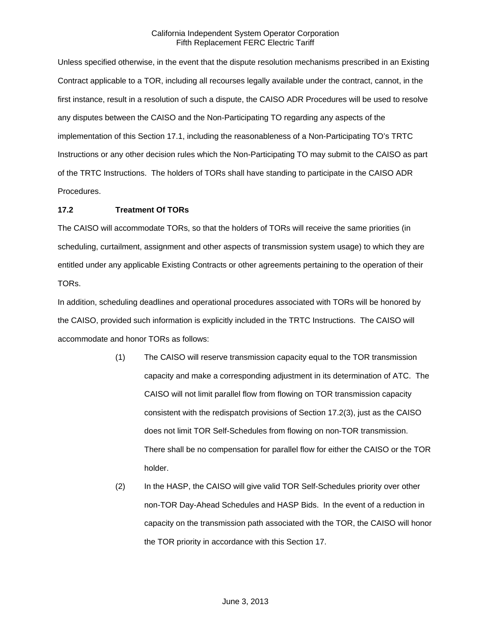Unless specified otherwise, in the event that the dispute resolution mechanisms prescribed in an Existing Contract applicable to a TOR, including all recourses legally available under the contract, cannot, in the first instance, result in a resolution of such a dispute, the CAISO ADR Procedures will be used to resolve any disputes between the CAISO and the Non-Participating TO regarding any aspects of the implementation of this Section 17.1, including the reasonableness of a Non-Participating TO's TRTC Instructions or any other decision rules which the Non-Participating TO may submit to the CAISO as part of the TRTC Instructions. The holders of TORs shall have standing to participate in the CAISO ADR Procedures.

### **17.2 Treatment Of TORs**

The CAISO will accommodate TORs, so that the holders of TORs will receive the same priorities (in scheduling, curtailment, assignment and other aspects of transmission system usage) to which they are entitled under any applicable Existing Contracts or other agreements pertaining to the operation of their TORs.

In addition, scheduling deadlines and operational procedures associated with TORs will be honored by the CAISO, provided such information is explicitly included in the TRTC Instructions. The CAISO will accommodate and honor TORs as follows:

- (1) The CAISO will reserve transmission capacity equal to the TOR transmission capacity and make a corresponding adjustment in its determination of ATC. The CAISO will not limit parallel flow from flowing on TOR transmission capacity consistent with the redispatch provisions of Section 17.2(3), just as the CAISO does not limit TOR Self-Schedules from flowing on non-TOR transmission. There shall be no compensation for parallel flow for either the CAISO or the TOR holder.
- (2) In the HASP, the CAISO will give valid TOR Self-Schedules priority over other non-TOR Day-Ahead Schedules and HASP Bids. In the event of a reduction in capacity on the transmission path associated with the TOR, the CAISO will honor the TOR priority in accordance with this Section 17.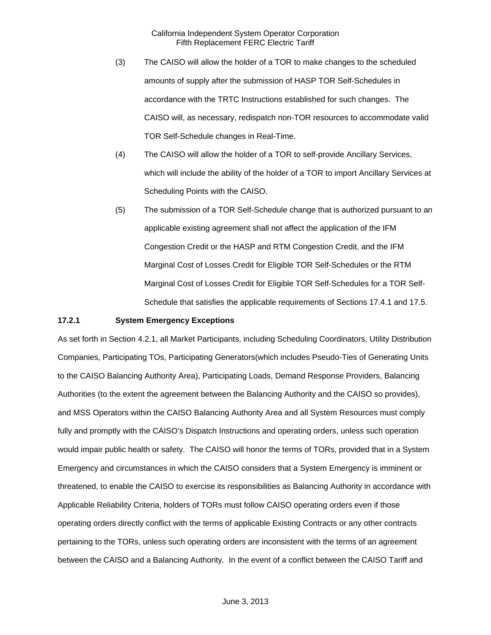- (3) The CAISO will allow the holder of a TOR to make changes to the scheduled amounts of supply after the submission of HASP TOR Self-Schedules in accordance with the TRTC Instructions established for such changes. The CAISO will, as necessary, redispatch non-TOR resources to accommodate valid TOR Self-Schedule changes in Real-Time.
- (4) The CAISO will allow the holder of a TOR to self-provide Ancillary Services, which will include the ability of the holder of a TOR to import Ancillary Services at Scheduling Points with the CAISO.
- (5) The submission of a TOR Self-Schedule change that is authorized pursuant to an applicable existing agreement shall not affect the application of the IFM Congestion Credit or the HASP and RTM Congestion Credit, and the IFM Marginal Cost of Losses Credit for Eligible TOR Self-Schedules or the RTM Marginal Cost of Losses Credit for Eligible TOR Self-Schedules for a TOR Self-Schedule that satisfies the applicable requirements of Sections 17.4.1 and 17.5.

#### **17.2.1 System Emergency Exceptions**

As set forth in Section 4.2.1, all Market Participants, including Scheduling Coordinators, Utility Distribution Companies, Participating TOs, Participating Generators(which includes Pseudo-Ties of Generating Units to the CAISO Balancing Authority Area), Participating Loads, Demand Response Providers, Balancing Authorities (to the extent the agreement between the Balancing Authority and the CAISO so provides), and MSS Operators within the CAISO Balancing Authority Area and all System Resources must comply fully and promptly with the CAISO's Dispatch Instructions and operating orders, unless such operation would impair public health or safety. The CAISO will honor the terms of TORs, provided that in a System Emergency and circumstances in which the CAISO considers that a System Emergency is imminent or threatened, to enable the CAISO to exercise its responsibilities as Balancing Authority in accordance with Applicable Reliability Criteria, holders of TORs must follow CAISO operating orders even if those operating orders directly conflict with the terms of applicable Existing Contracts or any other contracts pertaining to the TORs, unless such operating orders are inconsistent with the terms of an agreement between the CAISO and a Balancing Authority. In the event of a conflict between the CAISO Tariff and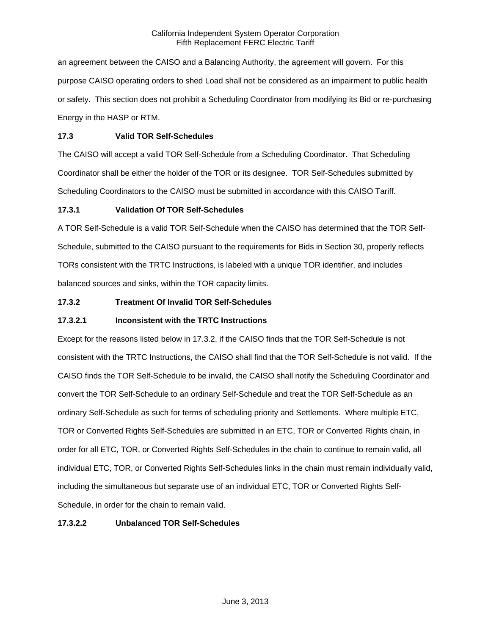an agreement between the CAISO and a Balancing Authority, the agreement will govern. For this purpose CAISO operating orders to shed Load shall not be considered as an impairment to public health or safety. This section does not prohibit a Scheduling Coordinator from modifying its Bid or re-purchasing Energy in the HASP or RTM.

## **17.3 Valid TOR Self-Schedules**

The CAISO will accept a valid TOR Self-Schedule from a Scheduling Coordinator. That Scheduling Coordinator shall be either the holder of the TOR or its designee. TOR Self-Schedules submitted by Scheduling Coordinators to the CAISO must be submitted in accordance with this CAISO Tariff.

## **17.3.1 Validation Of TOR Self-Schedules**

A TOR Self-Schedule is a valid TOR Self-Schedule when the CAISO has determined that the TOR Self-Schedule, submitted to the CAISO pursuant to the requirements for Bids in Section 30, properly reflects TORs consistent with the TRTC Instructions, is labeled with a unique TOR identifier, and includes balanced sources and sinks, within the TOR capacity limits.

## **17.3.2 Treatment Of Invalid TOR Self-Schedules**

## **17.3.2.1 Inconsistent with the TRTC Instructions**

Except for the reasons listed below in 17.3.2, if the CAISO finds that the TOR Self-Schedule is not consistent with the TRTC Instructions, the CAISO shall find that the TOR Self-Schedule is not valid. If the CAISO finds the TOR Self-Schedule to be invalid, the CAISO shall notify the Scheduling Coordinator and convert the TOR Self-Schedule to an ordinary Self-Schedule and treat the TOR Self-Schedule as an ordinary Self-Schedule as such for terms of scheduling priority and Settlements. Where multiple ETC, TOR or Converted Rights Self-Schedules are submitted in an ETC, TOR or Converted Rights chain, in order for all ETC, TOR, or Converted Rights Self-Schedules in the chain to continue to remain valid, all individual ETC, TOR, or Converted Rights Self-Schedules links in the chain must remain individually valid, including the simultaneous but separate use of an individual ETC, TOR or Converted Rights Self-Schedule, in order for the chain to remain valid.

## **17.3.2.2 Unbalanced TOR Self-Schedules**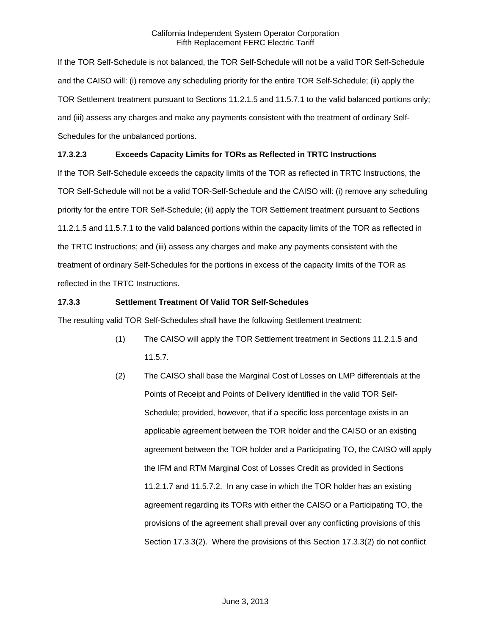If the TOR Self-Schedule is not balanced, the TOR Self-Schedule will not be a valid TOR Self-Schedule and the CAISO will: (i) remove any scheduling priority for the entire TOR Self-Schedule; (ii) apply the TOR Settlement treatment pursuant to Sections 11.2.1.5 and 11.5.7.1 to the valid balanced portions only; and (iii) assess any charges and make any payments consistent with the treatment of ordinary Self-Schedules for the unbalanced portions.

# **17.3.2.3 Exceeds Capacity Limits for TORs as Reflected in TRTC Instructions**

If the TOR Self-Schedule exceeds the capacity limits of the TOR as reflected in TRTC Instructions, the TOR Self-Schedule will not be a valid TOR-Self-Schedule and the CAISO will: (i) remove any scheduling priority for the entire TOR Self-Schedule; (ii) apply the TOR Settlement treatment pursuant to Sections 11.2.1.5 and 11.5.7.1 to the valid balanced portions within the capacity limits of the TOR as reflected in the TRTC Instructions; and (iii) assess any charges and make any payments consistent with the treatment of ordinary Self-Schedules for the portions in excess of the capacity limits of the TOR as reflected in the TRTC Instructions.

## **17.3.3 Settlement Treatment Of Valid TOR Self-Schedules**

The resulting valid TOR Self-Schedules shall have the following Settlement treatment:

- (1) The CAISO will apply the TOR Settlement treatment in Sections 11.2.1.5 and 11.5.7.
- (2) The CAISO shall base the Marginal Cost of Losses on LMP differentials at the Points of Receipt and Points of Delivery identified in the valid TOR Self-Schedule; provided, however, that if a specific loss percentage exists in an applicable agreement between the TOR holder and the CAISO or an existing agreement between the TOR holder and a Participating TO, the CAISO will apply the IFM and RTM Marginal Cost of Losses Credit as provided in Sections 11.2.1.7 and 11.5.7.2. In any case in which the TOR holder has an existing agreement regarding its TORs with either the CAISO or a Participating TO, the provisions of the agreement shall prevail over any conflicting provisions of this Section 17.3.3(2). Where the provisions of this Section 17.3.3(2) do not conflict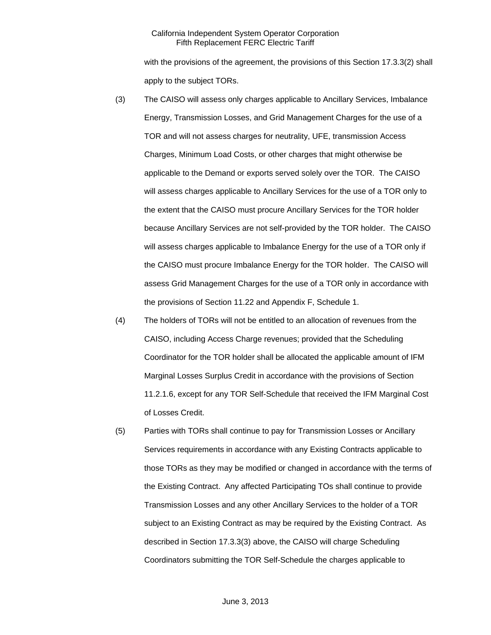with the provisions of the agreement, the provisions of this Section 17.3.3(2) shall apply to the subject TORs.

- (3) The CAISO will assess only charges applicable to Ancillary Services, Imbalance Energy, Transmission Losses, and Grid Management Charges for the use of a TOR and will not assess charges for neutrality, UFE, transmission Access Charges, Minimum Load Costs, or other charges that might otherwise be applicable to the Demand or exports served solely over the TOR. The CAISO will assess charges applicable to Ancillary Services for the use of a TOR only to the extent that the CAISO must procure Ancillary Services for the TOR holder because Ancillary Services are not self-provided by the TOR holder. The CAISO will assess charges applicable to Imbalance Energy for the use of a TOR only if the CAISO must procure Imbalance Energy for the TOR holder. The CAISO will assess Grid Management Charges for the use of a TOR only in accordance with the provisions of Section 11.22 and Appendix F, Schedule 1.
- (4) The holders of TORs will not be entitled to an allocation of revenues from the CAISO, including Access Charge revenues; provided that the Scheduling Coordinator for the TOR holder shall be allocated the applicable amount of IFM Marginal Losses Surplus Credit in accordance with the provisions of Section 11.2.1.6, except for any TOR Self-Schedule that received the IFM Marginal Cost of Losses Credit.
- (5) Parties with TORs shall continue to pay for Transmission Losses or Ancillary Services requirements in accordance with any Existing Contracts applicable to those TORs as they may be modified or changed in accordance with the terms of the Existing Contract. Any affected Participating TOs shall continue to provide Transmission Losses and any other Ancillary Services to the holder of a TOR subject to an Existing Contract as may be required by the Existing Contract. As described in Section 17.3.3(3) above, the CAISO will charge Scheduling Coordinators submitting the TOR Self-Schedule the charges applicable to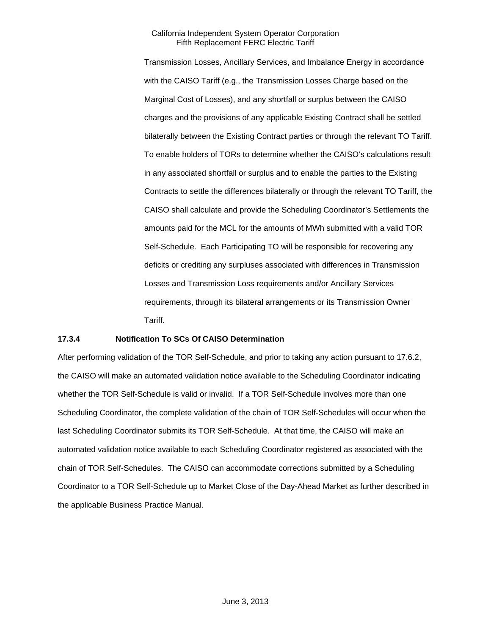Transmission Losses, Ancillary Services, and Imbalance Energy in accordance with the CAISO Tariff (e.g., the Transmission Losses Charge based on the Marginal Cost of Losses), and any shortfall or surplus between the CAISO charges and the provisions of any applicable Existing Contract shall be settled bilaterally between the Existing Contract parties or through the relevant TO Tariff. To enable holders of TORs to determine whether the CAISO's calculations result in any associated shortfall or surplus and to enable the parties to the Existing Contracts to settle the differences bilaterally or through the relevant TO Tariff, the CAISO shall calculate and provide the Scheduling Coordinator's Settlements the amounts paid for the MCL for the amounts of MWh submitted with a valid TOR Self-Schedule. Each Participating TO will be responsible for recovering any deficits or crediting any surpluses associated with differences in Transmission Losses and Transmission Loss requirements and/or Ancillary Services requirements, through its bilateral arrangements or its Transmission Owner Tariff.

### **17.3.4 Notification To SCs Of CAISO Determination**

After performing validation of the TOR Self-Schedule, and prior to taking any action pursuant to 17.6.2, the CAISO will make an automated validation notice available to the Scheduling Coordinator indicating whether the TOR Self-Schedule is valid or invalid. If a TOR Self-Schedule involves more than one Scheduling Coordinator, the complete validation of the chain of TOR Self-Schedules will occur when the last Scheduling Coordinator submits its TOR Self-Schedule. At that time, the CAISO will make an automated validation notice available to each Scheduling Coordinator registered as associated with the chain of TOR Self-Schedules. The CAISO can accommodate corrections submitted by a Scheduling Coordinator to a TOR Self-Schedule up to Market Close of the Day-Ahead Market as further described in the applicable Business Practice Manual.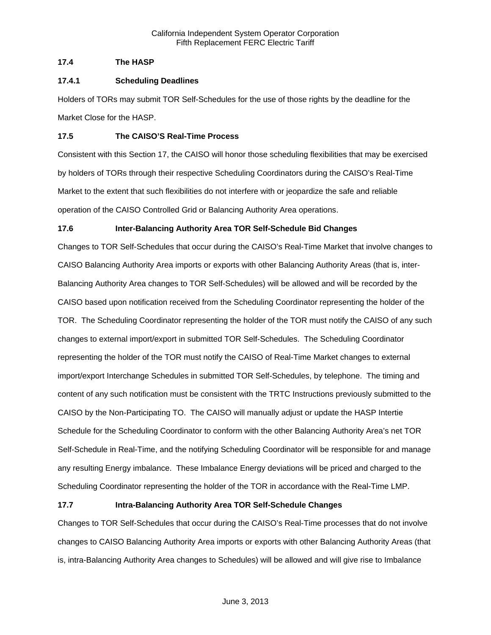## **17.4 The HASP**

### **17.4.1 Scheduling Deadlines**

Holders of TORs may submit TOR Self-Schedules for the use of those rights by the deadline for the Market Close for the HASP.

### **17.5 The CAISO'S Real-Time Process**

Consistent with this Section 17, the CAISO will honor those scheduling flexibilities that may be exercised by holders of TORs through their respective Scheduling Coordinators during the CAISO's Real-Time Market to the extent that such flexibilities do not interfere with or jeopardize the safe and reliable operation of the CAISO Controlled Grid or Balancing Authority Area operations.

## **17.6 Inter-Balancing Authority Area TOR Self-Schedule Bid Changes**

Changes to TOR Self-Schedules that occur during the CAISO's Real-Time Market that involve changes to CAISO Balancing Authority Area imports or exports with other Balancing Authority Areas (that is, inter-Balancing Authority Area changes to TOR Self-Schedules) will be allowed and will be recorded by the CAISO based upon notification received from the Scheduling Coordinator representing the holder of the TOR. The Scheduling Coordinator representing the holder of the TOR must notify the CAISO of any such changes to external import/export in submitted TOR Self-Schedules. The Scheduling Coordinator representing the holder of the TOR must notify the CAISO of Real-Time Market changes to external import/export Interchange Schedules in submitted TOR Self-Schedules, by telephone. The timing and content of any such notification must be consistent with the TRTC Instructions previously submitted to the CAISO by the Non-Participating TO. The CAISO will manually adjust or update the HASP Intertie Schedule for the Scheduling Coordinator to conform with the other Balancing Authority Area's net TOR Self-Schedule in Real-Time, and the notifying Scheduling Coordinator will be responsible for and manage any resulting Energy imbalance. These Imbalance Energy deviations will be priced and charged to the Scheduling Coordinator representing the holder of the TOR in accordance with the Real-Time LMP.

## **17.7 Intra-Balancing Authority Area TOR Self-Schedule Changes**

Changes to TOR Self-Schedules that occur during the CAISO's Real-Time processes that do not involve changes to CAISO Balancing Authority Area imports or exports with other Balancing Authority Areas (that is, intra-Balancing Authority Area changes to Schedules) will be allowed and will give rise to Imbalance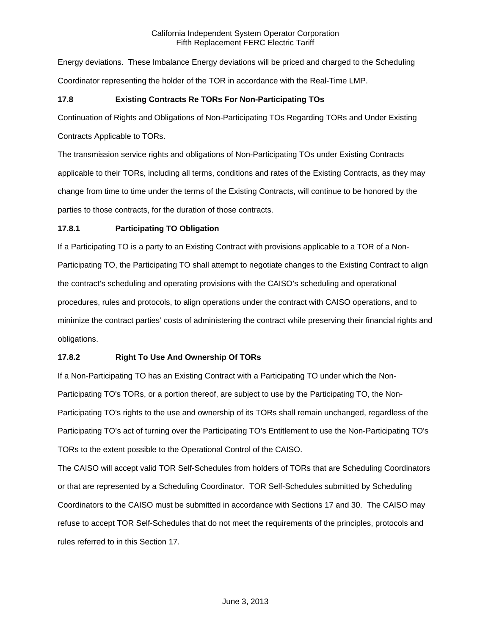Energy deviations. These Imbalance Energy deviations will be priced and charged to the Scheduling Coordinator representing the holder of the TOR in accordance with the Real-Time LMP.

# **17.8 Existing Contracts Re TORs For Non-Participating TOs**

Continuation of Rights and Obligations of Non-Participating TOs Regarding TORs and Under Existing

Contracts Applicable to TORs.

The transmission service rights and obligations of Non-Participating TOs under Existing Contracts applicable to their TORs, including all terms, conditions and rates of the Existing Contracts, as they may change from time to time under the terms of the Existing Contracts, will continue to be honored by the parties to those contracts, for the duration of those contracts.

# **17.8.1 Participating TO Obligation**

If a Participating TO is a party to an Existing Contract with provisions applicable to a TOR of a Non-Participating TO, the Participating TO shall attempt to negotiate changes to the Existing Contract to align the contract's scheduling and operating provisions with the CAISO's scheduling and operational procedures, rules and protocols, to align operations under the contract with CAISO operations, and to minimize the contract parties' costs of administering the contract while preserving their financial rights and obligations.

# **17.8.2 Right To Use And Ownership Of TORs**

If a Non-Participating TO has an Existing Contract with a Participating TO under which the Non-Participating TO's TORs, or a portion thereof, are subject to use by the Participating TO, the Non-Participating TO's rights to the use and ownership of its TORs shall remain unchanged, regardless of the Participating TO's act of turning over the Participating TO's Entitlement to use the Non-Participating TO's TORs to the extent possible to the Operational Control of the CAISO.

The CAISO will accept valid TOR Self-Schedules from holders of TORs that are Scheduling Coordinators or that are represented by a Scheduling Coordinator. TOR Self-Schedules submitted by Scheduling Coordinators to the CAISO must be submitted in accordance with Sections 17 and 30. The CAISO may refuse to accept TOR Self-Schedules that do not meet the requirements of the principles, protocols and rules referred to in this Section 17.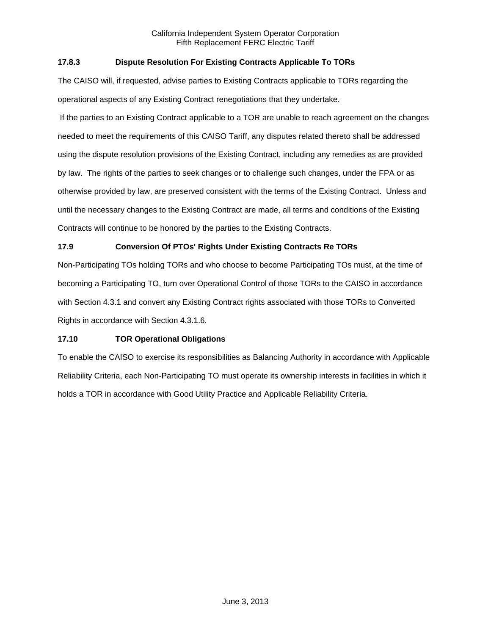## **17.8.3 Dispute Resolution For Existing Contracts Applicable To TORs**

The CAISO will, if requested, advise parties to Existing Contracts applicable to TORs regarding the operational aspects of any Existing Contract renegotiations that they undertake.

 If the parties to an Existing Contract applicable to a TOR are unable to reach agreement on the changes needed to meet the requirements of this CAISO Tariff, any disputes related thereto shall be addressed using the dispute resolution provisions of the Existing Contract, including any remedies as are provided by law. The rights of the parties to seek changes or to challenge such changes, under the FPA or as otherwise provided by law, are preserved consistent with the terms of the Existing Contract. Unless and until the necessary changes to the Existing Contract are made, all terms and conditions of the Existing Contracts will continue to be honored by the parties to the Existing Contracts.

# **17.9 Conversion Of PTOs' Rights Under Existing Contracts Re TORs**

Non-Participating TOs holding TORs and who choose to become Participating TOs must, at the time of becoming a Participating TO, turn over Operational Control of those TORs to the CAISO in accordance with Section 4.3.1 and convert any Existing Contract rights associated with those TORs to Converted Rights in accordance with Section 4.3.1.6.

## **17.10 TOR Operational Obligations**

To enable the CAISO to exercise its responsibilities as Balancing Authority in accordance with Applicable Reliability Criteria, each Non-Participating TO must operate its ownership interests in facilities in which it holds a TOR in accordance with Good Utility Practice and Applicable Reliability Criteria.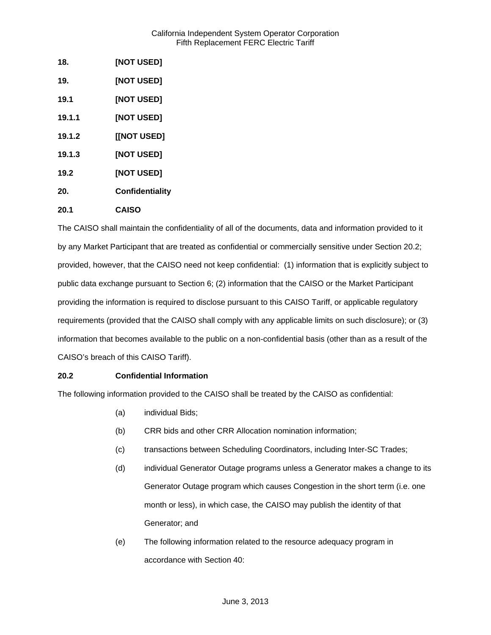| 18.    | [NOT USED]             |
|--------|------------------------|
| 19.    | <b>[NOT USED]</b>      |
| 19.1   | [NOT USED]             |
| 19.1.1 | [NOT USED]             |
| 19.1.2 | [[NOT USED]            |
| 19.1.3 | <b>[NOT USED]</b>      |
| 19.2   | <b>[NOT USED]</b>      |
| 20.    | <b>Confidentiality</b> |
| 20.1   | <b>CAISO</b>           |

The CAISO shall maintain the confidentiality of all of the documents, data and information provided to it by any Market Participant that are treated as confidential or commercially sensitive under Section 20.2; provided, however, that the CAISO need not keep confidential: (1) information that is explicitly subject to public data exchange pursuant to Section 6; (2) information that the CAISO or the Market Participant providing the information is required to disclose pursuant to this CAISO Tariff, or applicable regulatory requirements (provided that the CAISO shall comply with any applicable limits on such disclosure); or (3) information that becomes available to the public on a non-confidential basis (other than as a result of the CAISO's breach of this CAISO Tariff).

## **20.2 Confidential Information**

The following information provided to the CAISO shall be treated by the CAISO as confidential:

- (a) individual Bids;
- (b) CRR bids and other CRR Allocation nomination information;
- (c) transactions between Scheduling Coordinators, including Inter-SC Trades;
- (d) individual Generator Outage programs unless a Generator makes a change to its Generator Outage program which causes Congestion in the short term (i.e. one month or less), in which case, the CAISO may publish the identity of that Generator; and
- (e) The following information related to the resource adequacy program in accordance with Section 40: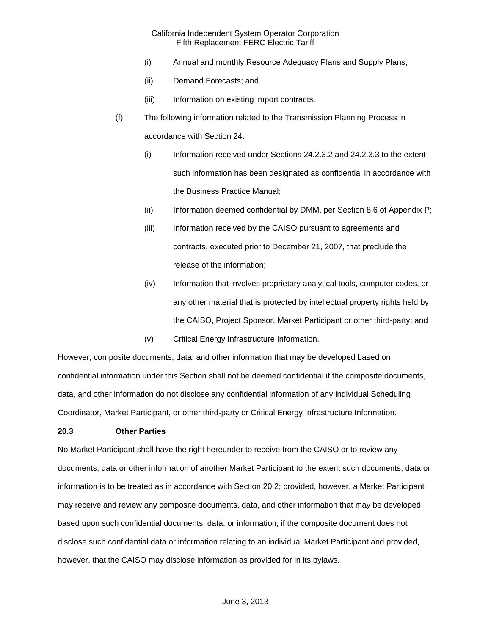- (i) Annual and monthly Resource Adequacy Plans and Supply Plans;
- (ii) Demand Forecasts; and
- (iii) Information on existing import contracts.
- (f) The following information related to the Transmission Planning Process in accordance with Section 24:
	- (i) Information received under Sections 24.2.3.2 and 24.2.3.3 to the extent such information has been designated as confidential in accordance with the Business Practice Manual;
	- (ii) Information deemed confidential by DMM, per Section 8.6 of Appendix P;
	- (iii) Information received by the CAISO pursuant to agreements and contracts, executed prior to December 21, 2007, that preclude the release of the information;
	- (iv) Information that involves proprietary analytical tools, computer codes, or any other material that is protected by intellectual property rights held by the CAISO, Project Sponsor, Market Participant or other third-party; and
	- (v) Critical Energy Infrastructure Information.

However, composite documents, data, and other information that may be developed based on confidential information under this Section shall not be deemed confidential if the composite documents, data, and other information do not disclose any confidential information of any individual Scheduling Coordinator, Market Participant, or other third-party or Critical Energy Infrastructure Information.

### **20.3 Other Parties**

No Market Participant shall have the right hereunder to receive from the CAISO or to review any documents, data or other information of another Market Participant to the extent such documents, data or information is to be treated as in accordance with Section 20.2; provided, however, a Market Participant may receive and review any composite documents, data, and other information that may be developed based upon such confidential documents, data, or information, if the composite document does not disclose such confidential data or information relating to an individual Market Participant and provided, however, that the CAISO may disclose information as provided for in its bylaws.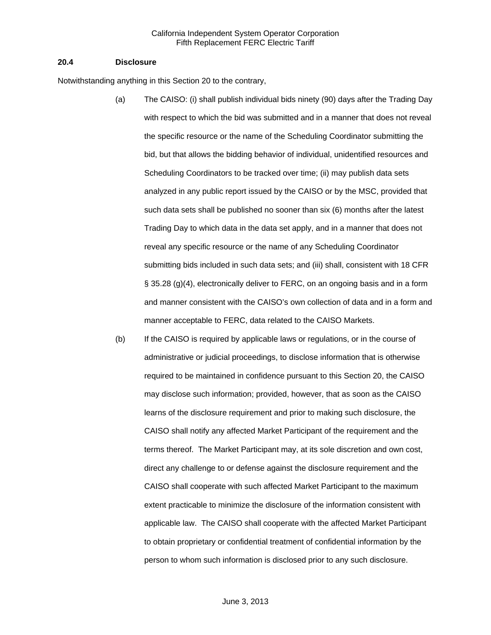#### **20.4 Disclosure**

Notwithstanding anything in this Section 20 to the contrary,

- (a) The CAISO: (i) shall publish individual bids ninety (90) days after the Trading Day with respect to which the bid was submitted and in a manner that does not reveal the specific resource or the name of the Scheduling Coordinator submitting the bid, but that allows the bidding behavior of individual, unidentified resources and Scheduling Coordinators to be tracked over time; (ii) may publish data sets analyzed in any public report issued by the CAISO or by the MSC, provided that such data sets shall be published no sooner than six (6) months after the latest Trading Day to which data in the data set apply, and in a manner that does not reveal any specific resource or the name of any Scheduling Coordinator submitting bids included in such data sets; and (iii) shall, consistent with 18 CFR § 35.28 (g)(4), electronically deliver to FERC, on an ongoing basis and in a form and manner consistent with the CAISO's own collection of data and in a form and manner acceptable to FERC, data related to the CAISO Markets.
- (b) If the CAISO is required by applicable laws or regulations, or in the course of administrative or judicial proceedings, to disclose information that is otherwise required to be maintained in confidence pursuant to this Section 20, the CAISO may disclose such information; provided, however, that as soon as the CAISO learns of the disclosure requirement and prior to making such disclosure, the CAISO shall notify any affected Market Participant of the requirement and the terms thereof. The Market Participant may, at its sole discretion and own cost, direct any challenge to or defense against the disclosure requirement and the CAISO shall cooperate with such affected Market Participant to the maximum extent practicable to minimize the disclosure of the information consistent with applicable law. The CAISO shall cooperate with the affected Market Participant to obtain proprietary or confidential treatment of confidential information by the person to whom such information is disclosed prior to any such disclosure.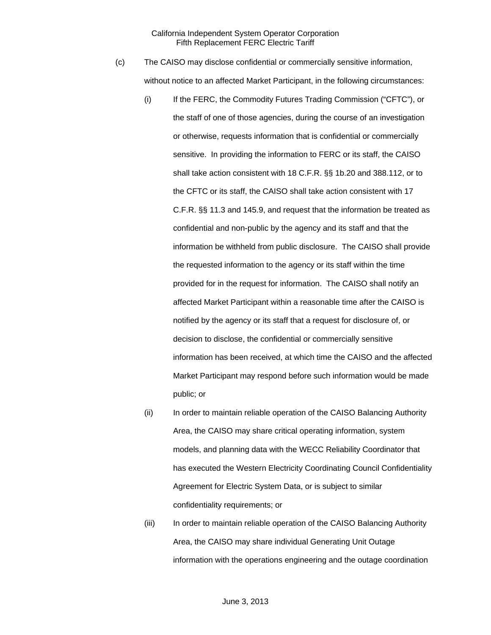- (c) The CAISO may disclose confidential or commercially sensitive information, without notice to an affected Market Participant, in the following circumstances:
	- (i) If the FERC, the Commodity Futures Trading Commission ("CFTC"), or the staff of one of those agencies, during the course of an investigation or otherwise, requests information that is confidential or commercially sensitive. In providing the information to FERC or its staff, the CAISO shall take action consistent with 18 C.F.R. §§ 1b.20 and 388.112, or to the CFTC or its staff, the CAISO shall take action consistent with 17 C.F.R. §§ 11.3 and 145.9, and request that the information be treated as confidential and non-public by the agency and its staff and that the information be withheld from public disclosure. The CAISO shall provide the requested information to the agency or its staff within the time provided for in the request for information. The CAISO shall notify an affected Market Participant within a reasonable time after the CAISO is notified by the agency or its staff that a request for disclosure of, or decision to disclose, the confidential or commercially sensitive information has been received, at which time the CAISO and the affected Market Participant may respond before such information would be made public; or
	- (ii) In order to maintain reliable operation of the CAISO Balancing Authority Area, the CAISO may share critical operating information, system models, and planning data with the WECC Reliability Coordinator that has executed the Western Electricity Coordinating Council Confidentiality Agreement for Electric System Data, or is subject to similar confidentiality requirements; or
	- (iii) In order to maintain reliable operation of the CAISO Balancing Authority Area, the CAISO may share individual Generating Unit Outage information with the operations engineering and the outage coordination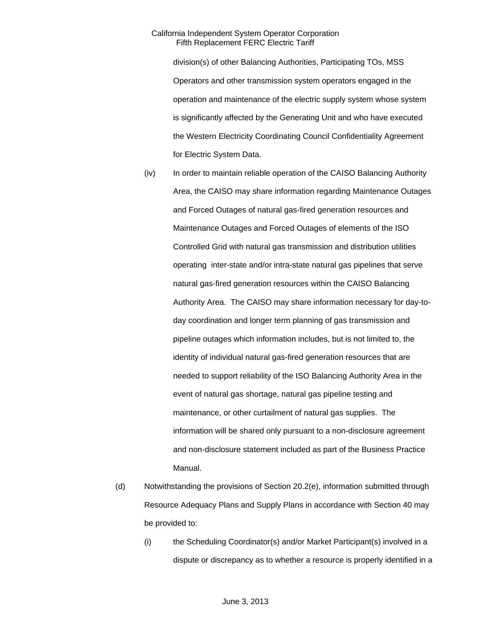division(s) of other Balancing Authorities, Participating TOs, MSS Operators and other transmission system operators engaged in the operation and maintenance of the electric supply system whose system is significantly affected by the Generating Unit and who have executed the Western Electricity Coordinating Council Confidentiality Agreement for Electric System Data.

- (iv) In order to maintain reliable operation of the CAISO Balancing Authority Area, the CAISO may share information regarding Maintenance Outages and Forced Outages of natural gas-fired generation resources and Maintenance Outages and Forced Outages of elements of the ISO Controlled Grid with natural gas transmission and distribution utilities operating inter-state and/or intra-state natural gas pipelines that serve natural gas-fired generation resources within the CAISO Balancing Authority Area. The CAISO may share information necessary for day-today coordination and longer term planning of gas transmission and pipeline outages which information includes, but is not limited to, the identity of individual natural gas-fired generation resources that are needed to support reliability of the ISO Balancing Authority Area in the event of natural gas shortage, natural gas pipeline testing and maintenance, or other curtailment of natural gas supplies. The information will be shared only pursuant to a non-disclosure agreement and non-disclosure statement included as part of the Business Practice Manual.
- (d) Notwithstanding the provisions of Section 20.2(e), information submitted through Resource Adequacy Plans and Supply Plans in accordance with Section 40 may be provided to:
	- (i) the Scheduling Coordinator(s) and/or Market Participant(s) involved in a dispute or discrepancy as to whether a resource is properly identified in a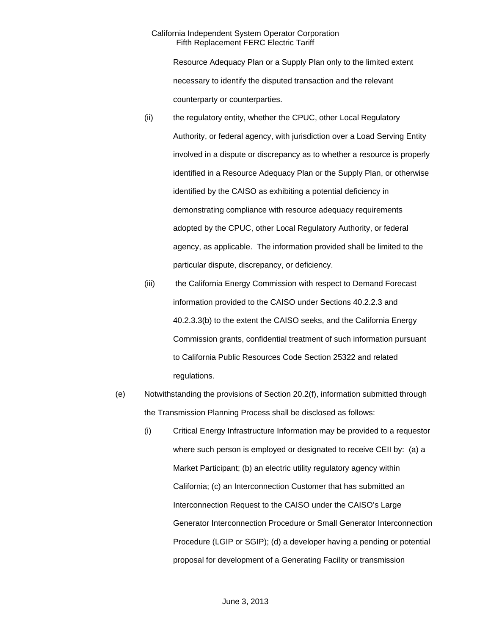Resource Adequacy Plan or a Supply Plan only to the limited extent necessary to identify the disputed transaction and the relevant counterparty or counterparties.

- (ii) the regulatory entity, whether the CPUC, other Local Regulatory Authority, or federal agency, with jurisdiction over a Load Serving Entity involved in a dispute or discrepancy as to whether a resource is properly identified in a Resource Adequacy Plan or the Supply Plan, or otherwise identified by the CAISO as exhibiting a potential deficiency in demonstrating compliance with resource adequacy requirements adopted by the CPUC, other Local Regulatory Authority, or federal agency, as applicable. The information provided shall be limited to the particular dispute, discrepancy, or deficiency.
- (iii) the California Energy Commission with respect to Demand Forecast information provided to the CAISO under Sections 40.2.2.3 and 40.2.3.3(b) to the extent the CAISO seeks, and the California Energy Commission grants, confidential treatment of such information pursuant to California Public Resources Code Section 25322 and related regulations.
- (e) Notwithstanding the provisions of Section 20.2(f), information submitted through the Transmission Planning Process shall be disclosed as follows:
	- (i) Critical Energy Infrastructure Information may be provided to a requestor where such person is employed or designated to receive CEII by: (a) a Market Participant; (b) an electric utility regulatory agency within California; (c) an Interconnection Customer that has submitted an Interconnection Request to the CAISO under the CAISO's Large Generator Interconnection Procedure or Small Generator Interconnection Procedure (LGIP or SGIP); (d) a developer having a pending or potential proposal for development of a Generating Facility or transmission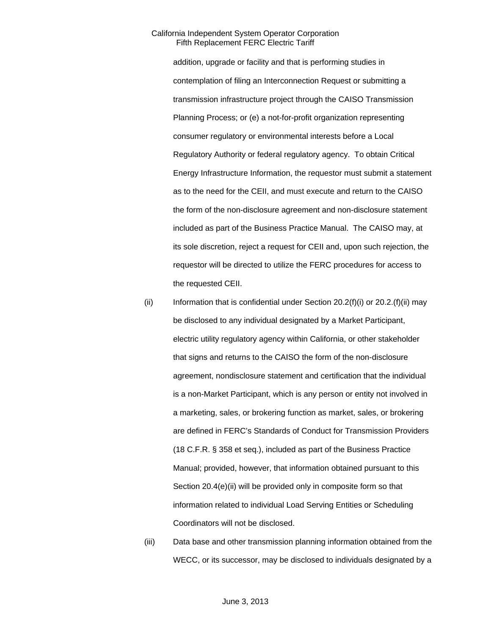addition, upgrade or facility and that is performing studies in contemplation of filing an Interconnection Request or submitting a transmission infrastructure project through the CAISO Transmission Planning Process; or (e) a not-for-profit organization representing consumer regulatory or environmental interests before a Local Regulatory Authority or federal regulatory agency. To obtain Critical Energy Infrastructure Information, the requestor must submit a statement as to the need for the CEII, and must execute and return to the CAISO the form of the non-disclosure agreement and non-disclosure statement included as part of the Business Practice Manual. The CAISO may, at its sole discretion, reject a request for CEII and, upon such rejection, the requestor will be directed to utilize the FERC procedures for access to the requested CEII.

- (ii) Information that is confidential under Section  $20.2(f)(i)$  or  $20.2(f)(ii)$  may be disclosed to any individual designated by a Market Participant, electric utility regulatory agency within California, or other stakeholder that signs and returns to the CAISO the form of the non-disclosure agreement, nondisclosure statement and certification that the individual is a non-Market Participant, which is any person or entity not involved in a marketing, sales, or brokering function as market, sales, or brokering are defined in FERC's Standards of Conduct for Transmission Providers (18 C.F.R. § 358 et seq.), included as part of the Business Practice Manual; provided, however, that information obtained pursuant to this Section 20.4(e)(ii) will be provided only in composite form so that information related to individual Load Serving Entities or Scheduling Coordinators will not be disclosed.
- (iii) Data base and other transmission planning information obtained from the WECC, or its successor, may be disclosed to individuals designated by a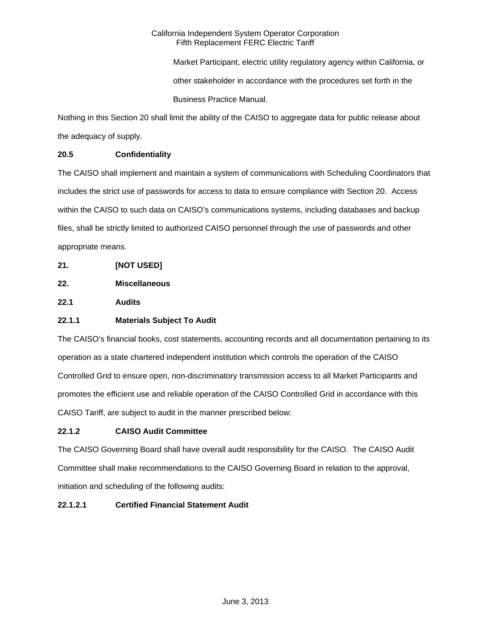Market Participant, electric utility regulatory agency within California, or other stakeholder in accordance with the procedures set forth in the Business Practice Manual.

Nothing in this Section 20 shall limit the ability of the CAISO to aggregate data for public release about the adequacy of supply.

# **20.5 Confidentiality**

The CAISO shall implement and maintain a system of communications with Scheduling Coordinators that includes the strict use of passwords for access to data to ensure compliance with Section 20. Access within the CAISO to such data on CAISO's communications systems, including databases and backup files, shall be strictly limited to authorized CAISO personnel through the use of passwords and other appropriate means.

- **21. [NOT USED]**
- **22. Miscellaneous**

**22.1 Audits** 

# **22.1.1 Materials Subject To Audit**

The CAISO's financial books, cost statements, accounting records and all documentation pertaining to its operation as a state chartered independent institution which controls the operation of the CAISO Controlled Grid to ensure open, non-discriminatory transmission access to all Market Participants and promotes the efficient use and reliable operation of the CAISO Controlled Grid in accordance with this CAISO Tariff, are subject to audit in the manner prescribed below:

## **22.1.2 CAISO Audit Committee**

The CAISO Governing Board shall have overall audit responsibility for the CAISO. The CAISO Audit Committee shall make recommendations to the CAISO Governing Board in relation to the approval, initiation and scheduling of the following audits:

## **22.1.2.1 Certified Financial Statement Audit**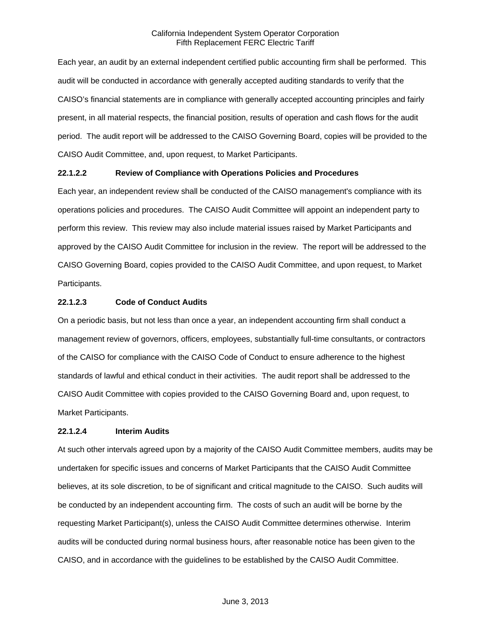Each year, an audit by an external independent certified public accounting firm shall be performed. This audit will be conducted in accordance with generally accepted auditing standards to verify that the CAISO's financial statements are in compliance with generally accepted accounting principles and fairly present, in all material respects, the financial position, results of operation and cash flows for the audit period. The audit report will be addressed to the CAISO Governing Board, copies will be provided to the CAISO Audit Committee, and, upon request, to Market Participants.

### **22.1.2.2 Review of Compliance with Operations Policies and Procedures**

Each year, an independent review shall be conducted of the CAISO management's compliance with its operations policies and procedures. The CAISO Audit Committee will appoint an independent party to perform this review. This review may also include material issues raised by Market Participants and approved by the CAISO Audit Committee for inclusion in the review. The report will be addressed to the CAISO Governing Board, copies provided to the CAISO Audit Committee, and upon request, to Market Participants.

#### **22.1.2.3 Code of Conduct Audits**

On a periodic basis, but not less than once a year, an independent accounting firm shall conduct a management review of governors, officers, employees, substantially full-time consultants, or contractors of the CAISO for compliance with the CAISO Code of Conduct to ensure adherence to the highest standards of lawful and ethical conduct in their activities. The audit report shall be addressed to the CAISO Audit Committee with copies provided to the CAISO Governing Board and, upon request, to Market Participants.

#### **22.1.2.4 Interim Audits**

At such other intervals agreed upon by a majority of the CAISO Audit Committee members, audits may be undertaken for specific issues and concerns of Market Participants that the CAISO Audit Committee believes, at its sole discretion, to be of significant and critical magnitude to the CAISO. Such audits will be conducted by an independent accounting firm. The costs of such an audit will be borne by the requesting Market Participant(s), unless the CAISO Audit Committee determines otherwise. Interim audits will be conducted during normal business hours, after reasonable notice has been given to the CAISO, and in accordance with the guidelines to be established by the CAISO Audit Committee.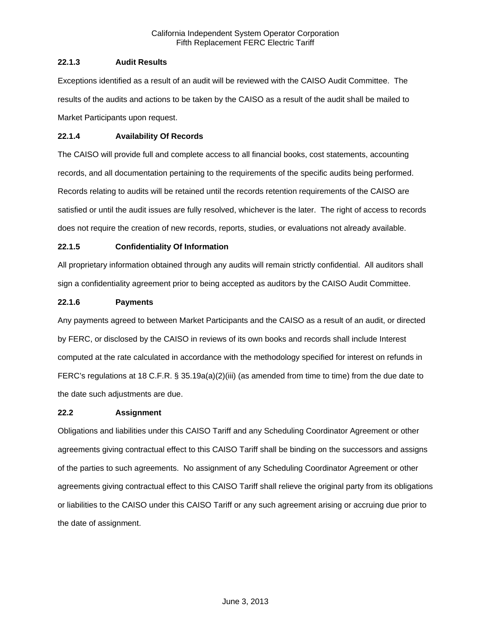## **22.1.3 Audit Results**

Exceptions identified as a result of an audit will be reviewed with the CAISO Audit Committee. The results of the audits and actions to be taken by the CAISO as a result of the audit shall be mailed to Market Participants upon request.

## **22.1.4 Availability Of Records**

The CAISO will provide full and complete access to all financial books, cost statements, accounting records, and all documentation pertaining to the requirements of the specific audits being performed. Records relating to audits will be retained until the records retention requirements of the CAISO are satisfied or until the audit issues are fully resolved, whichever is the later. The right of access to records does not require the creation of new records, reports, studies, or evaluations not already available.

## **22.1.5 Confidentiality Of Information**

All proprietary information obtained through any audits will remain strictly confidential. All auditors shall sign a confidentiality agreement prior to being accepted as auditors by the CAISO Audit Committee.

## **22.1.6 Payments**

Any payments agreed to between Market Participants and the CAISO as a result of an audit, or directed by FERC, or disclosed by the CAISO in reviews of its own books and records shall include Interest computed at the rate calculated in accordance with the methodology specified for interest on refunds in FERC's regulations at 18 C.F.R. § 35.19a(a)(2)(iii) (as amended from time to time) from the due date to the date such adjustments are due.

## **22.2 Assignment**

Obligations and liabilities under this CAISO Tariff and any Scheduling Coordinator Agreement or other agreements giving contractual effect to this CAISO Tariff shall be binding on the successors and assigns of the parties to such agreements. No assignment of any Scheduling Coordinator Agreement or other agreements giving contractual effect to this CAISO Tariff shall relieve the original party from its obligations or liabilities to the CAISO under this CAISO Tariff or any such agreement arising or accruing due prior to the date of assignment.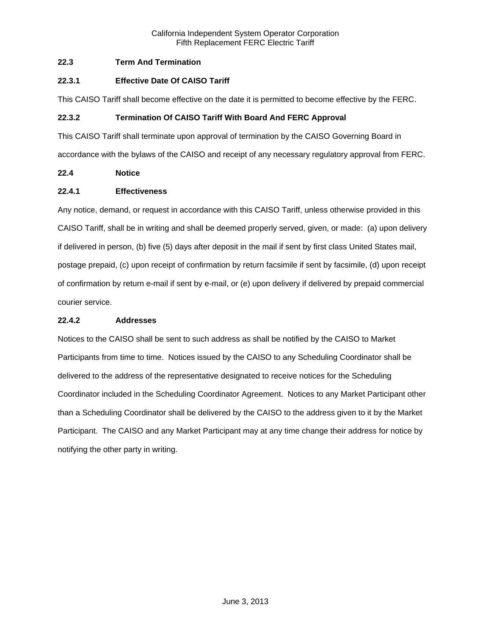## **22.3 Term And Termination**

## **22.3.1 Effective Date Of CAISO Tariff**

This CAISO Tariff shall become effective on the date it is permitted to become effective by the FERC.

## **22.3.2 Termination Of CAISO Tariff With Board And FERC Approval**

This CAISO Tariff shall terminate upon approval of termination by the CAISO Governing Board in accordance with the bylaws of the CAISO and receipt of any necessary regulatory approval from FERC.

# **22.4 Notice**

### **22.4.1 Effectiveness**

Any notice, demand, or request in accordance with this CAISO Tariff, unless otherwise provided in this CAISO Tariff, shall be in writing and shall be deemed properly served, given, or made: (a) upon delivery if delivered in person, (b) five (5) days after deposit in the mail if sent by first class United States mail, postage prepaid, (c) upon receipt of confirmation by return facsimile if sent by facsimile, (d) upon receipt of confirmation by return e-mail if sent by e-mail, or (e) upon delivery if delivered by prepaid commercial courier service.

### **22.4.2 Addresses**

Notices to the CAISO shall be sent to such address as shall be notified by the CAISO to Market Participants from time to time. Notices issued by the CAISO to any Scheduling Coordinator shall be delivered to the address of the representative designated to receive notices for the Scheduling Coordinator included in the Scheduling Coordinator Agreement. Notices to any Market Participant other than a Scheduling Coordinator shall be delivered by the CAISO to the address given to it by the Market Participant. The CAISO and any Market Participant may at any time change their address for notice by notifying the other party in writing.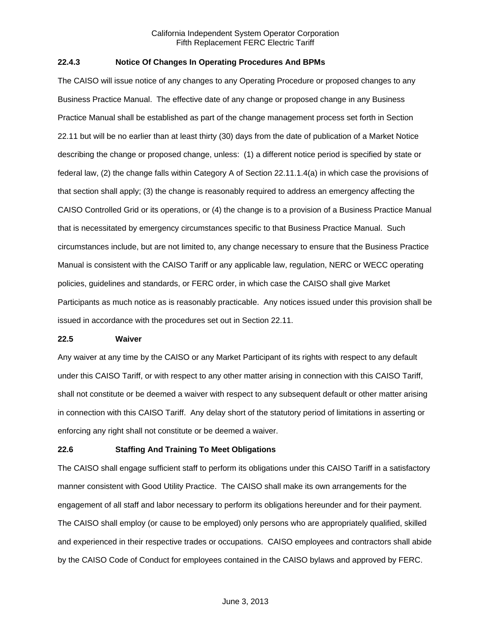### **22.4.3 Notice Of Changes In Operating Procedures And BPMs**

The CAISO will issue notice of any changes to any Operating Procedure or proposed changes to any Business Practice Manual. The effective date of any change or proposed change in any Business Practice Manual shall be established as part of the change management process set forth in Section 22.11 but will be no earlier than at least thirty (30) days from the date of publication of a Market Notice describing the change or proposed change, unless: (1) a different notice period is specified by state or federal law, (2) the change falls within Category A of Section 22.11.1.4(a) in which case the provisions of that section shall apply; (3) the change is reasonably required to address an emergency affecting the CAISO Controlled Grid or its operations, or (4) the change is to a provision of a Business Practice Manual that is necessitated by emergency circumstances specific to that Business Practice Manual. Such circumstances include, but are not limited to, any change necessary to ensure that the Business Practice Manual is consistent with the CAISO Tariff or any applicable law, regulation, NERC or WECC operating policies, guidelines and standards, or FERC order, in which case the CAISO shall give Market Participants as much notice as is reasonably practicable. Any notices issued under this provision shall be issued in accordance with the procedures set out in Section 22.11.

#### **22.5 Waiver**

Any waiver at any time by the CAISO or any Market Participant of its rights with respect to any default under this CAISO Tariff, or with respect to any other matter arising in connection with this CAISO Tariff, shall not constitute or be deemed a waiver with respect to any subsequent default or other matter arising in connection with this CAISO Tariff. Any delay short of the statutory period of limitations in asserting or enforcing any right shall not constitute or be deemed a waiver.

## **22.6 Staffing And Training To Meet Obligations**

The CAISO shall engage sufficient staff to perform its obligations under this CAISO Tariff in a satisfactory manner consistent with Good Utility Practice. The CAISO shall make its own arrangements for the engagement of all staff and labor necessary to perform its obligations hereunder and for their payment. The CAISO shall employ (or cause to be employed) only persons who are appropriately qualified, skilled and experienced in their respective trades or occupations. CAISO employees and contractors shall abide by the CAISO Code of Conduct for employees contained in the CAISO bylaws and approved by FERC.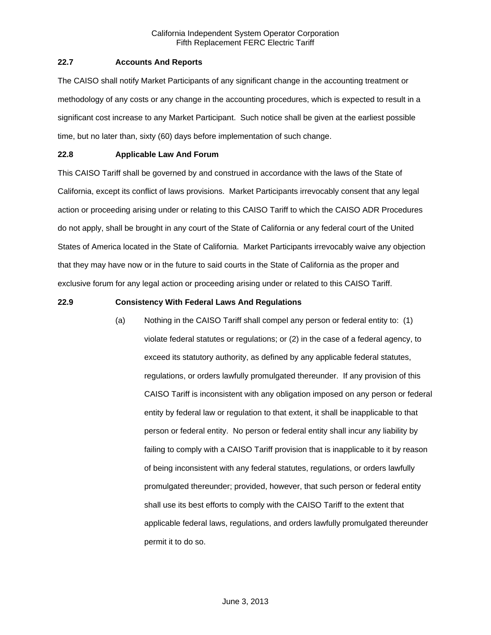### **22.7 Accounts And Reports**

The CAISO shall notify Market Participants of any significant change in the accounting treatment or methodology of any costs or any change in the accounting procedures, which is expected to result in a significant cost increase to any Market Participant. Such notice shall be given at the earliest possible time, but no later than, sixty (60) days before implementation of such change.

### **22.8 Applicable Law And Forum**

This CAISO Tariff shall be governed by and construed in accordance with the laws of the State of California, except its conflict of laws provisions. Market Participants irrevocably consent that any legal action or proceeding arising under or relating to this CAISO Tariff to which the CAISO ADR Procedures do not apply, shall be brought in any court of the State of California or any federal court of the United States of America located in the State of California. Market Participants irrevocably waive any objection that they may have now or in the future to said courts in the State of California as the proper and exclusive forum for any legal action or proceeding arising under or related to this CAISO Tariff.

### **22.9 Consistency With Federal Laws And Regulations**

(a) Nothing in the CAISO Tariff shall compel any person or federal entity to: (1) violate federal statutes or regulations; or (2) in the case of a federal agency, to exceed its statutory authority, as defined by any applicable federal statutes, regulations, or orders lawfully promulgated thereunder. If any provision of this CAISO Tariff is inconsistent with any obligation imposed on any person or federal entity by federal law or regulation to that extent, it shall be inapplicable to that person or federal entity. No person or federal entity shall incur any liability by failing to comply with a CAISO Tariff provision that is inapplicable to it by reason of being inconsistent with any federal statutes, regulations, or orders lawfully promulgated thereunder; provided, however, that such person or federal entity shall use its best efforts to comply with the CAISO Tariff to the extent that applicable federal laws, regulations, and orders lawfully promulgated thereunder permit it to do so.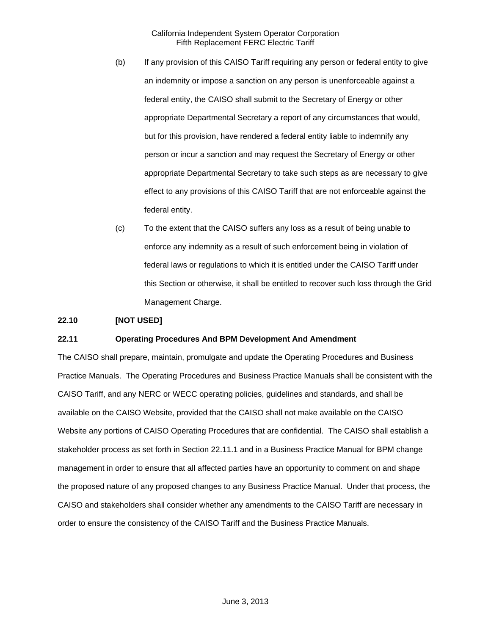- (b) If any provision of this CAISO Tariff requiring any person or federal entity to give an indemnity or impose a sanction on any person is unenforceable against a federal entity, the CAISO shall submit to the Secretary of Energy or other appropriate Departmental Secretary a report of any circumstances that would, but for this provision, have rendered a federal entity liable to indemnify any person or incur a sanction and may request the Secretary of Energy or other appropriate Departmental Secretary to take such steps as are necessary to give effect to any provisions of this CAISO Tariff that are not enforceable against the federal entity.
- (c) To the extent that the CAISO suffers any loss as a result of being unable to enforce any indemnity as a result of such enforcement being in violation of federal laws or regulations to which it is entitled under the CAISO Tariff under this Section or otherwise, it shall be entitled to recover such loss through the Grid Management Charge.

### **22.10 [NOT USED]**

### **22.11 Operating Procedures And BPM Development And Amendment**

The CAISO shall prepare, maintain, promulgate and update the Operating Procedures and Business Practice Manuals. The Operating Procedures and Business Practice Manuals shall be consistent with the CAISO Tariff, and any NERC or WECC operating policies, guidelines and standards, and shall be available on the CAISO Website, provided that the CAISO shall not make available on the CAISO Website any portions of CAISO Operating Procedures that are confidential. The CAISO shall establish a stakeholder process as set forth in Section 22.11.1 and in a Business Practice Manual for BPM change management in order to ensure that all affected parties have an opportunity to comment on and shape the proposed nature of any proposed changes to any Business Practice Manual. Under that process, the CAISO and stakeholders shall consider whether any amendments to the CAISO Tariff are necessary in order to ensure the consistency of the CAISO Tariff and the Business Practice Manuals.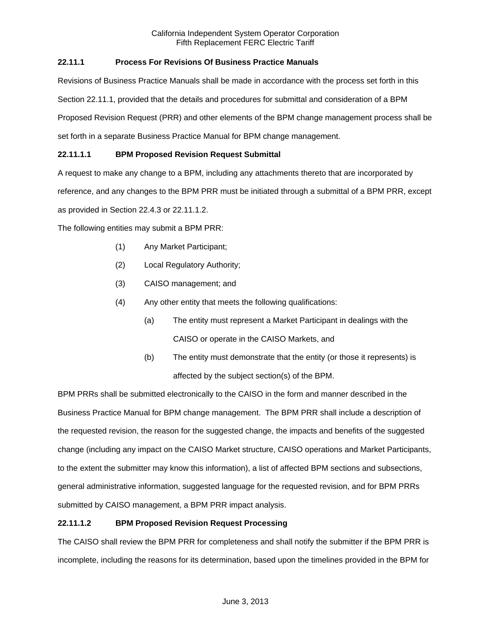# **22.11.1 Process For Revisions Of Business Practice Manuals**

Revisions of Business Practice Manuals shall be made in accordance with the process set forth in this Section 22.11.1, provided that the details and procedures for submittal and consideration of a BPM Proposed Revision Request (PRR) and other elements of the BPM change management process shall be set forth in a separate Business Practice Manual for BPM change management.

# **22.11.1.1 BPM Proposed Revision Request Submittal**

A request to make any change to a BPM, including any attachments thereto that are incorporated by

reference, and any changes to the BPM PRR must be initiated through a submittal of a BPM PRR, except

as provided in Section 22.4.3 or 22.11.1.2.

The following entities may submit a BPM PRR:

- (1) Any Market Participant;
- (2) Local Regulatory Authority;
- (3) CAISO management; and
- (4) Any other entity that meets the following qualifications:
	- (a) The entity must represent a Market Participant in dealings with the CAISO or operate in the CAISO Markets, and
	- (b) The entity must demonstrate that the entity (or those it represents) is affected by the subject section(s) of the BPM.

BPM PRRs shall be submitted electronically to the CAISO in the form and manner described in the Business Practice Manual for BPM change management. The BPM PRR shall include a description of the requested revision, the reason for the suggested change, the impacts and benefits of the suggested change (including any impact on the CAISO Market structure, CAISO operations and Market Participants, to the extent the submitter may know this information), a list of affected BPM sections and subsections, general administrative information, suggested language for the requested revision, and for BPM PRRs submitted by CAISO management, a BPM PRR impact analysis.

## **22.11.1.2 BPM Proposed Revision Request Processing**

The CAISO shall review the BPM PRR for completeness and shall notify the submitter if the BPM PRR is incomplete, including the reasons for its determination, based upon the timelines provided in the BPM for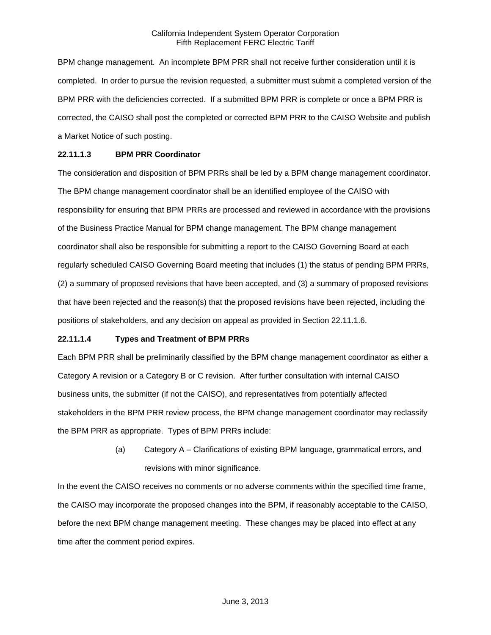BPM change management. An incomplete BPM PRR shall not receive further consideration until it is completed. In order to pursue the revision requested, a submitter must submit a completed version of the BPM PRR with the deficiencies corrected. If a submitted BPM PRR is complete or once a BPM PRR is corrected, the CAISO shall post the completed or corrected BPM PRR to the CAISO Website and publish a Market Notice of such posting.

### **22.11.1.3 BPM PRR Coordinator**

The consideration and disposition of BPM PRRs shall be led by a BPM change management coordinator. The BPM change management coordinator shall be an identified employee of the CAISO with responsibility for ensuring that BPM PRRs are processed and reviewed in accordance with the provisions of the Business Practice Manual for BPM change management. The BPM change management coordinator shall also be responsible for submitting a report to the CAISO Governing Board at each regularly scheduled CAISO Governing Board meeting that includes (1) the status of pending BPM PRRs, (2) a summary of proposed revisions that have been accepted, and (3) a summary of proposed revisions that have been rejected and the reason(s) that the proposed revisions have been rejected, including the positions of stakeholders, and any decision on appeal as provided in Section 22.11.1.6.

### **22.11.1.4 Types and Treatment of BPM PRRs**

Each BPM PRR shall be preliminarily classified by the BPM change management coordinator as either a Category A revision or a Category B or C revision. After further consultation with internal CAISO business units, the submitter (if not the CAISO), and representatives from potentially affected stakeholders in the BPM PRR review process, the BPM change management coordinator may reclassify the BPM PRR as appropriate. Types of BPM PRRs include:

> (a) Category A – Clarifications of existing BPM language, grammatical errors, and revisions with minor significance.

In the event the CAISO receives no comments or no adverse comments within the specified time frame, the CAISO may incorporate the proposed changes into the BPM, if reasonably acceptable to the CAISO, before the next BPM change management meeting. These changes may be placed into effect at any time after the comment period expires.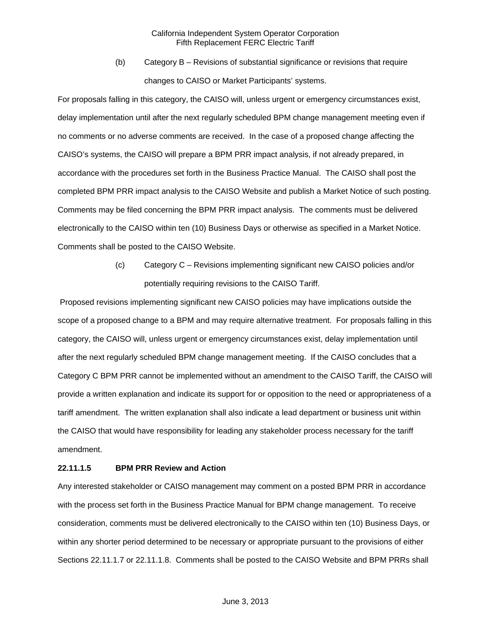(b) Category B – Revisions of substantial significance or revisions that require changes to CAISO or Market Participants' systems.

For proposals falling in this category, the CAISO will, unless urgent or emergency circumstances exist, delay implementation until after the next regularly scheduled BPM change management meeting even if no comments or no adverse comments are received. In the case of a proposed change affecting the CAISO's systems, the CAISO will prepare a BPM PRR impact analysis, if not already prepared, in accordance with the procedures set forth in the Business Practice Manual. The CAISO shall post the completed BPM PRR impact analysis to the CAISO Website and publish a Market Notice of such posting. Comments may be filed concerning the BPM PRR impact analysis. The comments must be delivered electronically to the CAISO within ten (10) Business Days or otherwise as specified in a Market Notice. Comments shall be posted to the CAISO Website.

> (c) Category C – Revisions implementing significant new CAISO policies and/or potentially requiring revisions to the CAISO Tariff.

 Proposed revisions implementing significant new CAISO policies may have implications outside the scope of a proposed change to a BPM and may require alternative treatment. For proposals falling in this category, the CAISO will, unless urgent or emergency circumstances exist, delay implementation until after the next regularly scheduled BPM change management meeting. If the CAISO concludes that a Category C BPM PRR cannot be implemented without an amendment to the CAISO Tariff, the CAISO will provide a written explanation and indicate its support for or opposition to the need or appropriateness of a tariff amendment. The written explanation shall also indicate a lead department or business unit within the CAISO that would have responsibility for leading any stakeholder process necessary for the tariff amendment.

### **22.11.1.5 BPM PRR Review and Action**

Any interested stakeholder or CAISO management may comment on a posted BPM PRR in accordance with the process set forth in the Business Practice Manual for BPM change management. To receive consideration, comments must be delivered electronically to the CAISO within ten (10) Business Days, or within any shorter period determined to be necessary or appropriate pursuant to the provisions of either Sections 22.11.1.7 or 22.11.1.8. Comments shall be posted to the CAISO Website and BPM PRRs shall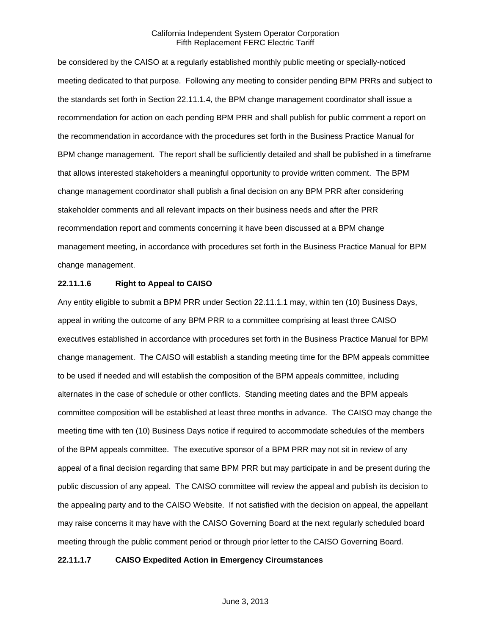be considered by the CAISO at a regularly established monthly public meeting or specially-noticed meeting dedicated to that purpose. Following any meeting to consider pending BPM PRRs and subject to the standards set forth in Section 22.11.1.4, the BPM change management coordinator shall issue a recommendation for action on each pending BPM PRR and shall publish for public comment a report on the recommendation in accordance with the procedures set forth in the Business Practice Manual for BPM change management. The report shall be sufficiently detailed and shall be published in a timeframe that allows interested stakeholders a meaningful opportunity to provide written comment. The BPM change management coordinator shall publish a final decision on any BPM PRR after considering stakeholder comments and all relevant impacts on their business needs and after the PRR recommendation report and comments concerning it have been discussed at a BPM change management meeting, in accordance with procedures set forth in the Business Practice Manual for BPM change management.

### **22.11.1.6 Right to Appeal to CAISO**

Any entity eligible to submit a BPM PRR under Section 22.11.1.1 may, within ten (10) Business Days, appeal in writing the outcome of any BPM PRR to a committee comprising at least three CAISO executives established in accordance with procedures set forth in the Business Practice Manual for BPM change management. The CAISO will establish a standing meeting time for the BPM appeals committee to be used if needed and will establish the composition of the BPM appeals committee, including alternates in the case of schedule or other conflicts. Standing meeting dates and the BPM appeals committee composition will be established at least three months in advance. The CAISO may change the meeting time with ten (10) Business Days notice if required to accommodate schedules of the members of the BPM appeals committee. The executive sponsor of a BPM PRR may not sit in review of any appeal of a final decision regarding that same BPM PRR but may participate in and be present during the public discussion of any appeal. The CAISO committee will review the appeal and publish its decision to the appealing party and to the CAISO Website. If not satisfied with the decision on appeal, the appellant may raise concerns it may have with the CAISO Governing Board at the next regularly scheduled board meeting through the public comment period or through prior letter to the CAISO Governing Board.

### **22.11.1.7 CAISO Expedited Action in Emergency Circumstances**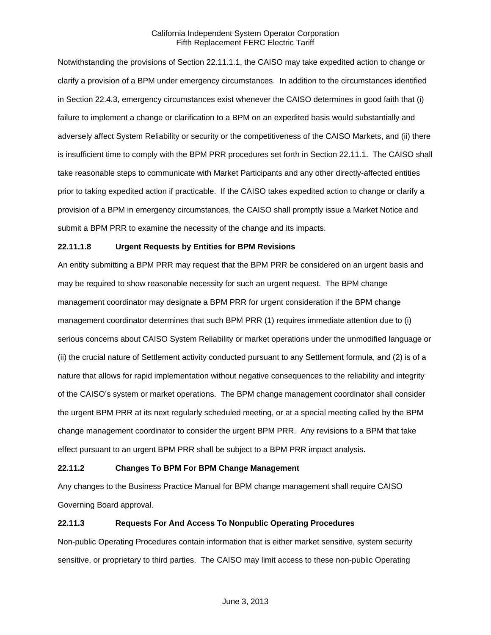Notwithstanding the provisions of Section 22.11.1.1, the CAISO may take expedited action to change or clarify a provision of a BPM under emergency circumstances. In addition to the circumstances identified in Section 22.4.3, emergency circumstances exist whenever the CAISO determines in good faith that (i) failure to implement a change or clarification to a BPM on an expedited basis would substantially and adversely affect System Reliability or security or the competitiveness of the CAISO Markets, and (ii) there is insufficient time to comply with the BPM PRR procedures set forth in Section 22.11.1. The CAISO shall take reasonable steps to communicate with Market Participants and any other directly-affected entities prior to taking expedited action if practicable. If the CAISO takes expedited action to change or clarify a provision of a BPM in emergency circumstances, the CAISO shall promptly issue a Market Notice and submit a BPM PRR to examine the necessity of the change and its impacts.

### **22.11.1.8 Urgent Requests by Entities for BPM Revisions**

An entity submitting a BPM PRR may request that the BPM PRR be considered on an urgent basis and may be required to show reasonable necessity for such an urgent request. The BPM change management coordinator may designate a BPM PRR for urgent consideration if the BPM change management coordinator determines that such BPM PRR (1) requires immediate attention due to (i) serious concerns about CAISO System Reliability or market operations under the unmodified language or (ii) the crucial nature of Settlement activity conducted pursuant to any Settlement formula, and (2) is of a nature that allows for rapid implementation without negative consequences to the reliability and integrity of the CAISO's system or market operations. The BPM change management coordinator shall consider the urgent BPM PRR at its next regularly scheduled meeting, or at a special meeting called by the BPM change management coordinator to consider the urgent BPM PRR. Any revisions to a BPM that take effect pursuant to an urgent BPM PRR shall be subject to a BPM PRR impact analysis.

### **22.11.2 Changes To BPM For BPM Change Management**

Any changes to the Business Practice Manual for BPM change management shall require CAISO Governing Board approval.

### **22.11.3 Requests For And Access To Nonpublic Operating Procedures**

Non-public Operating Procedures contain information that is either market sensitive, system security sensitive, or proprietary to third parties. The CAISO may limit access to these non-public Operating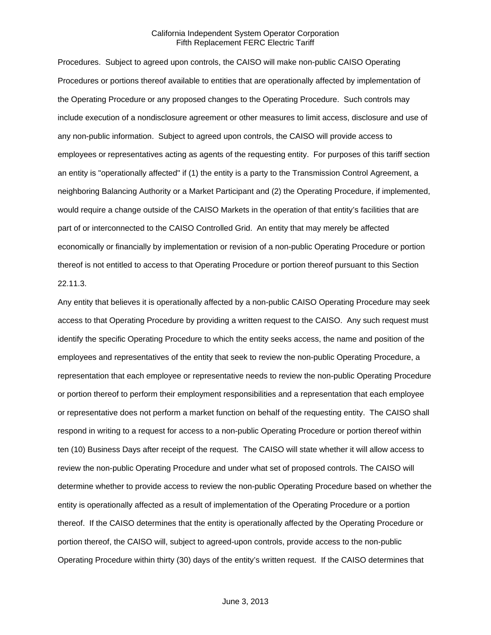Procedures. Subject to agreed upon controls, the CAISO will make non-public CAISO Operating Procedures or portions thereof available to entities that are operationally affected by implementation of the Operating Procedure or any proposed changes to the Operating Procedure. Such controls may include execution of a nondisclosure agreement or other measures to limit access, disclosure and use of any non-public information. Subject to agreed upon controls, the CAISO will provide access to employees or representatives acting as agents of the requesting entity. For purposes of this tariff section an entity is "operationally affected" if (1) the entity is a party to the Transmission Control Agreement, a neighboring Balancing Authority or a Market Participant and (2) the Operating Procedure, if implemented, would require a change outside of the CAISO Markets in the operation of that entity's facilities that are part of or interconnected to the CAISO Controlled Grid. An entity that may merely be affected economically or financially by implementation or revision of a non-public Operating Procedure or portion thereof is not entitled to access to that Operating Procedure or portion thereof pursuant to this Section 22.11.3.

Any entity that believes it is operationally affected by a non-public CAISO Operating Procedure may seek access to that Operating Procedure by providing a written request to the CAISO. Any such request must identify the specific Operating Procedure to which the entity seeks access, the name and position of the employees and representatives of the entity that seek to review the non-public Operating Procedure, a representation that each employee or representative needs to review the non-public Operating Procedure or portion thereof to perform their employment responsibilities and a representation that each employee or representative does not perform a market function on behalf of the requesting entity. The CAISO shall respond in writing to a request for access to a non-public Operating Procedure or portion thereof within ten (10) Business Days after receipt of the request. The CAISO will state whether it will allow access to review the non-public Operating Procedure and under what set of proposed controls. The CAISO will determine whether to provide access to review the non-public Operating Procedure based on whether the entity is operationally affected as a result of implementation of the Operating Procedure or a portion thereof. If the CAISO determines that the entity is operationally affected by the Operating Procedure or portion thereof, the CAISO will, subject to agreed-upon controls, provide access to the non-public Operating Procedure within thirty (30) days of the entity's written request. If the CAISO determines that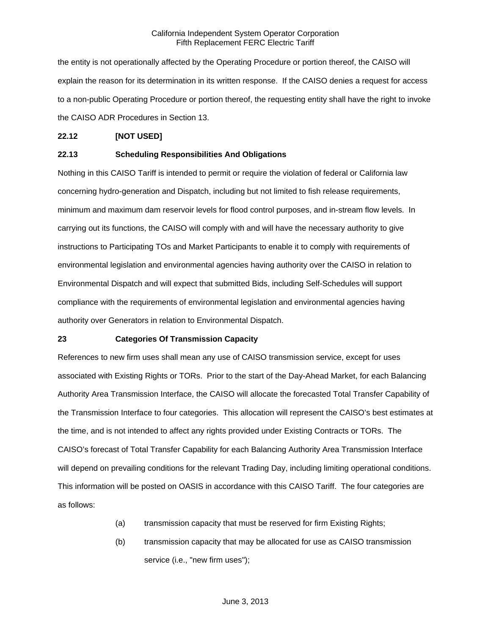the entity is not operationally affected by the Operating Procedure or portion thereof, the CAISO will explain the reason for its determination in its written response. If the CAISO denies a request for access to a non-public Operating Procedure or portion thereof, the requesting entity shall have the right to invoke the CAISO ADR Procedures in Section 13.

### **22.12 [NOT USED]**

### **22.13 Scheduling Responsibilities And Obligations**

Nothing in this CAISO Tariff is intended to permit or require the violation of federal or California law concerning hydro-generation and Dispatch, including but not limited to fish release requirements, minimum and maximum dam reservoir levels for flood control purposes, and in-stream flow levels. In carrying out its functions, the CAISO will comply with and will have the necessary authority to give instructions to Participating TOs and Market Participants to enable it to comply with requirements of environmental legislation and environmental agencies having authority over the CAISO in relation to Environmental Dispatch and will expect that submitted Bids, including Self-Schedules will support compliance with the requirements of environmental legislation and environmental agencies having authority over Generators in relation to Environmental Dispatch.

### **23 Categories Of Transmission Capacity**

References to new firm uses shall mean any use of CAISO transmission service, except for uses associated with Existing Rights or TORs. Prior to the start of the Day-Ahead Market, for each Balancing Authority Area Transmission Interface, the CAISO will allocate the forecasted Total Transfer Capability of the Transmission Interface to four categories. This allocation will represent the CAISO's best estimates at the time, and is not intended to affect any rights provided under Existing Contracts or TORs. The CAISO's forecast of Total Transfer Capability for each Balancing Authority Area Transmission Interface will depend on prevailing conditions for the relevant Trading Day, including limiting operational conditions. This information will be posted on OASIS in accordance with this CAISO Tariff. The four categories are as follows:

- (a) transmission capacity that must be reserved for firm Existing Rights;
- (b) transmission capacity that may be allocated for use as CAISO transmission service (i.e., "new firm uses");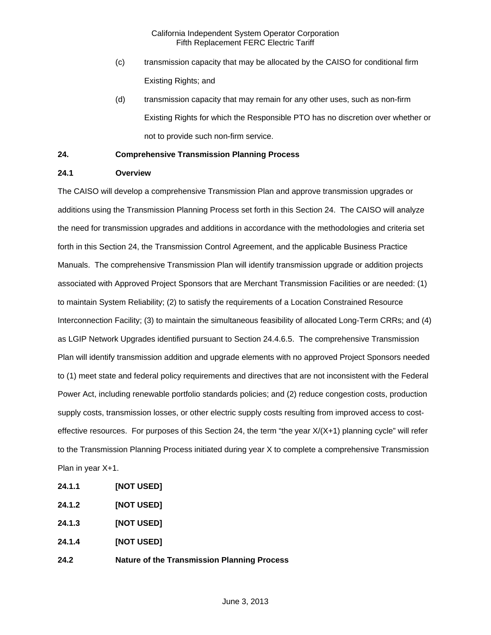- (c) transmission capacity that may be allocated by the CAISO for conditional firm Existing Rights; and
- (d) transmission capacity that may remain for any other uses, such as non-firm Existing Rights for which the Responsible PTO has no discretion over whether or not to provide such non-firm service.

# **24. Comprehensive Transmission Planning Process**

# **24.1 Overview**

The CAISO will develop a comprehensive Transmission Plan and approve transmission upgrades or additions using the Transmission Planning Process set forth in this Section 24. The CAISO will analyze the need for transmission upgrades and additions in accordance with the methodologies and criteria set forth in this Section 24, the Transmission Control Agreement, and the applicable Business Practice Manuals. The comprehensive Transmission Plan will identify transmission upgrade or addition projects associated with Approved Project Sponsors that are Merchant Transmission Facilities or are needed: (1) to maintain System Reliability; (2) to satisfy the requirements of a Location Constrained Resource Interconnection Facility; (3) to maintain the simultaneous feasibility of allocated Long-Term CRRs; and (4) as LGIP Network Upgrades identified pursuant to Section 24.4.6.5. The comprehensive Transmission Plan will identify transmission addition and upgrade elements with no approved Project Sponsors needed to (1) meet state and federal policy requirements and directives that are not inconsistent with the Federal Power Act, including renewable portfolio standards policies; and (2) reduce congestion costs, production supply costs, transmission losses, or other electric supply costs resulting from improved access to costeffective resources. For purposes of this Section 24, the term "the year X/(X+1) planning cycle" will refer to the Transmission Planning Process initiated during year X to complete a comprehensive Transmission Plan in year X+1.

- **24.1.1 [NOT USED]**
- **24.1.2 [NOT USED]**
- **24.1.3 [NOT USED]**
- **24.1.4 [NOT USED]**
- **24.2 Nature of the Transmission Planning Process**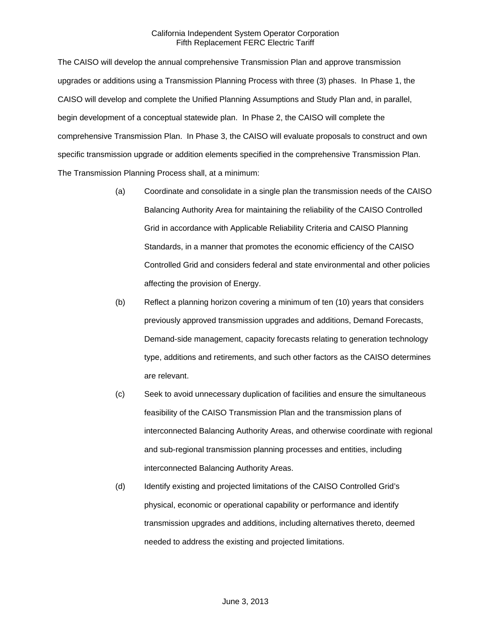The CAISO will develop the annual comprehensive Transmission Plan and approve transmission upgrades or additions using a Transmission Planning Process with three (3) phases. In Phase 1, the CAISO will develop and complete the Unified Planning Assumptions and Study Plan and, in parallel, begin development of a conceptual statewide plan. In Phase 2, the CAISO will complete the comprehensive Transmission Plan. In Phase 3, the CAISO will evaluate proposals to construct and own specific transmission upgrade or addition elements specified in the comprehensive Transmission Plan. The Transmission Planning Process shall, at a minimum:

- (a) Coordinate and consolidate in a single plan the transmission needs of the CAISO Balancing Authority Area for maintaining the reliability of the CAISO Controlled Grid in accordance with Applicable Reliability Criteria and CAISO Planning Standards, in a manner that promotes the economic efficiency of the CAISO Controlled Grid and considers federal and state environmental and other policies affecting the provision of Energy.
- (b) Reflect a planning horizon covering a minimum of ten (10) years that considers previously approved transmission upgrades and additions, Demand Forecasts, Demand-side management, capacity forecasts relating to generation technology type, additions and retirements, and such other factors as the CAISO determines are relevant.
- (c) Seek to avoid unnecessary duplication of facilities and ensure the simultaneous feasibility of the CAISO Transmission Plan and the transmission plans of interconnected Balancing Authority Areas, and otherwise coordinate with regional and sub-regional transmission planning processes and entities, including interconnected Balancing Authority Areas.
- (d) Identify existing and projected limitations of the CAISO Controlled Grid's physical, economic or operational capability or performance and identify transmission upgrades and additions, including alternatives thereto, deemed needed to address the existing and projected limitations.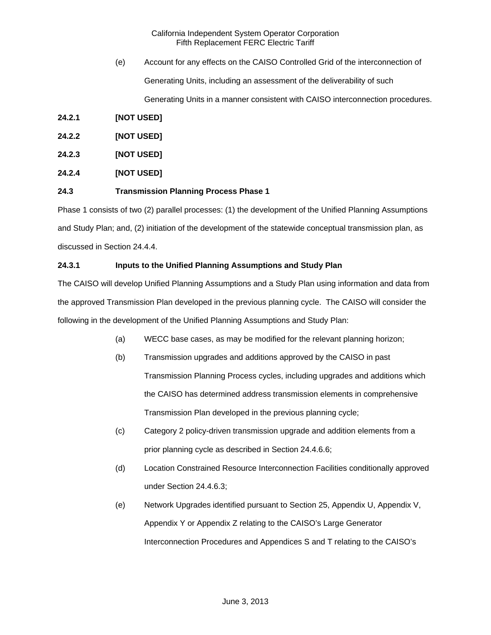- (e) Account for any effects on the CAISO Controlled Grid of the interconnection of Generating Units, including an assessment of the deliverability of such Generating Units in a manner consistent with CAISO interconnection procedures.
- **24.2.1 [NOT USED]**
- **24.2.2 [NOT USED]**
- **24.2.3 [NOT USED]**
- **24.2.4 [NOT USED]**

### **24.3 Transmission Planning Process Phase 1**

Phase 1 consists of two (2) parallel processes: (1) the development of the Unified Planning Assumptions and Study Plan; and, (2) initiation of the development of the statewide conceptual transmission plan, as discussed in Section 24.4.4.

# **24.3.1 Inputs to the Unified Planning Assumptions and Study Plan**

The CAISO will develop Unified Planning Assumptions and a Study Plan using information and data from the approved Transmission Plan developed in the previous planning cycle. The CAISO will consider the following in the development of the Unified Planning Assumptions and Study Plan:

- (a) WECC base cases, as may be modified for the relevant planning horizon;
- (b) Transmission upgrades and additions approved by the CAISO in past Transmission Planning Process cycles, including upgrades and additions which the CAISO has determined address transmission elements in comprehensive Transmission Plan developed in the previous planning cycle;
- (c) Category 2 policy-driven transmission upgrade and addition elements from a prior planning cycle as described in Section 24.4.6.6;
- (d) Location Constrained Resource Interconnection Facilities conditionally approved under Section 24.4.6.3;
- (e) Network Upgrades identified pursuant to Section 25, Appendix U, Appendix V, Appendix Y or Appendix Z relating to the CAISO's Large Generator Interconnection Procedures and Appendices S and T relating to the CAISO's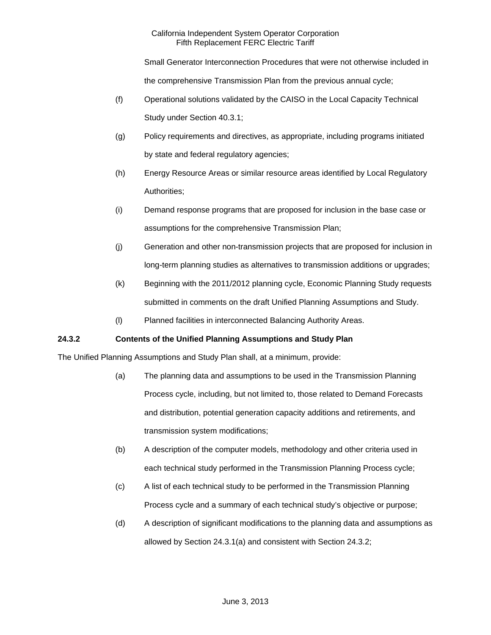Small Generator Interconnection Procedures that were not otherwise included in the comprehensive Transmission Plan from the previous annual cycle;

- (f) Operational solutions validated by the CAISO in the Local Capacity Technical Study under Section 40.3.1;
- (g) Policy requirements and directives, as appropriate, including programs initiated by state and federal regulatory agencies;
- (h) Energy Resource Areas or similar resource areas identified by Local Regulatory Authorities;
- (i) Demand response programs that are proposed for inclusion in the base case or assumptions for the comprehensive Transmission Plan;
- (j) Generation and other non-transmission projects that are proposed for inclusion in long-term planning studies as alternatives to transmission additions or upgrades;
- (k) Beginning with the 2011/2012 planning cycle, Economic Planning Study requests submitted in comments on the draft Unified Planning Assumptions and Study.
- (l) Planned facilities in interconnected Balancing Authority Areas.

# **24.3.2 Contents of the Unified Planning Assumptions and Study Plan**

The Unified Planning Assumptions and Study Plan shall, at a minimum, provide:

- (a) The planning data and assumptions to be used in the Transmission Planning Process cycle, including, but not limited to, those related to Demand Forecasts and distribution, potential generation capacity additions and retirements, and transmission system modifications;
- (b) A description of the computer models, methodology and other criteria used in each technical study performed in the Transmission Planning Process cycle;
- (c) A list of each technical study to be performed in the Transmission Planning Process cycle and a summary of each technical study's objective or purpose;
- (d) A description of significant modifications to the planning data and assumptions as allowed by Section 24.3.1(a) and consistent with Section 24.3.2;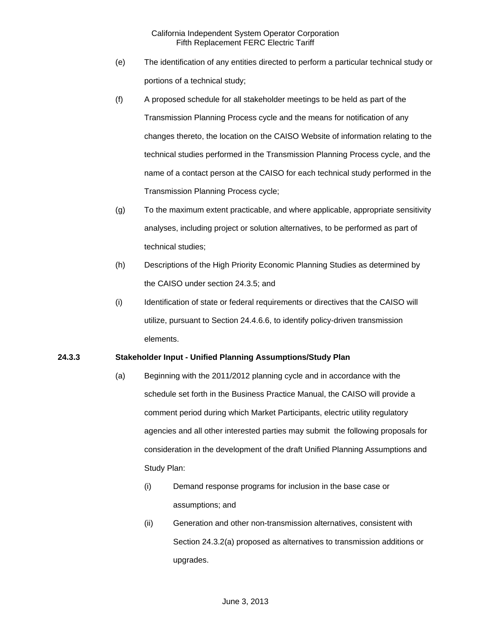- (e) The identification of any entities directed to perform a particular technical study or portions of a technical study;
- (f) A proposed schedule for all stakeholder meetings to be held as part of the Transmission Planning Process cycle and the means for notification of any changes thereto, the location on the CAISO Website of information relating to the technical studies performed in the Transmission Planning Process cycle, and the name of a contact person at the CAISO for each technical study performed in the Transmission Planning Process cycle;
- (g) To the maximum extent practicable, and where applicable, appropriate sensitivity analyses, including project or solution alternatives, to be performed as part of technical studies;
- (h) Descriptions of the High Priority Economic Planning Studies as determined by the CAISO under section 24.3.5; and
- (i) Identification of state or federal requirements or directives that the CAISO will utilize, pursuant to Section 24.4.6.6, to identify policy-driven transmission elements.

## **24.3.3 Stakeholder Input - Unified Planning Assumptions/Study Plan**

- (a) Beginning with the 2011/2012 planning cycle and in accordance with the schedule set forth in the Business Practice Manual, the CAISO will provide a comment period during which Market Participants, electric utility regulatory agencies and all other interested parties may submit the following proposals for consideration in the development of the draft Unified Planning Assumptions and Study Plan:
	- (i) Demand response programs for inclusion in the base case or assumptions; and
	- (ii) Generation and other non-transmission alternatives, consistent with Section 24.3.2(a) proposed as alternatives to transmission additions or upgrades.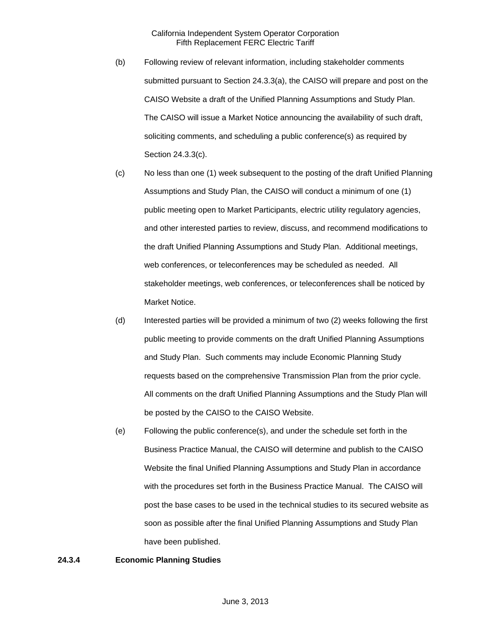- (b) Following review of relevant information, including stakeholder comments submitted pursuant to Section 24.3.3(a), the CAISO will prepare and post on the CAISO Website a draft of the Unified Planning Assumptions and Study Plan. The CAISO will issue a Market Notice announcing the availability of such draft, soliciting comments, and scheduling a public conference(s) as required by Section 24.3.3(c).
- (c) No less than one (1) week subsequent to the posting of the draft Unified Planning Assumptions and Study Plan, the CAISO will conduct a minimum of one (1) public meeting open to Market Participants, electric utility regulatory agencies, and other interested parties to review, discuss, and recommend modifications to the draft Unified Planning Assumptions and Study Plan. Additional meetings, web conferences, or teleconferences may be scheduled as needed. All stakeholder meetings, web conferences, or teleconferences shall be noticed by Market Notice.
- (d) Interested parties will be provided a minimum of two (2) weeks following the first public meeting to provide comments on the draft Unified Planning Assumptions and Study Plan. Such comments may include Economic Planning Study requests based on the comprehensive Transmission Plan from the prior cycle. All comments on the draft Unified Planning Assumptions and the Study Plan will be posted by the CAISO to the CAISO Website.
- (e) Following the public conference(s), and under the schedule set forth in the Business Practice Manual, the CAISO will determine and publish to the CAISO Website the final Unified Planning Assumptions and Study Plan in accordance with the procedures set forth in the Business Practice Manual. The CAISO will post the base cases to be used in the technical studies to its secured website as soon as possible after the final Unified Planning Assumptions and Study Plan have been published.

### **24.3.4 Economic Planning Studies**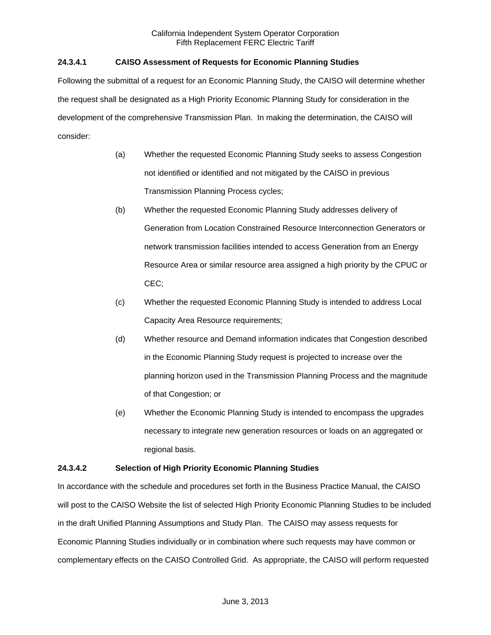# **24.3.4.1 CAISO Assessment of Requests for Economic Planning Studies**

Following the submittal of a request for an Economic Planning Study, the CAISO will determine whether the request shall be designated as a High Priority Economic Planning Study for consideration in the development of the comprehensive Transmission Plan. In making the determination, the CAISO will consider:

- (a) Whether the requested Economic Planning Study seeks to assess Congestion not identified or identified and not mitigated by the CAISO in previous Transmission Planning Process cycles;
- (b) Whether the requested Economic Planning Study addresses delivery of Generation from Location Constrained Resource Interconnection Generators or network transmission facilities intended to access Generation from an Energy Resource Area or similar resource area assigned a high priority by the CPUC or CEC;
- (c) Whether the requested Economic Planning Study is intended to address Local Capacity Area Resource requirements;
- (d) Whether resource and Demand information indicates that Congestion described in the Economic Planning Study request is projected to increase over the planning horizon used in the Transmission Planning Process and the magnitude of that Congestion; or
- (e) Whether the Economic Planning Study is intended to encompass the upgrades necessary to integrate new generation resources or loads on an aggregated or regional basis.

## **24.3.4.2 Selection of High Priority Economic Planning Studies**

In accordance with the schedule and procedures set forth in the Business Practice Manual, the CAISO will post to the CAISO Website the list of selected High Priority Economic Planning Studies to be included in the draft Unified Planning Assumptions and Study Plan. The CAISO may assess requests for Economic Planning Studies individually or in combination where such requests may have common or complementary effects on the CAISO Controlled Grid. As appropriate, the CAISO will perform requested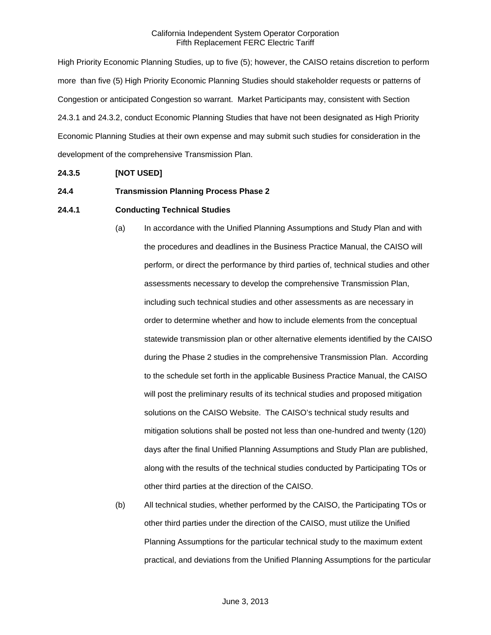High Priority Economic Planning Studies, up to five (5); however, the CAISO retains discretion to perform more than five (5) High Priority Economic Planning Studies should stakeholder requests or patterns of Congestion or anticipated Congestion so warrant. Market Participants may, consistent with Section 24.3.1 and 24.3.2, conduct Economic Planning Studies that have not been designated as High Priority Economic Planning Studies at their own expense and may submit such studies for consideration in the development of the comprehensive Transmission Plan.

## **24.3.5 [NOT USED]**

### **24.4 Transmission Planning Process Phase 2**

## **24.4.1 Conducting Technical Studies**

- (a) In accordance with the Unified Planning Assumptions and Study Plan and with the procedures and deadlines in the Business Practice Manual, the CAISO will perform, or direct the performance by third parties of, technical studies and other assessments necessary to develop the comprehensive Transmission Plan, including such technical studies and other assessments as are necessary in order to determine whether and how to include elements from the conceptual statewide transmission plan or other alternative elements identified by the CAISO during the Phase 2 studies in the comprehensive Transmission Plan. According to the schedule set forth in the applicable Business Practice Manual, the CAISO will post the preliminary results of its technical studies and proposed mitigation solutions on the CAISO Website. The CAISO's technical study results and mitigation solutions shall be posted not less than one-hundred and twenty (120) days after the final Unified Planning Assumptions and Study Plan are published, along with the results of the technical studies conducted by Participating TOs or other third parties at the direction of the CAISO.
- (b) All technical studies, whether performed by the CAISO, the Participating TOs or other third parties under the direction of the CAISO, must utilize the Unified Planning Assumptions for the particular technical study to the maximum extent practical, and deviations from the Unified Planning Assumptions for the particular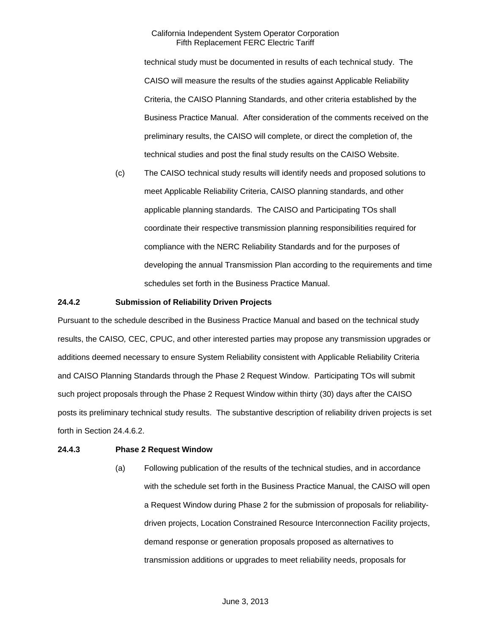technical study must be documented in results of each technical study. The CAISO will measure the results of the studies against Applicable Reliability Criteria, the CAISO Planning Standards, and other criteria established by the Business Practice Manual. After consideration of the comments received on the preliminary results, the CAISO will complete, or direct the completion of, the technical studies and post the final study results on the CAISO Website.

(c) The CAISO technical study results will identify needs and proposed solutions to meet Applicable Reliability Criteria, CAISO planning standards, and other applicable planning standards. The CAISO and Participating TOs shall coordinate their respective transmission planning responsibilities required for compliance with the NERC Reliability Standards and for the purposes of developing the annual Transmission Plan according to the requirements and time schedules set forth in the Business Practice Manual.

## **24.4.2 Submission of Reliability Driven Projects**

Pursuant to the schedule described in the Business Practice Manual and based on the technical study results, the CAISO*,* CEC, CPUC, and other interested parties may propose any transmission upgrades or additions deemed necessary to ensure System Reliability consistent with Applicable Reliability Criteria and CAISO Planning Standards through the Phase 2 Request Window. Participating TOs will submit such project proposals through the Phase 2 Request Window within thirty (30) days after the CAISO posts its preliminary technical study results. The substantive description of reliability driven projects is set forth in Section 24.4.6.2.

# **24.4.3 Phase 2 Request Window**

(a) Following publication of the results of the technical studies, and in accordance with the schedule set forth in the Business Practice Manual, the CAISO will open a Request Window during Phase 2 for the submission of proposals for reliabilitydriven projects, Location Constrained Resource Interconnection Facility projects, demand response or generation proposals proposed as alternatives to transmission additions or upgrades to meet reliability needs, proposals for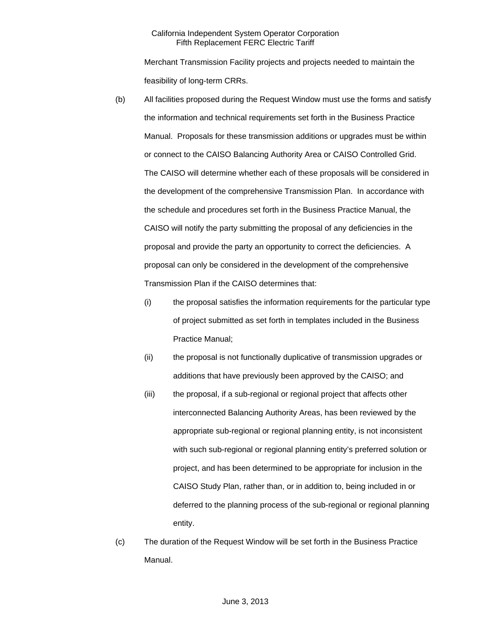Merchant Transmission Facility projects and projects needed to maintain the feasibility of long-term CRRs.

- (b) All facilities proposed during the Request Window must use the forms and satisfy the information and technical requirements set forth in the Business Practice Manual. Proposals for these transmission additions or upgrades must be within or connect to the CAISO Balancing Authority Area or CAISO Controlled Grid. The CAISO will determine whether each of these proposals will be considered in the development of the comprehensive Transmission Plan. In accordance with the schedule and procedures set forth in the Business Practice Manual, the CAISO will notify the party submitting the proposal of any deficiencies in the proposal and provide the party an opportunity to correct the deficiencies. A proposal can only be considered in the development of the comprehensive Transmission Plan if the CAISO determines that:
	- (i) the proposal satisfies the information requirements for the particular type of project submitted as set forth in templates included in the Business Practice Manual;
	- (ii) the proposal is not functionally duplicative of transmission upgrades or additions that have previously been approved by the CAISO; and
	- (iii) the proposal, if a sub-regional or regional project that affects other interconnected Balancing Authority Areas, has been reviewed by the appropriate sub-regional or regional planning entity, is not inconsistent with such sub-regional or regional planning entity's preferred solution or project, and has been determined to be appropriate for inclusion in the CAISO Study Plan, rather than, or in addition to, being included in or deferred to the planning process of the sub-regional or regional planning entity.
- (c) The duration of the Request Window will be set forth in the Business Practice Manual.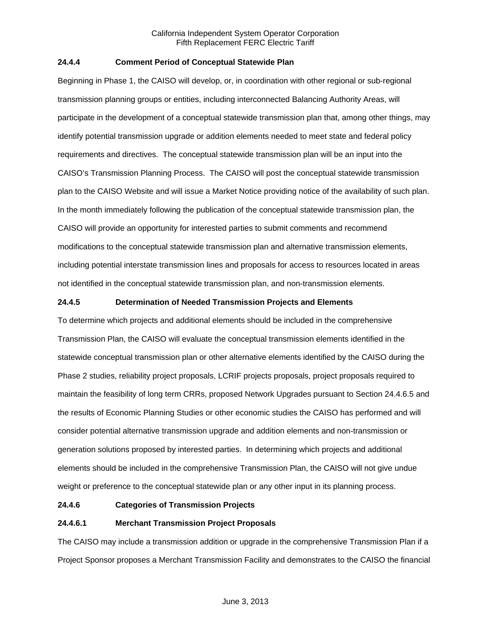## **24.4.4 Comment Period of Conceptual Statewide Plan**

Beginning in Phase 1, the CAISO will develop, or, in coordination with other regional or sub-regional transmission planning groups or entities, including interconnected Balancing Authority Areas, will participate in the development of a conceptual statewide transmission plan that, among other things, may identify potential transmission upgrade or addition elements needed to meet state and federal policy requirements and directives. The conceptual statewide transmission plan will be an input into the CAISO's Transmission Planning Process. The CAISO will post the conceptual statewide transmission plan to the CAISO Website and will issue a Market Notice providing notice of the availability of such plan. In the month immediately following the publication of the conceptual statewide transmission plan, the CAISO will provide an opportunity for interested parties to submit comments and recommend modifications to the conceptual statewide transmission plan and alternative transmission elements, including potential interstate transmission lines and proposals for access to resources located in areas not identified in the conceptual statewide transmission plan, and non-transmission elements.

## **24.4.5 Determination of Needed Transmission Projects and Elements**

To determine which projects and additional elements should be included in the comprehensive Transmission Plan, the CAISO will evaluate the conceptual transmission elements identified in the statewide conceptual transmission plan or other alternative elements identified by the CAISO during the Phase 2 studies, reliability project proposals, LCRIF projects proposals, project proposals required to maintain the feasibility of long term CRRs, proposed Network Upgrades pursuant to Section 24.4.6.5 and the results of Economic Planning Studies or other economic studies the CAISO has performed and will consider potential alternative transmission upgrade and addition elements and non-transmission or generation solutions proposed by interested parties. In determining which projects and additional elements should be included in the comprehensive Transmission Plan, the CAISO will not give undue weight or preference to the conceptual statewide plan or any other input in its planning process.

### **24.4.6 Categories of Transmission Projects**

# **24.4.6.1 Merchant Transmission Project Proposals**

The CAISO may include a transmission addition or upgrade in the comprehensive Transmission Plan if a Project Sponsor proposes a Merchant Transmission Facility and demonstrates to the CAISO the financial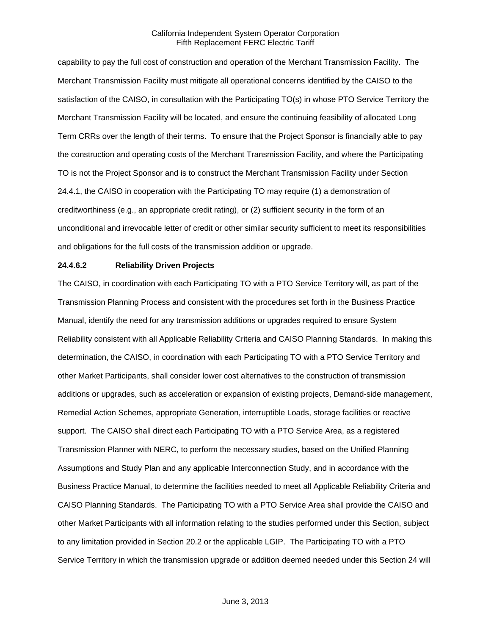capability to pay the full cost of construction and operation of the Merchant Transmission Facility. The Merchant Transmission Facility must mitigate all operational concerns identified by the CAISO to the satisfaction of the CAISO, in consultation with the Participating TO(s) in whose PTO Service Territory the Merchant Transmission Facility will be located, and ensure the continuing feasibility of allocated Long Term CRRs over the length of their terms. To ensure that the Project Sponsor is financially able to pay the construction and operating costs of the Merchant Transmission Facility, and where the Participating TO is not the Project Sponsor and is to construct the Merchant Transmission Facility under Section 24.4.1, the CAISO in cooperation with the Participating TO may require (1) a demonstration of creditworthiness (e.g., an appropriate credit rating), or (2) sufficient security in the form of an unconditional and irrevocable letter of credit or other similar security sufficient to meet its responsibilities and obligations for the full costs of the transmission addition or upgrade.

#### **24.4.6.2 Reliability Driven Projects**

The CAISO, in coordination with each Participating TO with a PTO Service Territory will, as part of the Transmission Planning Process and consistent with the procedures set forth in the Business Practice Manual, identify the need for any transmission additions or upgrades required to ensure System Reliability consistent with all Applicable Reliability Criteria and CAISO Planning Standards. In making this determination, the CAISO, in coordination with each Participating TO with a PTO Service Territory and other Market Participants, shall consider lower cost alternatives to the construction of transmission additions or upgrades, such as acceleration or expansion of existing projects, Demand-side management, Remedial Action Schemes, appropriate Generation, interruptible Loads, storage facilities or reactive support. The CAISO shall direct each Participating TO with a PTO Service Area, as a registered Transmission Planner with NERC, to perform the necessary studies, based on the Unified Planning Assumptions and Study Plan and any applicable Interconnection Study, and in accordance with the Business Practice Manual, to determine the facilities needed to meet all Applicable Reliability Criteria and CAISO Planning Standards. The Participating TO with a PTO Service Area shall provide the CAISO and other Market Participants with all information relating to the studies performed under this Section, subject to any limitation provided in Section 20.2 or the applicable LGIP. The Participating TO with a PTO Service Territory in which the transmission upgrade or addition deemed needed under this Section 24 will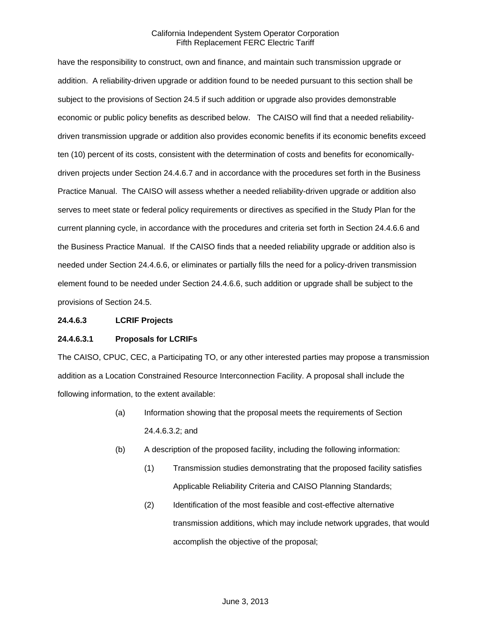have the responsibility to construct, own and finance, and maintain such transmission upgrade or addition. A reliability-driven upgrade or addition found to be needed pursuant to this section shall be subject to the provisions of Section 24.5 if such addition or upgrade also provides demonstrable economic or public policy benefits as described below. The CAISO will find that a needed reliabilitydriven transmission upgrade or addition also provides economic benefits if its economic benefits exceed ten (10) percent of its costs, consistent with the determination of costs and benefits for economicallydriven projects under Section 24.4.6.7 and in accordance with the procedures set forth in the Business Practice Manual. The CAISO will assess whether a needed reliability-driven upgrade or addition also serves to meet state or federal policy requirements or directives as specified in the Study Plan for the current planning cycle, in accordance with the procedures and criteria set forth in Section 24.4.6.6 and the Business Practice Manual. If the CAISO finds that a needed reliability upgrade or addition also is needed under Section 24.4.6.6, or eliminates or partially fills the need for a policy-driven transmission element found to be needed under Section 24.4.6.6, such addition or upgrade shall be subject to the provisions of Section 24.5.

#### **24.4.6.3 LCRIF Projects**

### **24.4.6.3.1 Proposals for LCRIFs**

The CAISO, CPUC, CEC, a Participating TO, or any other interested parties may propose a transmission addition as a Location Constrained Resource Interconnection Facility. A proposal shall include the following information, to the extent available:

- (a) Information showing that the proposal meets the requirements of Section 24.4.6.3.2; and
- (b) A description of the proposed facility, including the following information:
	- (1) Transmission studies demonstrating that the proposed facility satisfies Applicable Reliability Criteria and CAISO Planning Standards;
	- (2) Identification of the most feasible and cost-effective alternative transmission additions, which may include network upgrades, that would accomplish the objective of the proposal;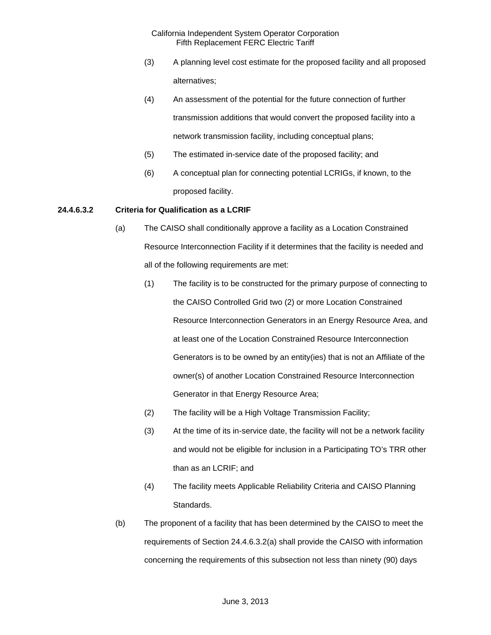- (3) A planning level cost estimate for the proposed facility and all proposed alternatives;
- (4) An assessment of the potential for the future connection of further transmission additions that would convert the proposed facility into a network transmission facility, including conceptual plans;
- (5) The estimated in-service date of the proposed facility; and
- (6) A conceptual plan for connecting potential LCRIGs, if known, to the proposed facility.

## **24.4.6.3.2 Criteria for Qualification as a LCRIF**

- (a) The CAISO shall conditionally approve a facility as a Location Constrained Resource Interconnection Facility if it determines that the facility is needed and all of the following requirements are met:
	- (1) The facility is to be constructed for the primary purpose of connecting to the CAISO Controlled Grid two (2) or more Location Constrained Resource Interconnection Generators in an Energy Resource Area, and at least one of the Location Constrained Resource Interconnection Generators is to be owned by an entity(ies) that is not an Affiliate of the owner(s) of another Location Constrained Resource Interconnection Generator in that Energy Resource Area;
	- (2) The facility will be a High Voltage Transmission Facility;
	- (3) At the time of its in-service date, the facility will not be a network facility and would not be eligible for inclusion in a Participating TO's TRR other than as an LCRIF; and
	- (4) The facility meets Applicable Reliability Criteria and CAISO Planning Standards.
- (b) The proponent of a facility that has been determined by the CAISO to meet the requirements of Section 24.4.6.3.2(a) shall provide the CAISO with information concerning the requirements of this subsection not less than ninety (90) days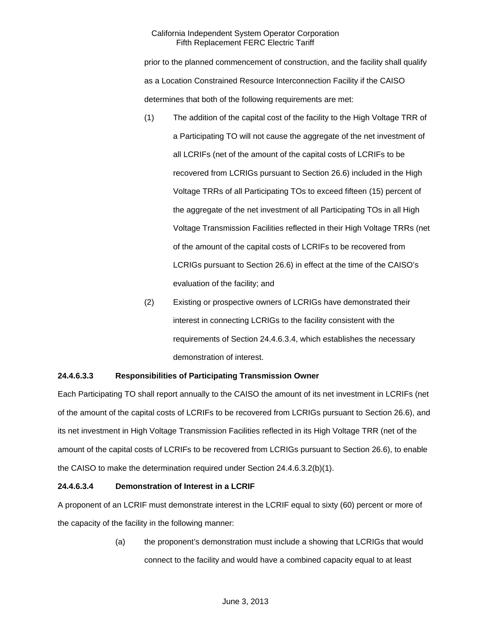prior to the planned commencement of construction, and the facility shall qualify as a Location Constrained Resource Interconnection Facility if the CAISO determines that both of the following requirements are met:

- (1) The addition of the capital cost of the facility to the High Voltage TRR of a Participating TO will not cause the aggregate of the net investment of all LCRIFs (net of the amount of the capital costs of LCRIFs to be recovered from LCRIGs pursuant to Section 26.6) included in the High Voltage TRRs of all Participating TOs to exceed fifteen (15) percent of the aggregate of the net investment of all Participating TOs in all High Voltage Transmission Facilities reflected in their High Voltage TRRs (net of the amount of the capital costs of LCRIFs to be recovered from LCRIGs pursuant to Section 26.6) in effect at the time of the CAISO's evaluation of the facility; and
- (2) Existing or prospective owners of LCRIGs have demonstrated their interest in connecting LCRIGs to the facility consistent with the requirements of Section 24.4.6.3.4, which establishes the necessary demonstration of interest.

# **24.4.6.3.3 Responsibilities of Participating Transmission Owner**

Each Participating TO shall report annually to the CAISO the amount of its net investment in LCRIFs (net of the amount of the capital costs of LCRIFs to be recovered from LCRIGs pursuant to Section 26.6), and its net investment in High Voltage Transmission Facilities reflected in its High Voltage TRR (net of the amount of the capital costs of LCRIFs to be recovered from LCRIGs pursuant to Section 26.6), to enable the CAISO to make the determination required under Section 24.4.6.3.2(b)(1).

# **24.4.6.3.4 Demonstration of Interest in a LCRIF**

A proponent of an LCRIF must demonstrate interest in the LCRIF equal to sixty (60) percent or more of the capacity of the facility in the following manner:

> (a) the proponent's demonstration must include a showing that LCRIGs that would connect to the facility and would have a combined capacity equal to at least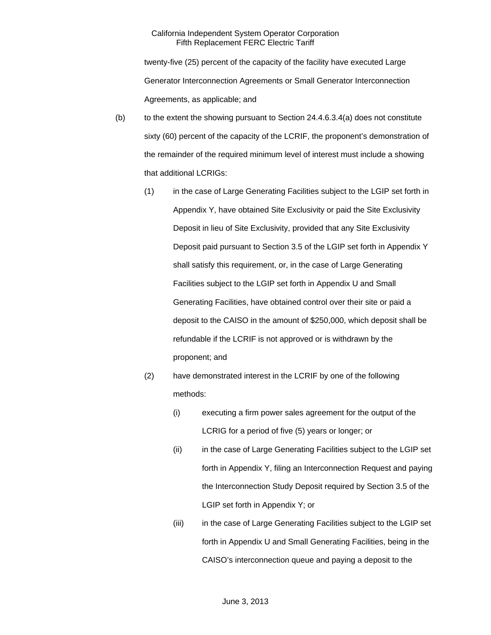twenty-five (25) percent of the capacity of the facility have executed Large Generator Interconnection Agreements or Small Generator Interconnection Agreements, as applicable; and

- $(b)$  to the extent the showing pursuant to Section 24.4.6.3.4(a) does not constitute sixty (60) percent of the capacity of the LCRIF, the proponent's demonstration of the remainder of the required minimum level of interest must include a showing that additional LCRIGs:
	- (1) in the case of Large Generating Facilities subject to the LGIP set forth in Appendix Y, have obtained Site Exclusivity or paid the Site Exclusivity Deposit in lieu of Site Exclusivity, provided that any Site Exclusivity Deposit paid pursuant to Section 3.5 of the LGIP set forth in Appendix Y shall satisfy this requirement, or, in the case of Large Generating Facilities subject to the LGIP set forth in Appendix U and Small Generating Facilities, have obtained control over their site or paid a deposit to the CAISO in the amount of \$250,000, which deposit shall be refundable if the LCRIF is not approved or is withdrawn by the proponent; and
	- (2) have demonstrated interest in the LCRIF by one of the following methods:
		- (i) executing a firm power sales agreement for the output of the LCRIG for a period of five (5) years or longer; or
		- (ii) in the case of Large Generating Facilities subject to the LGIP set forth in Appendix Y, filing an Interconnection Request and paying the Interconnection Study Deposit required by Section 3.5 of the LGIP set forth in Appendix Y; or
		- (iii) in the case of Large Generating Facilities subject to the LGIP set forth in Appendix U and Small Generating Facilities, being in the CAISO's interconnection queue and paying a deposit to the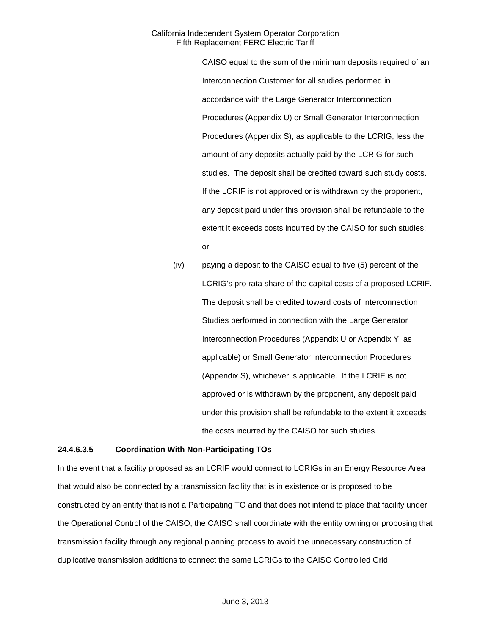> CAISO equal to the sum of the minimum deposits required of an Interconnection Customer for all studies performed in accordance with the Large Generator Interconnection Procedures (Appendix U) or Small Generator Interconnection Procedures (Appendix S), as applicable to the LCRIG, less the amount of any deposits actually paid by the LCRIG for such studies. The deposit shall be credited toward such study costs. If the LCRIF is not approved or is withdrawn by the proponent, any deposit paid under this provision shall be refundable to the extent it exceeds costs incurred by the CAISO for such studies; or

(iv) paying a deposit to the CAISO equal to five (5) percent of the LCRIG's pro rata share of the capital costs of a proposed LCRIF. The deposit shall be credited toward costs of Interconnection Studies performed in connection with the Large Generator Interconnection Procedures (Appendix U or Appendix Y, as applicable) or Small Generator Interconnection Procedures (Appendix S), whichever is applicable. If the LCRIF is not approved or is withdrawn by the proponent, any deposit paid under this provision shall be refundable to the extent it exceeds the costs incurred by the CAISO for such studies.

#### **24.4.6.3.5 Coordination With Non-Participating TOs**

In the event that a facility proposed as an LCRIF would connect to LCRIGs in an Energy Resource Area that would also be connected by a transmission facility that is in existence or is proposed to be constructed by an entity that is not a Participating TO and that does not intend to place that facility under the Operational Control of the CAISO, the CAISO shall coordinate with the entity owning or proposing that transmission facility through any regional planning process to avoid the unnecessary construction of duplicative transmission additions to connect the same LCRIGs to the CAISO Controlled Grid.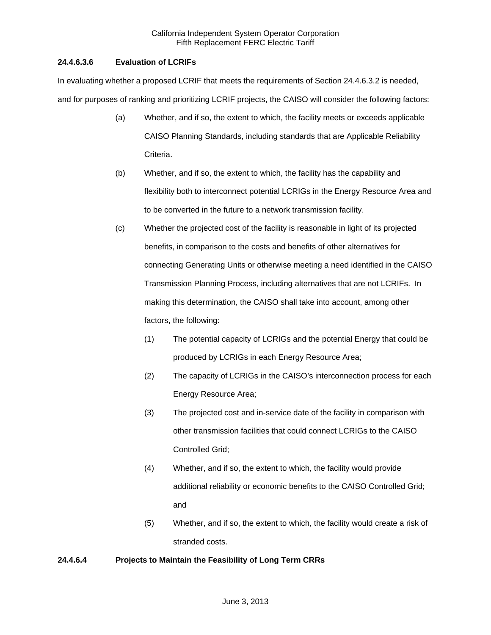# **24.4.6.3.6 Evaluation of LCRIFs**

In evaluating whether a proposed LCRIF that meets the requirements of Section 24.4.6.3.2 is needed, and for purposes of ranking and prioritizing LCRIF projects, the CAISO will consider the following factors:

- (a) Whether, and if so, the extent to which, the facility meets or exceeds applicable CAISO Planning Standards, including standards that are Applicable Reliability Criteria.
- (b) Whether, and if so, the extent to which, the facility has the capability and flexibility both to interconnect potential LCRIGs in the Energy Resource Area and to be converted in the future to a network transmission facility.
- (c) Whether the projected cost of the facility is reasonable in light of its projected benefits, in comparison to the costs and benefits of other alternatives for connecting Generating Units or otherwise meeting a need identified in the CAISO Transmission Planning Process, including alternatives that are not LCRIFs. In making this determination, the CAISO shall take into account, among other factors, the following:
	- (1) The potential capacity of LCRIGs and the potential Energy that could be produced by LCRIGs in each Energy Resource Area;
	- (2) The capacity of LCRIGs in the CAISO's interconnection process for each Energy Resource Area;
	- (3) The projected cost and in-service date of the facility in comparison with other transmission facilities that could connect LCRIGs to the CAISO Controlled Grid;
	- (4) Whether, and if so, the extent to which, the facility would provide additional reliability or economic benefits to the CAISO Controlled Grid; and
	- (5) Whether, and if so, the extent to which, the facility would create a risk of stranded costs.

# **24.4.6.4 Projects to Maintain the Feasibility of Long Term CRRs**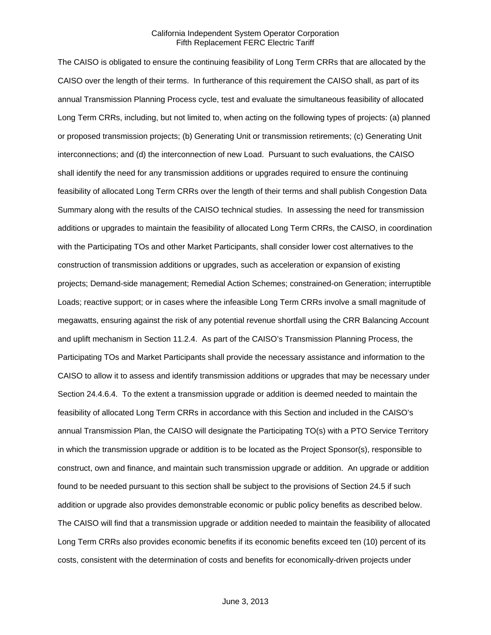The CAISO is obligated to ensure the continuing feasibility of Long Term CRRs that are allocated by the CAISO over the length of their terms. In furtherance of this requirement the CAISO shall, as part of its annual Transmission Planning Process cycle, test and evaluate the simultaneous feasibility of allocated Long Term CRRs, including, but not limited to, when acting on the following types of projects: (a) planned or proposed transmission projects; (b) Generating Unit or transmission retirements; (c) Generating Unit interconnections; and (d) the interconnection of new Load. Pursuant to such evaluations, the CAISO shall identify the need for any transmission additions or upgrades required to ensure the continuing feasibility of allocated Long Term CRRs over the length of their terms and shall publish Congestion Data Summary along with the results of the CAISO technical studies. In assessing the need for transmission additions or upgrades to maintain the feasibility of allocated Long Term CRRs, the CAISO, in coordination with the Participating TOs and other Market Participants, shall consider lower cost alternatives to the construction of transmission additions or upgrades, such as acceleration or expansion of existing projects; Demand-side management; Remedial Action Schemes; constrained-on Generation; interruptible Loads; reactive support; or in cases where the infeasible Long Term CRRs involve a small magnitude of megawatts, ensuring against the risk of any potential revenue shortfall using the CRR Balancing Account and uplift mechanism in Section 11.2.4. As part of the CAISO's Transmission Planning Process, the Participating TOs and Market Participants shall provide the necessary assistance and information to the CAISO to allow it to assess and identify transmission additions or upgrades that may be necessary under Section 24.4.6.4. To the extent a transmission upgrade or addition is deemed needed to maintain the feasibility of allocated Long Term CRRs in accordance with this Section and included in the CAISO's annual Transmission Plan, the CAISO will designate the Participating TO(s) with a PTO Service Territory in which the transmission upgrade or addition is to be located as the Project Sponsor(s), responsible to construct, own and finance, and maintain such transmission upgrade or addition. An upgrade or addition found to be needed pursuant to this section shall be subject to the provisions of Section 24.5 if such addition or upgrade also provides demonstrable economic or public policy benefits as described below. The CAISO will find that a transmission upgrade or addition needed to maintain the feasibility of allocated Long Term CRRs also provides economic benefits if its economic benefits exceed ten (10) percent of its costs, consistent with the determination of costs and benefits for economically-driven projects under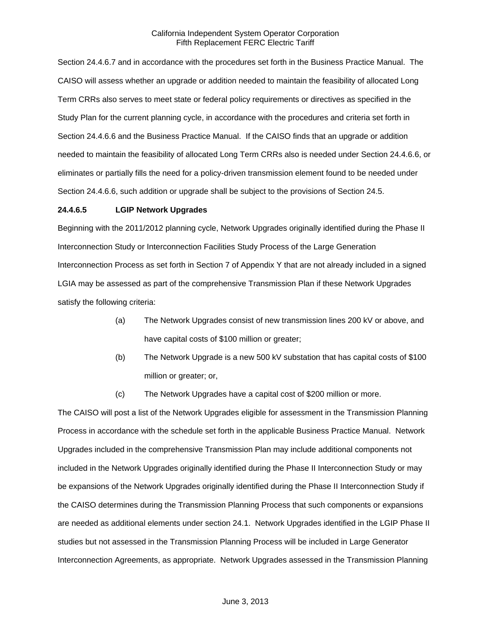Section 24.4.6.7 and in accordance with the procedures set forth in the Business Practice Manual. The CAISO will assess whether an upgrade or addition needed to maintain the feasibility of allocated Long Term CRRs also serves to meet state or federal policy requirements or directives as specified in the Study Plan for the current planning cycle, in accordance with the procedures and criteria set forth in Section 24.4.6.6 and the Business Practice Manual. If the CAISO finds that an upgrade or addition needed to maintain the feasibility of allocated Long Term CRRs also is needed under Section 24.4.6.6, or eliminates or partially fills the need for a policy-driven transmission element found to be needed under Section 24.4.6.6, such addition or upgrade shall be subject to the provisions of Section 24.5.

### **24.4.6.5 LGIP Network Upgrades**

Beginning with the 2011/2012 planning cycle, Network Upgrades originally identified during the Phase II Interconnection Study or Interconnection Facilities Study Process of the Large Generation Interconnection Process as set forth in Section 7 of Appendix Y that are not already included in a signed LGIA may be assessed as part of the comprehensive Transmission Plan if these Network Upgrades satisfy the following criteria:

- (a) The Network Upgrades consist of new transmission lines 200 kV or above, and have capital costs of \$100 million or greater;
- (b) The Network Upgrade is a new 500 kV substation that has capital costs of \$100 million or greater; or,
- (c) The Network Upgrades have a capital cost of \$200 million or more.

The CAISO will post a list of the Network Upgrades eligible for assessment in the Transmission Planning Process in accordance with the schedule set forth in the applicable Business Practice Manual. Network Upgrades included in the comprehensive Transmission Plan may include additional components not included in the Network Upgrades originally identified during the Phase II Interconnection Study or may be expansions of the Network Upgrades originally identified during the Phase II Interconnection Study if the CAISO determines during the Transmission Planning Process that such components or expansions are needed as additional elements under section 24.1. Network Upgrades identified in the LGIP Phase II studies but not assessed in the Transmission Planning Process will be included in Large Generator Interconnection Agreements, as appropriate. Network Upgrades assessed in the Transmission Planning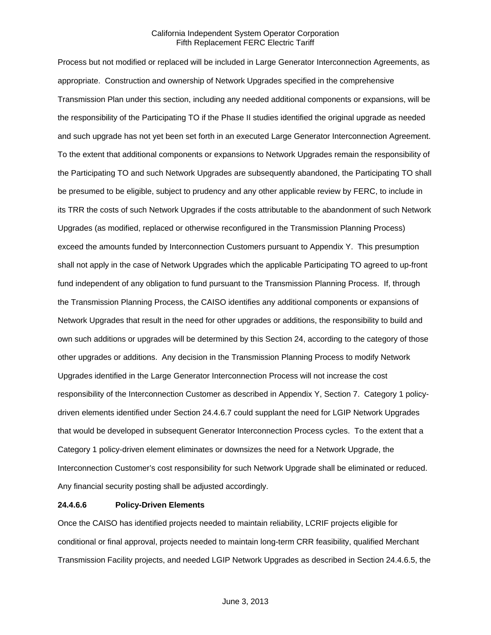Process but not modified or replaced will be included in Large Generator Interconnection Agreements, as appropriate. Construction and ownership of Network Upgrades specified in the comprehensive Transmission Plan under this section, including any needed additional components or expansions, will be the responsibility of the Participating TO if the Phase II studies identified the original upgrade as needed and such upgrade has not yet been set forth in an executed Large Generator Interconnection Agreement. To the extent that additional components or expansions to Network Upgrades remain the responsibility of the Participating TO and such Network Upgrades are subsequently abandoned, the Participating TO shall be presumed to be eligible, subject to prudency and any other applicable review by FERC, to include in its TRR the costs of such Network Upgrades if the costs attributable to the abandonment of such Network Upgrades (as modified, replaced or otherwise reconfigured in the Transmission Planning Process) exceed the amounts funded by Interconnection Customers pursuant to Appendix Y. This presumption shall not apply in the case of Network Upgrades which the applicable Participating TO agreed to up-front fund independent of any obligation to fund pursuant to the Transmission Planning Process. If, through the Transmission Planning Process, the CAISO identifies any additional components or expansions of Network Upgrades that result in the need for other upgrades or additions, the responsibility to build and own such additions or upgrades will be determined by this Section 24, according to the category of those other upgrades or additions. Any decision in the Transmission Planning Process to modify Network Upgrades identified in the Large Generator Interconnection Process will not increase the cost responsibility of the Interconnection Customer as described in Appendix Y, Section 7. Category 1 policydriven elements identified under Section 24.4.6.7 could supplant the need for LGIP Network Upgrades that would be developed in subsequent Generator Interconnection Process cycles. To the extent that a Category 1 policy-driven element eliminates or downsizes the need for a Network Upgrade, the Interconnection Customer's cost responsibility for such Network Upgrade shall be eliminated or reduced. Any financial security posting shall be adjusted accordingly.

#### **24.4.6.6 Policy-Driven Elements**

Once the CAISO has identified projects needed to maintain reliability, LCRIF projects eligible for conditional or final approval, projects needed to maintain long-term CRR feasibility, qualified Merchant Transmission Facility projects, and needed LGIP Network Upgrades as described in Section 24.4.6.5, the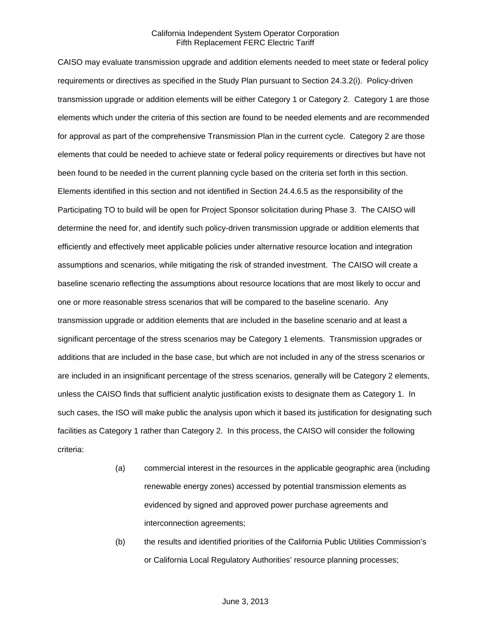CAISO may evaluate transmission upgrade and addition elements needed to meet state or federal policy requirements or directives as specified in the Study Plan pursuant to Section 24.3.2(i). Policy-driven transmission upgrade or addition elements will be either Category 1 or Category 2. Category 1 are those elements which under the criteria of this section are found to be needed elements and are recommended for approval as part of the comprehensive Transmission Plan in the current cycle. Category 2 are those elements that could be needed to achieve state or federal policy requirements or directives but have not been found to be needed in the current planning cycle based on the criteria set forth in this section. Elements identified in this section and not identified in Section 24.4.6.5 as the responsibility of the Participating TO to build will be open for Project Sponsor solicitation during Phase 3. The CAISO will determine the need for, and identify such policy-driven transmission upgrade or addition elements that efficiently and effectively meet applicable policies under alternative resource location and integration assumptions and scenarios, while mitigating the risk of stranded investment. The CAISO will create a baseline scenario reflecting the assumptions about resource locations that are most likely to occur and one or more reasonable stress scenarios that will be compared to the baseline scenario. Any transmission upgrade or addition elements that are included in the baseline scenario and at least a significant percentage of the stress scenarios may be Category 1 elements. Transmission upgrades or additions that are included in the base case, but which are not included in any of the stress scenarios or are included in an insignificant percentage of the stress scenarios, generally will be Category 2 elements, unless the CAISO finds that sufficient analytic justification exists to designate them as Category 1. In such cases, the ISO will make public the analysis upon which it based its justification for designating such facilities as Category 1 rather than Category 2. In this process, the CAISO will consider the following criteria:

- (a) commercial interest in the resources in the applicable geographic area (including renewable energy zones) accessed by potential transmission elements as evidenced by signed and approved power purchase agreements and interconnection agreements;
- (b) the results and identified priorities of the California Public Utilities Commission's or California Local Regulatory Authorities' resource planning processes;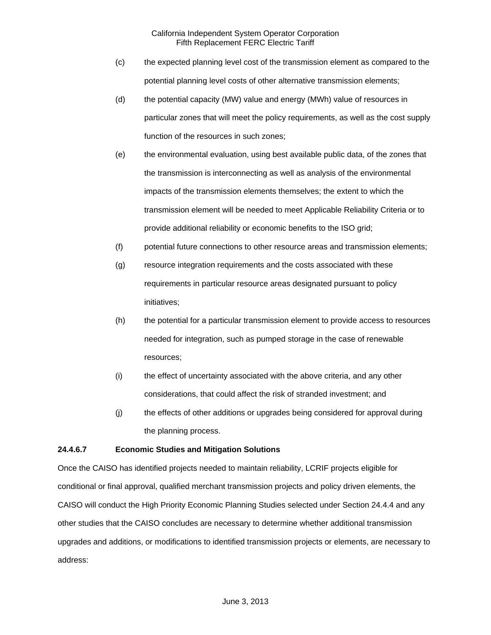- (c) the expected planning level cost of the transmission element as compared to the potential planning level costs of other alternative transmission elements;
- (d) the potential capacity (MW) value and energy (MWh) value of resources in particular zones that will meet the policy requirements, as well as the cost supply function of the resources in such zones;
- (e) the environmental evaluation, using best available public data, of the zones that the transmission is interconnecting as well as analysis of the environmental impacts of the transmission elements themselves; the extent to which the transmission element will be needed to meet Applicable Reliability Criteria or to provide additional reliability or economic benefits to the ISO grid;
- (f) potential future connections to other resource areas and transmission elements;
- (g) resource integration requirements and the costs associated with these requirements in particular resource areas designated pursuant to policy initiatives;
- (h) the potential for a particular transmission element to provide access to resources needed for integration, such as pumped storage in the case of renewable resources;
- (i) the effect of uncertainty associated with the above criteria, and any other considerations, that could affect the risk of stranded investment; and
- (j) the effects of other additions or upgrades being considered for approval during the planning process.

# **24.4.6.7 Economic Studies and Mitigation Solutions**

Once the CAISO has identified projects needed to maintain reliability, LCRIF projects eligible for conditional or final approval, qualified merchant transmission projects and policy driven elements, the CAISO will conduct the High Priority Economic Planning Studies selected under Section 24.4.4 and any other studies that the CAISO concludes are necessary to determine whether additional transmission upgrades and additions, or modifications to identified transmission projects or elements, are necessary to address: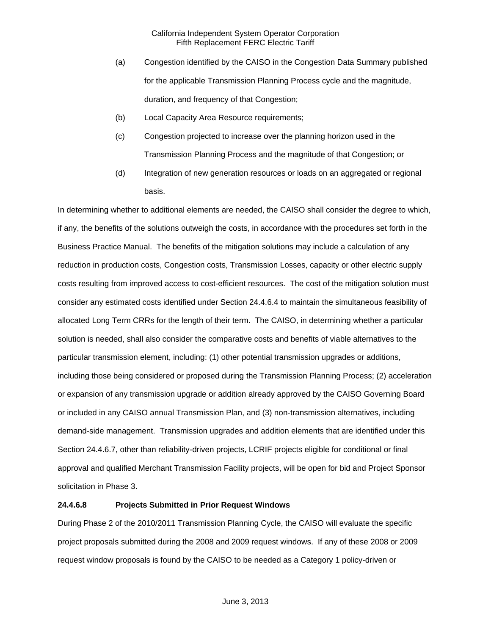- (a) Congestion identified by the CAISO in the Congestion Data Summary published for the applicable Transmission Planning Process cycle and the magnitude, duration, and frequency of that Congestion;
- (b) Local Capacity Area Resource requirements;
- (c) Congestion projected to increase over the planning horizon used in the Transmission Planning Process and the magnitude of that Congestion; or
- (d) Integration of new generation resources or loads on an aggregated or regional basis.

In determining whether to additional elements are needed, the CAISO shall consider the degree to which, if any, the benefits of the solutions outweigh the costs, in accordance with the procedures set forth in the Business Practice Manual. The benefits of the mitigation solutions may include a calculation of any reduction in production costs, Congestion costs, Transmission Losses, capacity or other electric supply costs resulting from improved access to cost-efficient resources. The cost of the mitigation solution must consider any estimated costs identified under Section 24.4.6.4 to maintain the simultaneous feasibility of allocated Long Term CRRs for the length of their term. The CAISO, in determining whether a particular solution is needed, shall also consider the comparative costs and benefits of viable alternatives to the particular transmission element, including: (1) other potential transmission upgrades or additions, including those being considered or proposed during the Transmission Planning Process; (2) acceleration or expansion of any transmission upgrade or addition already approved by the CAISO Governing Board or included in any CAISO annual Transmission Plan, and (3) non-transmission alternatives, including demand-side management. Transmission upgrades and addition elements that are identified under this Section 24.4.6.7, other than reliability-driven projects, LCRIF projects eligible for conditional or final approval and qualified Merchant Transmission Facility projects, will be open for bid and Project Sponsor solicitation in Phase 3.

### **24.4.6.8 Projects Submitted in Prior Request Windows**

During Phase 2 of the 2010/2011 Transmission Planning Cycle, the CAISO will evaluate the specific project proposals submitted during the 2008 and 2009 request windows. If any of these 2008 or 2009 request window proposals is found by the CAISO to be needed as a Category 1 policy-driven or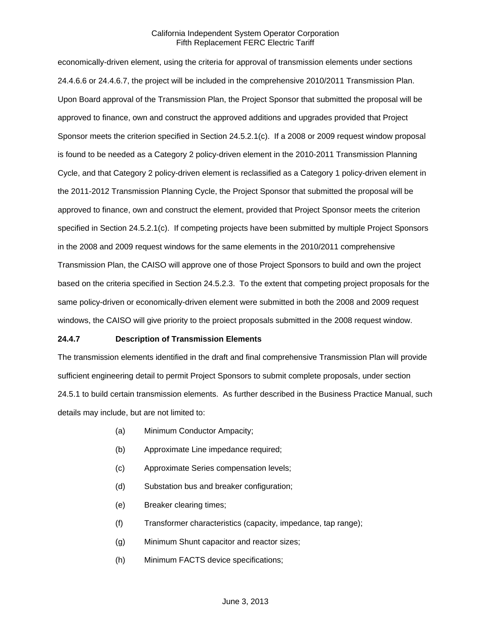economically-driven element, using the criteria for approval of transmission elements under sections 24.4.6.6 or 24.4.6.7, the project will be included in the comprehensive 2010/2011 Transmission Plan. Upon Board approval of the Transmission Plan, the Project Sponsor that submitted the proposal will be approved to finance, own and construct the approved additions and upgrades provided that Project Sponsor meets the criterion specified in Section 24.5.2.1(c). If a 2008 or 2009 request window proposal is found to be needed as a Category 2 policy-driven element in the 2010-2011 Transmission Planning Cycle, and that Category 2 policy-driven element is reclassified as a Category 1 policy-driven element in the 2011-2012 Transmission Planning Cycle, the Project Sponsor that submitted the proposal will be approved to finance, own and construct the element, provided that Project Sponsor meets the criterion specified in Section 24.5.2.1(c). If competing projects have been submitted by multiple Project Sponsors in the 2008 and 2009 request windows for the same elements in the 2010/2011 comprehensive Transmission Plan, the CAISO will approve one of those Project Sponsors to build and own the project based on the criteria specified in Section 24.5.2.3. To the extent that competing project proposals for the same policy-driven or economically-driven element were submitted in both the 2008 and 2009 request windows, the CAISO will give priority to the proiect proposals submitted in the 2008 request window.

### **24.4.7 Description of Transmission Elements**

The transmission elements identified in the draft and final comprehensive Transmission Plan will provide sufficient engineering detail to permit Project Sponsors to submit complete proposals, under section 24.5.1 to build certain transmission elements. As further described in the Business Practice Manual, such details may include, but are not limited to:

- (a) Minimum Conductor Ampacity;
- (b) Approximate Line impedance required;
- (c) Approximate Series compensation levels;
- (d) Substation bus and breaker configuration;
- (e) Breaker clearing times;
- (f) Transformer characteristics (capacity, impedance, tap range);
- (g) Minimum Shunt capacitor and reactor sizes;
- (h) Minimum FACTS device specifications;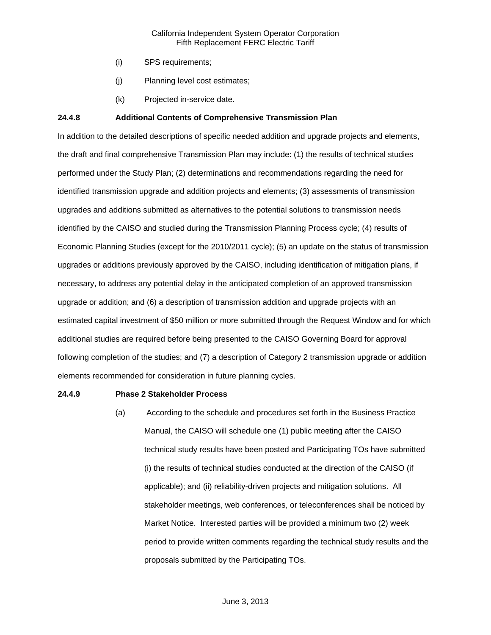- (i) SPS requirements;
- (j) Planning level cost estimates;
- (k) Projected in-service date.

## **24.4.8 Additional Contents of Comprehensive Transmission Plan**

In addition to the detailed descriptions of specific needed addition and upgrade projects and elements, the draft and final comprehensive Transmission Plan may include: (1) the results of technical studies performed under the Study Plan; (2) determinations and recommendations regarding the need for identified transmission upgrade and addition projects and elements; (3) assessments of transmission upgrades and additions submitted as alternatives to the potential solutions to transmission needs identified by the CAISO and studied during the Transmission Planning Process cycle; (4) results of Economic Planning Studies (except for the 2010/2011 cycle); (5) an update on the status of transmission upgrades or additions previously approved by the CAISO, including identification of mitigation plans, if necessary, to address any potential delay in the anticipated completion of an approved transmission upgrade or addition; and (6) a description of transmission addition and upgrade projects with an estimated capital investment of \$50 million or more submitted through the Request Window and for which additional studies are required before being presented to the CAISO Governing Board for approval following completion of the studies; and (7) a description of Category 2 transmission upgrade or addition elements recommended for consideration in future planning cycles.

#### **24.4.9 Phase 2 Stakeholder Process**

(a) According to the schedule and procedures set forth in the Business Practice Manual, the CAISO will schedule one (1) public meeting after the CAISO technical study results have been posted and Participating TOs have submitted (i) the results of technical studies conducted at the direction of the CAISO (if applicable); and (ii) reliability-driven projects and mitigation solutions. All stakeholder meetings, web conferences, or teleconferences shall be noticed by Market Notice. Interested parties will be provided a minimum two (2) week period to provide written comments regarding the technical study results and the proposals submitted by the Participating TOs.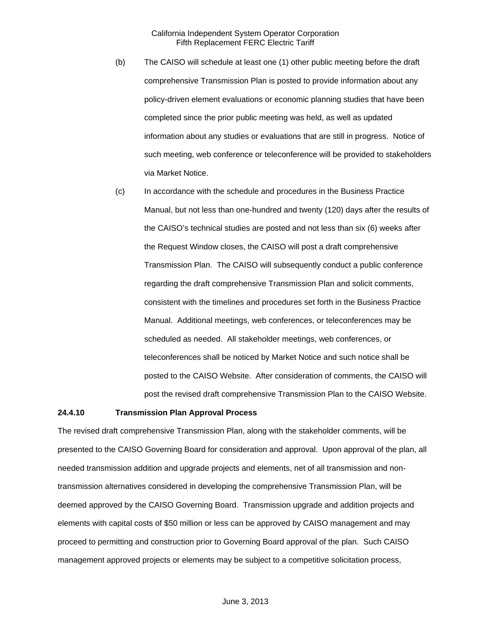- (b) The CAISO will schedule at least one (1) other public meeting before the draft comprehensive Transmission Plan is posted to provide information about any policy-driven element evaluations or economic planning studies that have been completed since the prior public meeting was held, as well as updated information about any studies or evaluations that are still in progress. Notice of such meeting, web conference or teleconference will be provided to stakeholders via Market Notice.
- (c) In accordance with the schedule and procedures in the Business Practice Manual, but not less than one-hundred and twenty (120) days after the results of the CAISO's technical studies are posted and not less than six (6) weeks after the Request Window closes, the CAISO will post a draft comprehensive Transmission Plan. The CAISO will subsequently conduct a public conference regarding the draft comprehensive Transmission Plan and solicit comments, consistent with the timelines and procedures set forth in the Business Practice Manual. Additional meetings, web conferences, or teleconferences may be scheduled as needed. All stakeholder meetings, web conferences, or teleconferences shall be noticed by Market Notice and such notice shall be posted to the CAISO Website. After consideration of comments, the CAISO will post the revised draft comprehensive Transmission Plan to the CAISO Website.

### **24.4.10 Transmission Plan Approval Process**

The revised draft comprehensive Transmission Plan, along with the stakeholder comments, will be presented to the CAISO Governing Board for consideration and approval. Upon approval of the plan, all needed transmission addition and upgrade projects and elements, net of all transmission and nontransmission alternatives considered in developing the comprehensive Transmission Plan, will be deemed approved by the CAISO Governing Board. Transmission upgrade and addition projects and elements with capital costs of \$50 million or less can be approved by CAISO management and may proceed to permitting and construction prior to Governing Board approval of the plan. Such CAISO management approved projects or elements may be subject to a competitive solicitation process,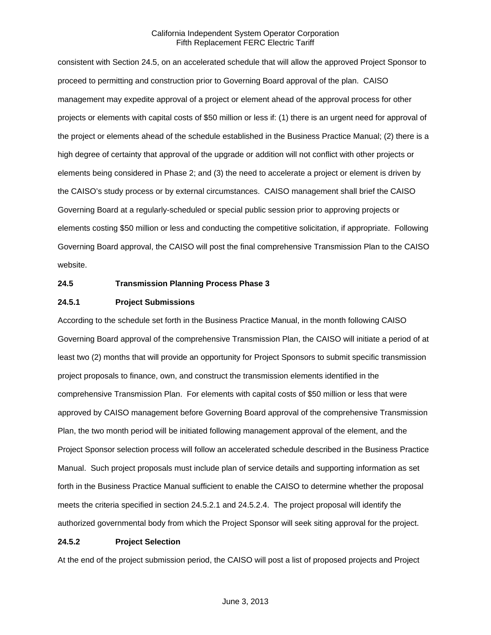consistent with Section 24.5, on an accelerated schedule that will allow the approved Project Sponsor to proceed to permitting and construction prior to Governing Board approval of the plan. CAISO management may expedite approval of a project or element ahead of the approval process for other projects or elements with capital costs of \$50 million or less if: (1) there is an urgent need for approval of the project or elements ahead of the schedule established in the Business Practice Manual; (2) there is a high degree of certainty that approval of the upgrade or addition will not conflict with other projects or elements being considered in Phase 2; and (3) the need to accelerate a project or element is driven by the CAISO's study process or by external circumstances. CAISO management shall brief the CAISO Governing Board at a regularly-scheduled or special public session prior to approving projects or elements costing \$50 million or less and conducting the competitive solicitation, if appropriate. Following Governing Board approval, the CAISO will post the final comprehensive Transmission Plan to the CAISO website.

#### **24.5 Transmission Planning Process Phase 3**

#### **24.5.1 Project Submissions**

According to the schedule set forth in the Business Practice Manual, in the month following CAISO Governing Board approval of the comprehensive Transmission Plan, the CAISO will initiate a period of at least two (2) months that will provide an opportunity for Project Sponsors to submit specific transmission project proposals to finance, own, and construct the transmission elements identified in the comprehensive Transmission Plan. For elements with capital costs of \$50 million or less that were approved by CAISO management before Governing Board approval of the comprehensive Transmission Plan, the two month period will be initiated following management approval of the element, and the Project Sponsor selection process will follow an accelerated schedule described in the Business Practice Manual. Such project proposals must include plan of service details and supporting information as set forth in the Business Practice Manual sufficient to enable the CAISO to determine whether the proposal meets the criteria specified in section 24.5.2.1 and 24.5.2.4. The project proposal will identify the authorized governmental body from which the Project Sponsor will seek siting approval for the project.

#### **24.5.2 Project Selection**

At the end of the project submission period, the CAISO will post a list of proposed projects and Project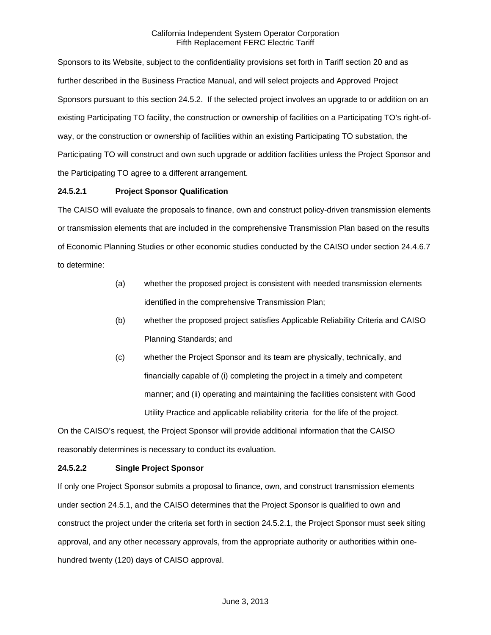Sponsors to its Website, subject to the confidentiality provisions set forth in Tariff section 20 and as further described in the Business Practice Manual, and will select projects and Approved Project Sponsors pursuant to this section 24.5.2. If the selected project involves an upgrade to or addition on an existing Participating TO facility, the construction or ownership of facilities on a Participating TO's right-ofway, or the construction or ownership of facilities within an existing Participating TO substation, the Participating TO will construct and own such upgrade or addition facilities unless the Project Sponsor and the Participating TO agree to a different arrangement.

## **24.5.2.1 Project Sponsor Qualification**

The CAISO will evaluate the proposals to finance, own and construct policy-driven transmission elements or transmission elements that are included in the comprehensive Transmission Plan based on the results of Economic Planning Studies or other economic studies conducted by the CAISO under section 24.4.6.7 to determine:

- (a) whether the proposed project is consistent with needed transmission elements identified in the comprehensive Transmission Plan;
- (b) whether the proposed project satisfies Applicable Reliability Criteria and CAISO Planning Standards; and
- (c) whether the Project Sponsor and its team are physically, technically, and financially capable of (i) completing the project in a timely and competent manner; and (ii) operating and maintaining the facilities consistent with Good Utility Practice and applicable reliability criteria for the life of the project.

On the CAISO's request, the Project Sponsor will provide additional information that the CAISO reasonably determines is necessary to conduct its evaluation.

# **24.5.2.2 Single Project Sponsor**

If only one Project Sponsor submits a proposal to finance, own, and construct transmission elements under section 24.5.1, and the CAISO determines that the Project Sponsor is qualified to own and construct the project under the criteria set forth in section 24.5.2.1, the Project Sponsor must seek siting approval, and any other necessary approvals, from the appropriate authority or authorities within onehundred twenty (120) days of CAISO approval.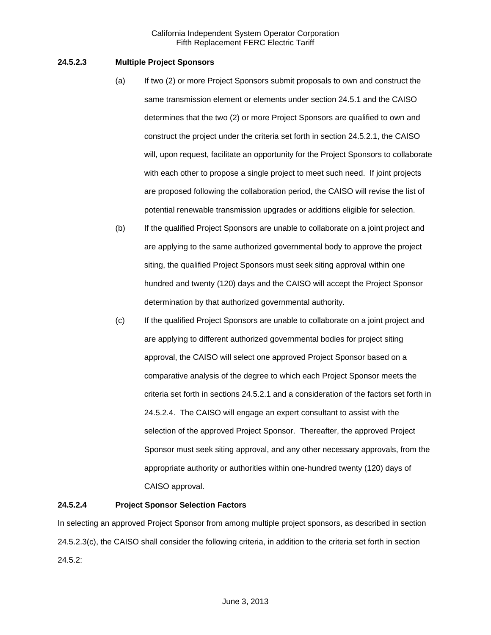## **24.5.2.3 Multiple Project Sponsors**

- (a) If two (2) or more Project Sponsors submit proposals to own and construct the same transmission element or elements under section 24.5.1 and the CAISO determines that the two (2) or more Project Sponsors are qualified to own and construct the project under the criteria set forth in section 24.5.2.1, the CAISO will, upon request, facilitate an opportunity for the Project Sponsors to collaborate with each other to propose a single project to meet such need. If joint projects are proposed following the collaboration period, the CAISO will revise the list of potential renewable transmission upgrades or additions eligible for selection.
- (b) If the qualified Project Sponsors are unable to collaborate on a joint project and are applying to the same authorized governmental body to approve the project siting, the qualified Project Sponsors must seek siting approval within one hundred and twenty (120) days and the CAISO will accept the Project Sponsor determination by that authorized governmental authority.
- (c) If the qualified Project Sponsors are unable to collaborate on a joint project and are applying to different authorized governmental bodies for project siting approval, the CAISO will select one approved Project Sponsor based on a comparative analysis of the degree to which each Project Sponsor meets the criteria set forth in sections 24.5.2.1 and a consideration of the factors set forth in 24.5.2.4. The CAISO will engage an expert consultant to assist with the selection of the approved Project Sponsor. Thereafter, the approved Project Sponsor must seek siting approval, and any other necessary approvals, from the appropriate authority or authorities within one-hundred twenty (120) days of CAISO approval.

### **24.5.2.4 Project Sponsor Selection Factors**

In selecting an approved Project Sponsor from among multiple project sponsors, as described in section 24.5.2.3(c), the CAISO shall consider the following criteria, in addition to the criteria set forth in section 24.5.2: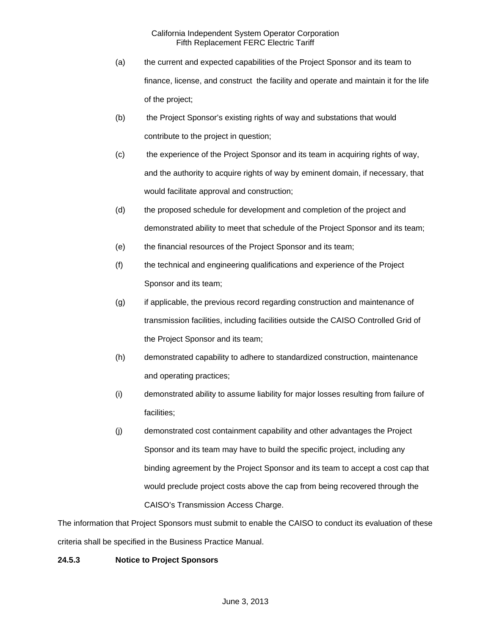- (a) the current and expected capabilities of the Project Sponsor and its team to finance, license, and construct the facility and operate and maintain it for the life of the project;
- (b) the Project Sponsor's existing rights of way and substations that would contribute to the project in question;
- (c) the experience of the Project Sponsor and its team in acquiring rights of way, and the authority to acquire rights of way by eminent domain, if necessary, that would facilitate approval and construction;
- (d) the proposed schedule for development and completion of the project and demonstrated ability to meet that schedule of the Project Sponsor and its team;
- (e) the financial resources of the Project Sponsor and its team;
- (f) the technical and engineering qualifications and experience of the Project Sponsor and its team;
- (g) if applicable, the previous record regarding construction and maintenance of transmission facilities, including facilities outside the CAISO Controlled Grid of the Project Sponsor and its team;
- (h) demonstrated capability to adhere to standardized construction, maintenance and operating practices;
- (i) demonstrated ability to assume liability for major losses resulting from failure of facilities;
- (j) demonstrated cost containment capability and other advantages the Project Sponsor and its team may have to build the specific project, including any binding agreement by the Project Sponsor and its team to accept a cost cap that would preclude project costs above the cap from being recovered through the CAISO's Transmission Access Charge.

The information that Project Sponsors must submit to enable the CAISO to conduct its evaluation of these criteria shall be specified in the Business Practice Manual.

# **24.5.3 Notice to Project Sponsors**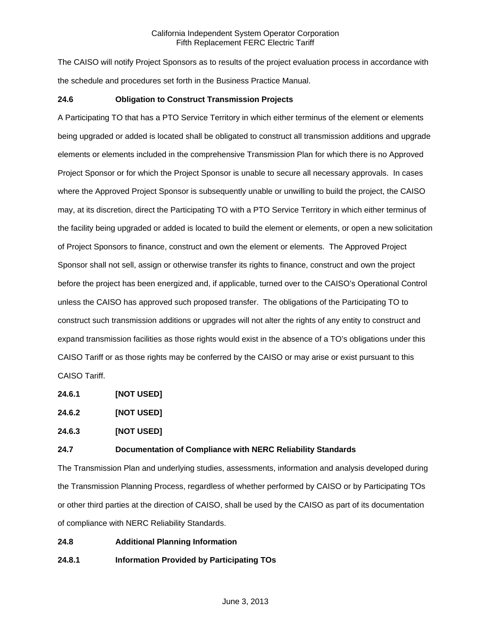The CAISO will notify Project Sponsors as to results of the project evaluation process in accordance with the schedule and procedures set forth in the Business Practice Manual.

## **24.6 Obligation to Construct Transmission Projects**

A Participating TO that has a PTO Service Territory in which either terminus of the element or elements being upgraded or added is located shall be obligated to construct all transmission additions and upgrade elements or elements included in the comprehensive Transmission Plan for which there is no Approved Project Sponsor or for which the Project Sponsor is unable to secure all necessary approvals. In cases where the Approved Project Sponsor is subsequently unable or unwilling to build the project, the CAISO may, at its discretion, direct the Participating TO with a PTO Service Territory in which either terminus of the facility being upgraded or added is located to build the element or elements, or open a new solicitation of Project Sponsors to finance, construct and own the element or elements. The Approved Project Sponsor shall not sell, assign or otherwise transfer its rights to finance, construct and own the project before the project has been energized and, if applicable, turned over to the CAISO's Operational Control unless the CAISO has approved such proposed transfer. The obligations of the Participating TO to construct such transmission additions or upgrades will not alter the rights of any entity to construct and expand transmission facilities as those rights would exist in the absence of a TO's obligations under this CAISO Tariff or as those rights may be conferred by the CAISO or may arise or exist pursuant to this CAISO Tariff.

**24.6.1 [NOT USED]** 

**24.6.2 [NOT USED]**

**24.6.3 [NOT USED]** 

## **24.7 Documentation of Compliance with NERC Reliability Standards**

The Transmission Plan and underlying studies, assessments, information and analysis developed during the Transmission Planning Process, regardless of whether performed by CAISO or by Participating TOs or other third parties at the direction of CAISO, shall be used by the CAISO as part of its documentation of compliance with NERC Reliability Standards.

# **24.8 Additional Planning Information**

**24.8.1 Information Provided by Participating TOs**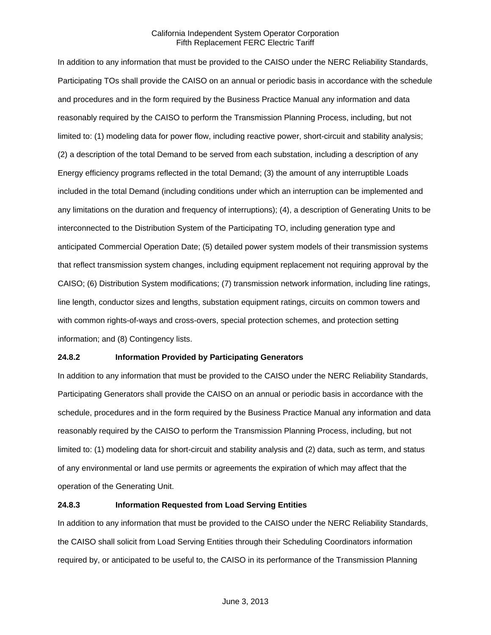In addition to any information that must be provided to the CAISO under the NERC Reliability Standards, Participating TOs shall provide the CAISO on an annual or periodic basis in accordance with the schedule and procedures and in the form required by the Business Practice Manual any information and data reasonably required by the CAISO to perform the Transmission Planning Process, including, but not limited to: (1) modeling data for power flow, including reactive power, short-circuit and stability analysis; (2) a description of the total Demand to be served from each substation, including a description of any Energy efficiency programs reflected in the total Demand; (3) the amount of any interruptible Loads included in the total Demand (including conditions under which an interruption can be implemented and any limitations on the duration and frequency of interruptions); (4), a description of Generating Units to be interconnected to the Distribution System of the Participating TO, including generation type and anticipated Commercial Operation Date; (5) detailed power system models of their transmission systems that reflect transmission system changes, including equipment replacement not requiring approval by the CAISO; (6) Distribution System modifications; (7) transmission network information, including line ratings, line length, conductor sizes and lengths, substation equipment ratings, circuits on common towers and with common rights-of-ways and cross-overs, special protection schemes, and protection setting information; and (8) Contingency lists.

### **24.8.2 Information Provided by Participating Generators**

In addition to any information that must be provided to the CAISO under the NERC Reliability Standards, Participating Generators shall provide the CAISO on an annual or periodic basis in accordance with the schedule, procedures and in the form required by the Business Practice Manual any information and data reasonably required by the CAISO to perform the Transmission Planning Process, including, but not limited to: (1) modeling data for short-circuit and stability analysis and (2) data, such as term, and status of any environmental or land use permits or agreements the expiration of which may affect that the operation of the Generating Unit.

### **24.8.3 Information Requested from Load Serving Entities**

In addition to any information that must be provided to the CAISO under the NERC Reliability Standards, the CAISO shall solicit from Load Serving Entities through their Scheduling Coordinators information required by, or anticipated to be useful to, the CAISO in its performance of the Transmission Planning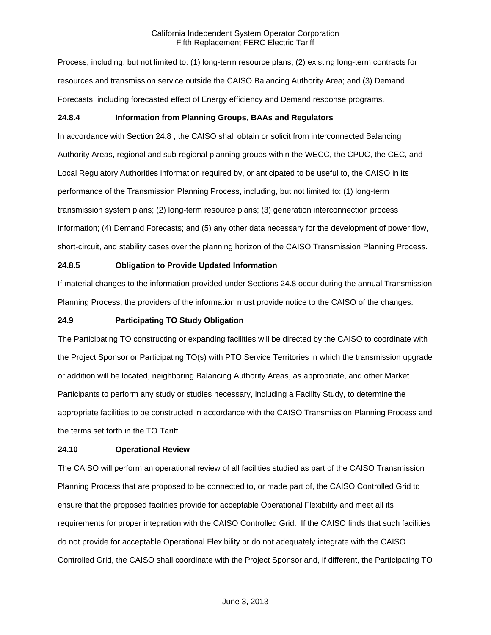Process, including, but not limited to: (1) long-term resource plans; (2) existing long-term contracts for resources and transmission service outside the CAISO Balancing Authority Area; and (3) Demand Forecasts, including forecasted effect of Energy efficiency and Demand response programs.

# **24.8.4 Information from Planning Groups, BAAs and Regulators**

In accordance with Section 24.8 , the CAISO shall obtain or solicit from interconnected Balancing Authority Areas, regional and sub-regional planning groups within the WECC, the CPUC, the CEC, and Local Regulatory Authorities information required by, or anticipated to be useful to, the CAISO in its performance of the Transmission Planning Process, including, but not limited to: (1) long-term transmission system plans; (2) long-term resource plans; (3) generation interconnection process information; (4) Demand Forecasts; and (5) any other data necessary for the development of power flow, short-circuit, and stability cases over the planning horizon of the CAISO Transmission Planning Process.

# **24.8.5 Obligation to Provide Updated Information**

If material changes to the information provided under Sections 24.8 occur during the annual Transmission Planning Process, the providers of the information must provide notice to the CAISO of the changes.

## **24.9 Participating TO Study Obligation**

The Participating TO constructing or expanding facilities will be directed by the CAISO to coordinate with the Project Sponsor or Participating TO(s) with PTO Service Territories in which the transmission upgrade or addition will be located, neighboring Balancing Authority Areas, as appropriate, and other Market Participants to perform any study or studies necessary, including a Facility Study, to determine the appropriate facilities to be constructed in accordance with the CAISO Transmission Planning Process and the terms set forth in the TO Tariff.

# **24.10 Operational Review**

The CAISO will perform an operational review of all facilities studied as part of the CAISO Transmission Planning Process that are proposed to be connected to, or made part of, the CAISO Controlled Grid to ensure that the proposed facilities provide for acceptable Operational Flexibility and meet all its requirements for proper integration with the CAISO Controlled Grid. If the CAISO finds that such facilities do not provide for acceptable Operational Flexibility or do not adequately integrate with the CAISO Controlled Grid, the CAISO shall coordinate with the Project Sponsor and, if different, the Participating TO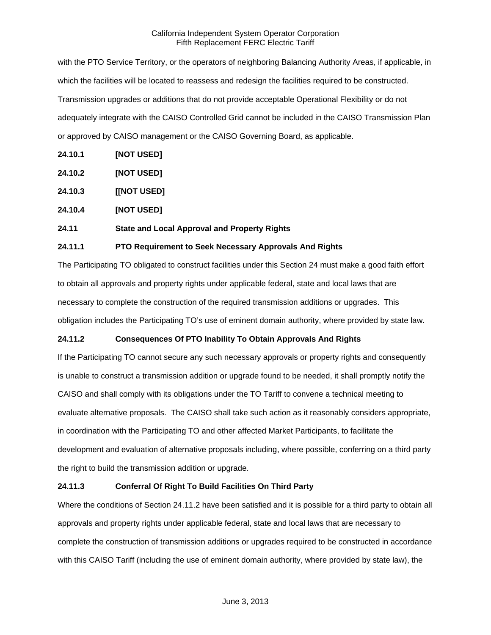with the PTO Service Territory, or the operators of neighboring Balancing Authority Areas, if applicable, in which the facilities will be located to reassess and redesign the facilities required to be constructed. Transmission upgrades or additions that do not provide acceptable Operational Flexibility or do not adequately integrate with the CAISO Controlled Grid cannot be included in the CAISO Transmission Plan or approved by CAISO management or the CAISO Governing Board, as applicable.

- **24.10.1 [NOT USED]**
- **24.10.2 [NOT USED]**
- **24.10.3 [[NOT USED]**
- **24.10.4 [NOT USED]**

# **24.11 State and Local Approval and Property Rights**

# **24.11.1 PTO Requirement to Seek Necessary Approvals And Rights**

The Participating TO obligated to construct facilities under this Section 24 must make a good faith effort to obtain all approvals and property rights under applicable federal, state and local laws that are necessary to complete the construction of the required transmission additions or upgrades. This obligation includes the Participating TO's use of eminent domain authority, where provided by state law.

# **24.11.2 Consequences Of PTO Inability To Obtain Approvals And Rights**

If the Participating TO cannot secure any such necessary approvals or property rights and consequently is unable to construct a transmission addition or upgrade found to be needed, it shall promptly notify the CAISO and shall comply with its obligations under the TO Tariff to convene a technical meeting to evaluate alternative proposals. The CAISO shall take such action as it reasonably considers appropriate, in coordination with the Participating TO and other affected Market Participants, to facilitate the development and evaluation of alternative proposals including, where possible, conferring on a third party the right to build the transmission addition or upgrade.

# **24.11.3 Conferral Of Right To Build Facilities On Third Party**

Where the conditions of Section 24.11.2 have been satisfied and it is possible for a third party to obtain all approvals and property rights under applicable federal, state and local laws that are necessary to complete the construction of transmission additions or upgrades required to be constructed in accordance with this CAISO Tariff (including the use of eminent domain authority, where provided by state law), the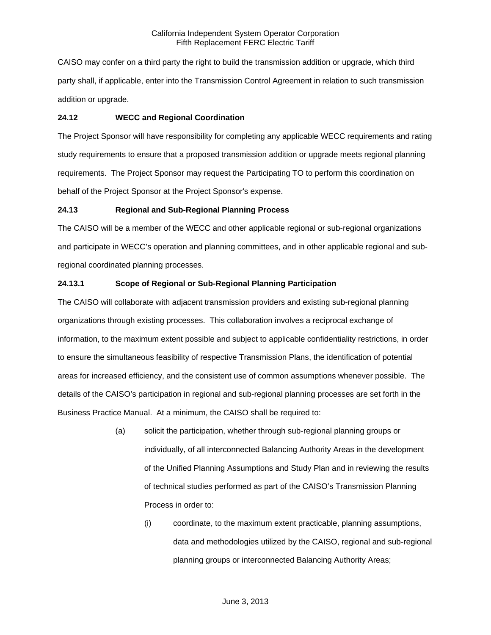CAISO may confer on a third party the right to build the transmission addition or upgrade, which third party shall, if applicable, enter into the Transmission Control Agreement in relation to such transmission addition or upgrade.

### **24.12 WECC and Regional Coordination**

The Project Sponsor will have responsibility for completing any applicable WECC requirements and rating study requirements to ensure that a proposed transmission addition or upgrade meets regional planning requirements. The Project Sponsor may request the Participating TO to perform this coordination on behalf of the Project Sponsor at the Project Sponsor's expense.

## **24.13 Regional and Sub-Regional Planning Process**

The CAISO will be a member of the WECC and other applicable regional or sub-regional organizations and participate in WECC's operation and planning committees, and in other applicable regional and subregional coordinated planning processes.

## **24.13.1 Scope of Regional or Sub-Regional Planning Participation**

The CAISO will collaborate with adjacent transmission providers and existing sub-regional planning organizations through existing processes. This collaboration involves a reciprocal exchange of information, to the maximum extent possible and subject to applicable confidentiality restrictions, in order to ensure the simultaneous feasibility of respective Transmission Plans, the identification of potential areas for increased efficiency, and the consistent use of common assumptions whenever possible. The details of the CAISO's participation in regional and sub-regional planning processes are set forth in the Business Practice Manual. At a minimum, the CAISO shall be required to:

- (a) solicit the participation, whether through sub-regional planning groups or individually, of all interconnected Balancing Authority Areas in the development of the Unified Planning Assumptions and Study Plan and in reviewing the results of technical studies performed as part of the CAISO's Transmission Planning Process in order to:
	- (i) coordinate, to the maximum extent practicable, planning assumptions, data and methodologies utilized by the CAISO, regional and sub-regional planning groups or interconnected Balancing Authority Areas;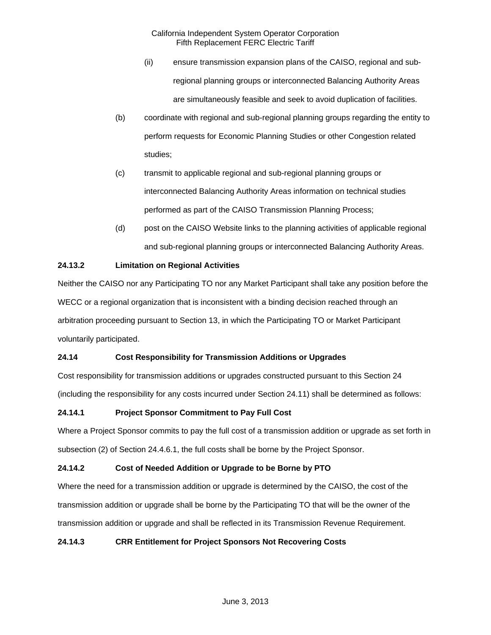- (ii) ensure transmission expansion plans of the CAISO, regional and subregional planning groups or interconnected Balancing Authority Areas are simultaneously feasible and seek to avoid duplication of facilities.
- (b) coordinate with regional and sub-regional planning groups regarding the entity to perform requests for Economic Planning Studies or other Congestion related studies;
- (c) transmit to applicable regional and sub-regional planning groups or interconnected Balancing Authority Areas information on technical studies performed as part of the CAISO Transmission Planning Process;
- (d) post on the CAISO Website links to the planning activities of applicable regional and sub-regional planning groups or interconnected Balancing Authority Areas.

# **24.13.2 Limitation on Regional Activities**

Neither the CAISO nor any Participating TO nor any Market Participant shall take any position before the WECC or a regional organization that is inconsistent with a binding decision reached through an arbitration proceeding pursuant to Section 13, in which the Participating TO or Market Participant voluntarily participated.

# **24.14 Cost Responsibility for Transmission Additions or Upgrades**

Cost responsibility for transmission additions or upgrades constructed pursuant to this Section 24 (including the responsibility for any costs incurred under Section 24.11) shall be determined as follows:

# **24.14.1 Project Sponsor Commitment to Pay Full Cost**

Where a Project Sponsor commits to pay the full cost of a transmission addition or upgrade as set forth in subsection (2) of Section 24.4.6.1, the full costs shall be borne by the Project Sponsor.

# **24.14.2 Cost of Needed Addition or Upgrade to be Borne by PTO**

Where the need for a transmission addition or upgrade is determined by the CAISO, the cost of the transmission addition or upgrade shall be borne by the Participating TO that will be the owner of the transmission addition or upgrade and shall be reflected in its Transmission Revenue Requirement.

# **24.14.3 CRR Entitlement for Project Sponsors Not Recovering Costs**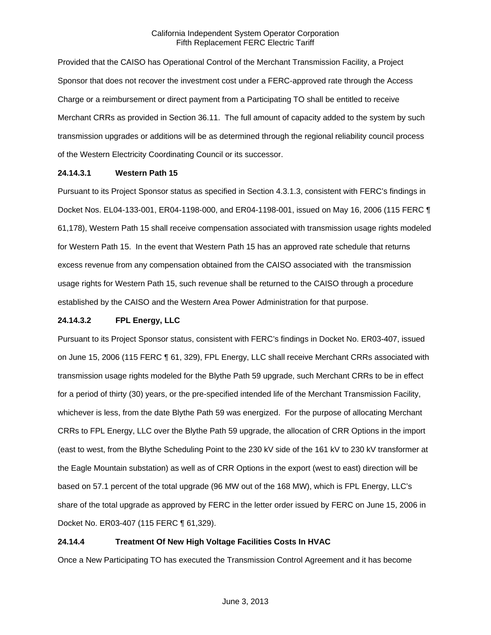Provided that the CAISO has Operational Control of the Merchant Transmission Facility, a Project Sponsor that does not recover the investment cost under a FERC-approved rate through the Access Charge or a reimbursement or direct payment from a Participating TO shall be entitled to receive Merchant CRRs as provided in Section 36.11. The full amount of capacity added to the system by such transmission upgrades or additions will be as determined through the regional reliability council process of the Western Electricity Coordinating Council or its successor.

## **24.14.3.1 Western Path 15**

Pursuant to its Project Sponsor status as specified in Section 4.3.1.3, consistent with FERC's findings in Docket Nos. EL04-133-001, ER04-1198-000, and ER04-1198-001, issued on May 16, 2006 (115 FERC ¶ 61,178), Western Path 15 shall receive compensation associated with transmission usage rights modeled for Western Path 15. In the event that Western Path 15 has an approved rate schedule that returns excess revenue from any compensation obtained from the CAISO associated with the transmission usage rights for Western Path 15, such revenue shall be returned to the CAISO through a procedure established by the CAISO and the Western Area Power Administration for that purpose.

## **24.14.3.2 FPL Energy, LLC**

Pursuant to its Project Sponsor status, consistent with FERC's findings in Docket No. ER03-407, issued on June 15, 2006 (115 FERC ¶ 61, 329), FPL Energy, LLC shall receive Merchant CRRs associated with transmission usage rights modeled for the Blythe Path 59 upgrade, such Merchant CRRs to be in effect for a period of thirty (30) years, or the pre-specified intended life of the Merchant Transmission Facility, whichever is less, from the date Blythe Path 59 was energized. For the purpose of allocating Merchant CRRs to FPL Energy, LLC over the Blythe Path 59 upgrade, the allocation of CRR Options in the import (east to west, from the Blythe Scheduling Point to the 230 kV side of the 161 kV to 230 kV transformer at the Eagle Mountain substation) as well as of CRR Options in the export (west to east) direction will be based on 57.1 percent of the total upgrade (96 MW out of the 168 MW), which is FPL Energy, LLC's share of the total upgrade as approved by FERC in the letter order issued by FERC on June 15, 2006 in Docket No. ER03-407 (115 FERC ¶ 61,329).

# **24.14.4 Treatment Of New High Voltage Facilities Costs In HVAC**

Once a New Participating TO has executed the Transmission Control Agreement and it has become